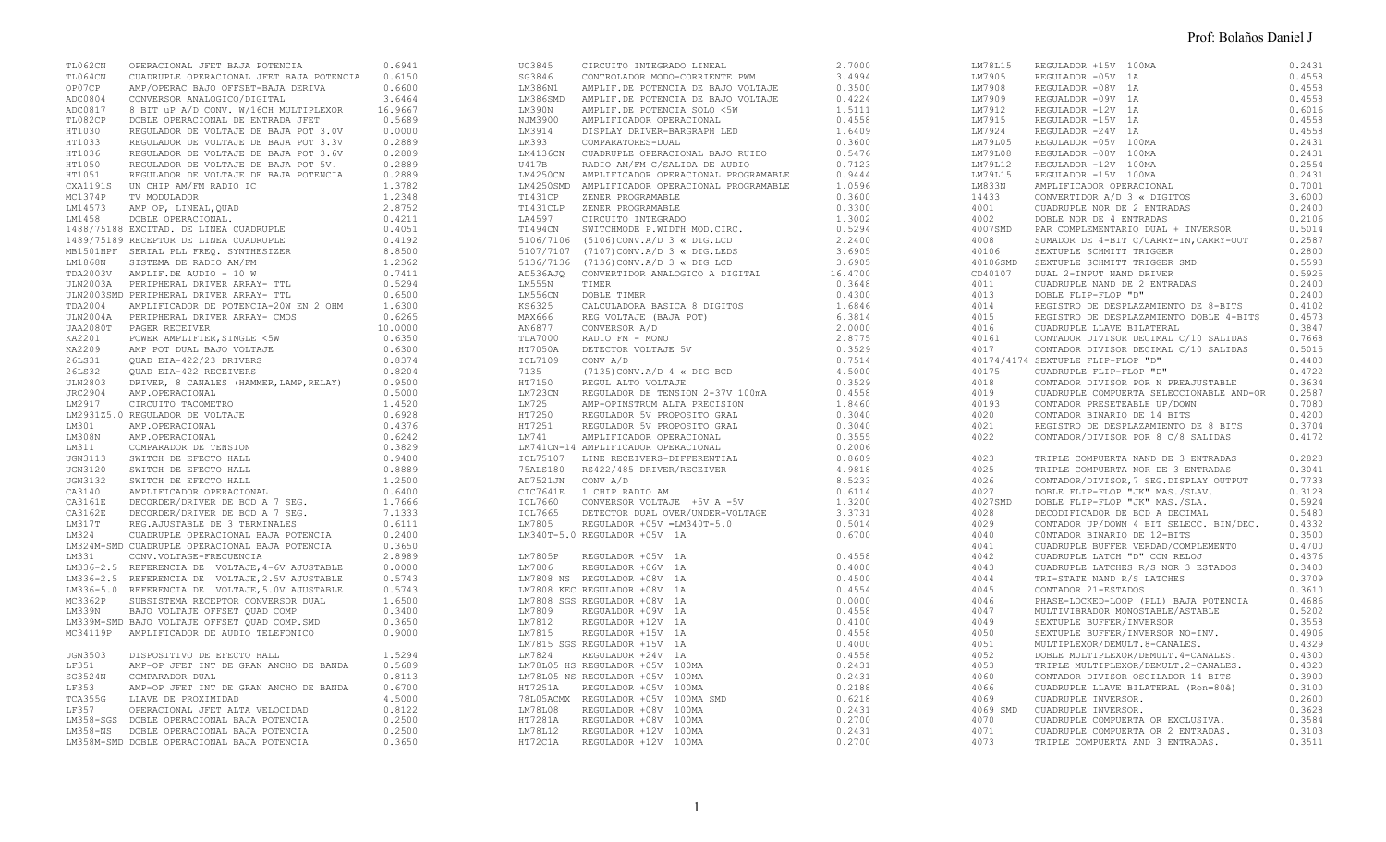| TL062CN | OPERACIONAL JFET BAJA POTENCIA<br>TION221 ORIZACIONAL IPER ANA POTENCIA (1972)<br>TIONGAL ORIZACIONAL IPER ANA POTENCIA (1973)<br>CONTROL ANA POTENCIA (1974)<br>CONTROL ANA POTENCIA (1974)<br>CONTROL ANA POTENCIA (1974)<br>CONTROL ANA POTENCIA (1974)<br>CONTROL ANA P | 0.6941 | UC3845 | CIRCUITO INTEGRADO LINEAL<br>023804 CEANIFORD DETERGATION (1972)<br>023944 CONTECRADOR MOO-COREENTE 1994<br>1970394 CONTECRADOR MOO-COREENTE 1994<br>1970394 NOVEMBER 1997<br>1970395 ANTELES DE PERSION DE COREENTE 1994<br>1970395 ANTELES DE PERSION DE COREENTE | 2,7000 | LM78L15  | REGULADOR +15V 100MA<br>REGULADOR +15V 100MA<br>REGULADOR -05V 1A<br>REGULADOR -09V 1A<br>REGULADOR -09V 1A<br>REGULADOR -12V 1A<br>REGULADOR -12V 1A<br>REGULADOR -24V 1A<br>REGULADOR -24V 1A<br>REGULADOR -05V 100MA<br>REGULADOR -07V 100MA<br>REGULADOR -12V 100MA<br>AMPLIFICADOR | 0.2431 |
|---------|-----------------------------------------------------------------------------------------------------------------------------------------------------------------------------------------------------------------------------------------------------------------------------|--------|--------|---------------------------------------------------------------------------------------------------------------------------------------------------------------------------------------------------------------------------------------------------------------------|--------|----------|-----------------------------------------------------------------------------------------------------------------------------------------------------------------------------------------------------------------------------------------------------------------------------------------|--------|
|         |                                                                                                                                                                                                                                                                             |        |        |                                                                                                                                                                                                                                                                     |        | LM7905   |                                                                                                                                                                                                                                                                                         | 0.4558 |
|         |                                                                                                                                                                                                                                                                             |        |        |                                                                                                                                                                                                                                                                     |        | LM7908   |                                                                                                                                                                                                                                                                                         | 0.4558 |
|         |                                                                                                                                                                                                                                                                             |        |        |                                                                                                                                                                                                                                                                     |        | LM7909   |                                                                                                                                                                                                                                                                                         | 0.4558 |
|         |                                                                                                                                                                                                                                                                             |        |        |                                                                                                                                                                                                                                                                     |        | LM7912   |                                                                                                                                                                                                                                                                                         | 0.6016 |
|         |                                                                                                                                                                                                                                                                             |        |        |                                                                                                                                                                                                                                                                     |        | LM7915   |                                                                                                                                                                                                                                                                                         | 0.4558 |
|         |                                                                                                                                                                                                                                                                             |        |        |                                                                                                                                                                                                                                                                     |        | LM7924   |                                                                                                                                                                                                                                                                                         | 0.4558 |
|         |                                                                                                                                                                                                                                                                             |        |        |                                                                                                                                                                                                                                                                     |        | LM79L05  |                                                                                                                                                                                                                                                                                         | 0.2431 |
|         |                                                                                                                                                                                                                                                                             |        |        |                                                                                                                                                                                                                                                                     |        |          |                                                                                                                                                                                                                                                                                         |        |
|         |                                                                                                                                                                                                                                                                             |        |        |                                                                                                                                                                                                                                                                     |        | LM79L08  |                                                                                                                                                                                                                                                                                         | 0.2431 |
|         |                                                                                                                                                                                                                                                                             |        |        |                                                                                                                                                                                                                                                                     |        | LM79L12  |                                                                                                                                                                                                                                                                                         | 0.2554 |
|         |                                                                                                                                                                                                                                                                             |        |        |                                                                                                                                                                                                                                                                     |        | LM79L15  |                                                                                                                                                                                                                                                                                         | 0.2431 |
|         |                                                                                                                                                                                                                                                                             |        |        |                                                                                                                                                                                                                                                                     |        | LM833N   |                                                                                                                                                                                                                                                                                         | 0.7001 |
|         |                                                                                                                                                                                                                                                                             |        |        |                                                                                                                                                                                                                                                                     |        | 14433    |                                                                                                                                                                                                                                                                                         | 3.6000 |
|         |                                                                                                                                                                                                                                                                             |        |        |                                                                                                                                                                                                                                                                     |        | 4001     |                                                                                                                                                                                                                                                                                         | 0.2400 |
|         |                                                                                                                                                                                                                                                                             |        |        |                                                                                                                                                                                                                                                                     |        | 4002     |                                                                                                                                                                                                                                                                                         | 0.2106 |
|         |                                                                                                                                                                                                                                                                             |        |        |                                                                                                                                                                                                                                                                     |        |          | 4007SMD PAR COMPLEMENTARIO DUAL + INVERSOR                                                                                                                                                                                                                                              | 0.5014 |
|         |                                                                                                                                                                                                                                                                             |        |        |                                                                                                                                                                                                                                                                     |        | 4008     | SUMADOR DE 4-BIT C/CARRY-IN, CARRY-OUT                                                                                                                                                                                                                                                  | 0.2587 |
|         |                                                                                                                                                                                                                                                                             |        |        |                                                                                                                                                                                                                                                                     |        | 40106    | SEXTUPLE SCHMITT TRIGGER                                                                                                                                                                                                                                                                | 0.2800 |
|         |                                                                                                                                                                                                                                                                             |        |        |                                                                                                                                                                                                                                                                     |        | 40106SMD | SEXTUPLE SCHMITT TRIGGER SMD                                                                                                                                                                                                                                                            | 0.5598 |
|         |                                                                                                                                                                                                                                                                             |        |        |                                                                                                                                                                                                                                                                     |        | CD40107  |                                                                                                                                                                                                                                                                                         | 0.5925 |
|         |                                                                                                                                                                                                                                                                             |        |        |                                                                                                                                                                                                                                                                     |        | 4011     |                                                                                                                                                                                                                                                                                         | 0.2400 |
|         |                                                                                                                                                                                                                                                                             |        |        |                                                                                                                                                                                                                                                                     |        | 4013     | THIS CONSUMITT TRIGGER SMD<br>DUAL 2-INPUT NAND DRIVER<br>CUADRUPLE NAND DE 2 ENTRADAS<br>DOBLE FLIP-FLOP "D"<br>REGISTEO DE PRESISION                                                                                                                                                  | 0.2400 |
|         |                                                                                                                                                                                                                                                                             |        |        |                                                                                                                                                                                                                                                                     |        |          |                                                                                                                                                                                                                                                                                         |        |
|         |                                                                                                                                                                                                                                                                             |        |        |                                                                                                                                                                                                                                                                     |        | 4014     | REGISTRO DE DESPLAZAMIENTO DE 8-BITS                                                                                                                                                                                                                                                    | 0.4102 |
|         |                                                                                                                                                                                                                                                                             |        |        |                                                                                                                                                                                                                                                                     |        | 4015     | REGISTRO DE DESPLAZAMIENTO DOBLE 4-BITS                                                                                                                                                                                                                                                 | 0.4573 |
|         |                                                                                                                                                                                                                                                                             |        |        |                                                                                                                                                                                                                                                                     |        | 4016     | CUADRUPLE LLAVE BILATERAL                                                                                                                                                                                                                                                               | 0.3847 |
|         |                                                                                                                                                                                                                                                                             |        |        |                                                                                                                                                                                                                                                                     |        | 40161    | CONTADOR DIVISOR DECIMAL C/10 SALIDAS                                                                                                                                                                                                                                                   | 0.7668 |
|         |                                                                                                                                                                                                                                                                             |        |        |                                                                                                                                                                                                                                                                     |        | 4017     | CONTADOR DIVISOR DECIMAL C/10 SALIDAS                                                                                                                                                                                                                                                   | 0.5015 |
|         |                                                                                                                                                                                                                                                                             |        |        |                                                                                                                                                                                                                                                                     |        |          | 40174/4174 SEXTUPLE FLIP-FLOP "D"                                                                                                                                                                                                                                                       | 0.4400 |
|         |                                                                                                                                                                                                                                                                             |        |        |                                                                                                                                                                                                                                                                     |        | 40175    | CUADRUPLE FLIP-FLOP "D"                                                                                                                                                                                                                                                                 | 0.4722 |
|         |                                                                                                                                                                                                                                                                             |        |        |                                                                                                                                                                                                                                                                     |        | 4018     | CONTADOR DIVISOR POR N PREAJUSTABLE                                                                                                                                                                                                                                                     | 0.3634 |
|         |                                                                                                                                                                                                                                                                             |        |        |                                                                                                                                                                                                                                                                     |        | 4019     | CUADRUPLE COMPUERTA SELECCIONABLE AND-OR                                                                                                                                                                                                                                                | 0.2587 |
|         |                                                                                                                                                                                                                                                                             |        |        |                                                                                                                                                                                                                                                                     |        | 40193    | CONTADOR PRESETEABLE UP/DOWN                                                                                                                                                                                                                                                            | 0.7080 |
|         |                                                                                                                                                                                                                                                                             |        |        |                                                                                                                                                                                                                                                                     |        | 4020     | CONTADOR BINARIO DE 14 BITS                                                                                                                                                                                                                                                             | 0.4200 |
|         |                                                                                                                                                                                                                                                                             |        |        |                                                                                                                                                                                                                                                                     |        | 4021     | REGISTRO DE DESPLAZAMIENTO DE 8 BITS                                                                                                                                                                                                                                                    | 0.3704 |
|         |                                                                                                                                                                                                                                                                             |        |        |                                                                                                                                                                                                                                                                     |        | 4022     | CONTADOR/DIVISOR POR 8 C/8 SALIDAS                                                                                                                                                                                                                                                      | 0.4172 |
|         |                                                                                                                                                                                                                                                                             |        |        |                                                                                                                                                                                                                                                                     |        |          |                                                                                                                                                                                                                                                                                         |        |
|         |                                                                                                                                                                                                                                                                             |        |        |                                                                                                                                                                                                                                                                     |        | 4023     | TRIPLE COMPUERTA NAND DE 3 ENTRADAS                                                                                                                                                                                                                                                     | 0.2828 |
|         |                                                                                                                                                                                                                                                                             |        |        |                                                                                                                                                                                                                                                                     |        | 4025     | TRIPLE COMPUERTA NOR DE 3 ENTRADAS                                                                                                                                                                                                                                                      | 0.3041 |
|         |                                                                                                                                                                                                                                                                             |        |        |                                                                                                                                                                                                                                                                     |        |          |                                                                                                                                                                                                                                                                                         |        |
|         |                                                                                                                                                                                                                                                                             |        |        |                                                                                                                                                                                                                                                                     |        | 4026     | CONTADOR/DIVISOR, 7 SEG. DISPLAY OUTPUT                                                                                                                                                                                                                                                 | 0.7733 |
|         |                                                                                                                                                                                                                                                                             |        |        |                                                                                                                                                                                                                                                                     |        | 4027     | DOBLE FLIP-FLOP "JK" MAS./SLAV.                                                                                                                                                                                                                                                         | 0.3128 |
|         |                                                                                                                                                                                                                                                                             |        |        |                                                                                                                                                                                                                                                                     |        | 4027SMD  | DOBLE FLIP-FLOP "JK" MAS./SLA.                                                                                                                                                                                                                                                          | 0.5924 |
|         |                                                                                                                                                                                                                                                                             |        |        |                                                                                                                                                                                                                                                                     |        | 4028     | DECODIFICADOR DE BCD A DECIMAL                                                                                                                                                                                                                                                          | 0.5480 |
|         |                                                                                                                                                                                                                                                                             |        |        |                                                                                                                                                                                                                                                                     |        | 4029     | CONTADOR UP/DOWN 4 BIT SELECC. BIN/DEC.                                                                                                                                                                                                                                                 | 0.4332 |
|         |                                                                                                                                                                                                                                                                             |        |        |                                                                                                                                                                                                                                                                     |        | 4040     | CONTADOR BINARIO DE 12-BITS                                                                                                                                                                                                                                                             | 0.3500 |
|         |                                                                                                                                                                                                                                                                             |        |        |                                                                                                                                                                                                                                                                     |        | 4041     | CUADRUPLE BUFFER VERDAD/COMPLEMENTO                                                                                                                                                                                                                                                     | 0.4700 |
|         |                                                                                                                                                                                                                                                                             |        |        |                                                                                                                                                                                                                                                                     |        | 4042     | CUADRUPLE LATCH "D" CON RELOJ                                                                                                                                                                                                                                                           | 0.4376 |
|         |                                                                                                                                                                                                                                                                             |        |        |                                                                                                                                                                                                                                                                     |        | 4043     | CUADRUPLE LATCHES R/S NOR 3 ESTADOS                                                                                                                                                                                                                                                     | 0.3400 |
|         |                                                                                                                                                                                                                                                                             |        |        |                                                                                                                                                                                                                                                                     |        | 4044     | TRI-STATE NAND R/S LATCHES                                                                                                                                                                                                                                                              | 0.3709 |
|         |                                                                                                                                                                                                                                                                             |        |        |                                                                                                                                                                                                                                                                     |        | 4045     | CONTADOR 21-ESTADOS                                                                                                                                                                                                                                                                     | 0.3610 |
|         |                                                                                                                                                                                                                                                                             |        |        |                                                                                                                                                                                                                                                                     |        | 4046     | PHASE-LOCKED-LOOP (PLL) BAJA POTENCIA                                                                                                                                                                                                                                                   | 0.4686 |
|         |                                                                                                                                                                                                                                                                             |        |        |                                                                                                                                                                                                                                                                     |        | 4047     | MULTIVIBRADOR MONOSTABLE/ASTABLE                                                                                                                                                                                                                                                        | 0.5202 |
|         |                                                                                                                                                                                                                                                                             |        |        |                                                                                                                                                                                                                                                                     |        | 4049     | SEXTUPLE BUFFER/INVERSOR                                                                                                                                                                                                                                                                | 0.3558 |
|         |                                                                                                                                                                                                                                                                             |        |        |                                                                                                                                                                                                                                                                     |        | 4050     |                                                                                                                                                                                                                                                                                         | 0.4906 |
|         |                                                                                                                                                                                                                                                                             |        |        |                                                                                                                                                                                                                                                                     |        |          | SEXTUPLE BUFFER/INVERSOR NO-INV.                                                                                                                                                                                                                                                        |        |
|         |                                                                                                                                                                                                                                                                             |        |        |                                                                                                                                                                                                                                                                     |        | 4051     | MULTIPLEXOR/DEMULT.8-CANALES.                                                                                                                                                                                                                                                           | 0.4329 |
|         |                                                                                                                                                                                                                                                                             |        |        |                                                                                                                                                                                                                                                                     |        | 4052     | DOBLE MULTIPLEXOR/DEMULT.4-CANALES.                                                                                                                                                                                                                                                     | 0.4300 |
|         |                                                                                                                                                                                                                                                                             |        |        |                                                                                                                                                                                                                                                                     |        | 4053     | TRIPLE MULTIPLEXOR/DEMULT.2-CANALES.                                                                                                                                                                                                                                                    | 0.4320 |
|         |                                                                                                                                                                                                                                                                             |        |        |                                                                                                                                                                                                                                                                     |        | 4060     | CONTADOR DIVISOR OSCILADOR 14 BITS                                                                                                                                                                                                                                                      | 0.3900 |
|         |                                                                                                                                                                                                                                                                             |        |        |                                                                                                                                                                                                                                                                     |        | 4066     | CUADRUPLE LLAVE BILATERAL (Ron=80ê)                                                                                                                                                                                                                                                     | 0.3100 |
|         |                                                                                                                                                                                                                                                                             |        |        |                                                                                                                                                                                                                                                                     |        | 4069     | CUADRUPLE INVERSOR.                                                                                                                                                                                                                                                                     | 0.2600 |
|         |                                                                                                                                                                                                                                                                             |        |        |                                                                                                                                                                                                                                                                     |        |          | 4069 SMD CUADRUPLE INVERSOR.                                                                                                                                                                                                                                                            | 0.3628 |
|         |                                                                                                                                                                                                                                                                             |        |        |                                                                                                                                                                                                                                                                     |        | 4070     | CUADRUPLE COMPUERTA OR EXCLUSIVA.                                                                                                                                                                                                                                                       | 0.3584 |
|         |                                                                                                                                                                                                                                                                             |        |        |                                                                                                                                                                                                                                                                     |        | 4071     | CUADRUPLE COMPUERTA OR 2 ENTRADAS.                                                                                                                                                                                                                                                      | 0.3103 |
|         |                                                                                                                                                                                                                                                                             |        |        |                                                                                                                                                                                                                                                                     |        | 4073     | TRIPLE COMPUERTA AND 3 ENTRADAS.                                                                                                                                                                                                                                                        | 0.3511 |
|         |                                                                                                                                                                                                                                                                             |        |        |                                                                                                                                                                                                                                                                     |        |          |                                                                                                                                                                                                                                                                                         |        |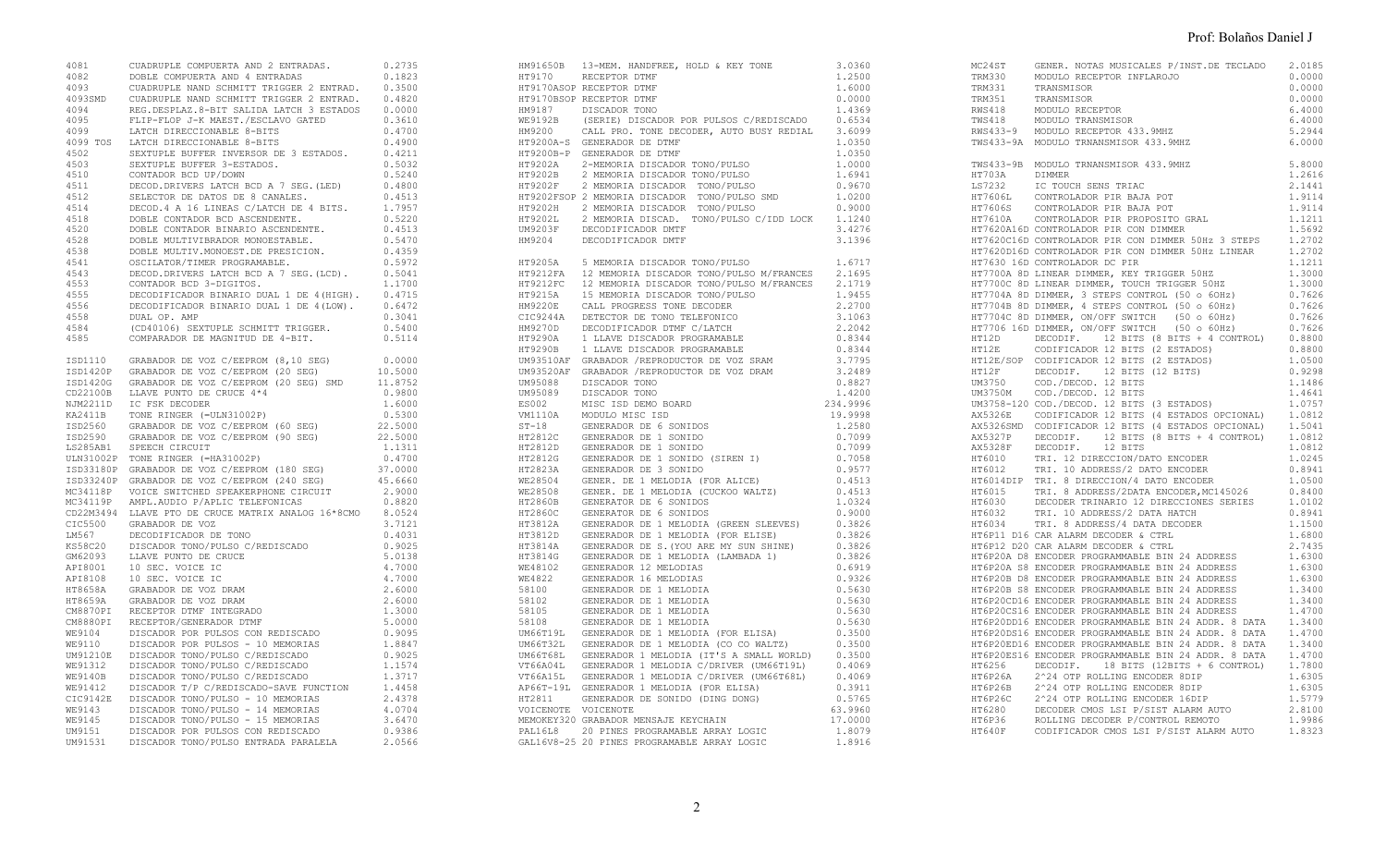| 4081 | CUADRUPLE COMPUERTA AND 2 ENTRADAS. 0.2735                                                                                                                                                                                               |         |
|------|------------------------------------------------------------------------------------------------------------------------------------------------------------------------------------------------------------------------------------------|---------|
|      | A COMPUERTA AND 4 ENTRADAS 0.1823<br>4093 CUADRUPLE NAND SCHMITT TRIGGER 2 ENTRAD. 0.3500<br>4093SMD CUADRUPLE NAND SCHMITT TRIGGER 2 ENTRAD. 0.4820<br>4094 REG.DESPLAZ.8-BIT SALIDA LATCH 3 ESTADOS 0.0000                             |         |
|      |                                                                                                                                                                                                                                          |         |
|      |                                                                                                                                                                                                                                          |         |
|      |                                                                                                                                                                                                                                          |         |
| 4095 | FLIP-FLOP J-K MAEST./ESCLAVO GATED                                                                                                                                                                                                       | 0.3610  |
| 4099 | LATCH DIRECCIONABLE 8-BITS                                                                                                                                                                                                               | 0.4700  |
|      |                                                                                                                                                                                                                                          | 0.4900  |
|      | 4099 TOS LATCH DIRECCIONABLE 8-BITS<br>4099 TOS LATCH DIRECCIONABLE 8-BITS<br>4502 SEXTUPLE BUFFER INVERSOR DE 3 ESTADOS.<br>4510 CONTADOR BCD UP/DOWN<br>4511 DECOD DRIVERS LATCH BCD A 7 SEG. (LED)<br>4512 DECOD DRIVERS LATCH BCD A  | 0.4211  |
|      |                                                                                                                                                                                                                                          | 0.5032  |
|      |                                                                                                                                                                                                                                          | 0.5240  |
|      |                                                                                                                                                                                                                                          | 0.4800  |
|      |                                                                                                                                                                                                                                          | 0.4513  |
|      |                                                                                                                                                                                                                                          | 1.7957  |
|      |                                                                                                                                                                                                                                          | 0.5220  |
|      |                                                                                                                                                                                                                                          | 0.4513  |
| 4528 |                                                                                                                                                                                                                                          |         |
|      | DOBLE MULTIVIBRADOR MONOESTABLE. 0.5470<br>DOBLE MULTIVIBRADOR MONOESTABLE. 0.5470<br>OSCILATOR/TIMER PROGRAMABLE. 0.5972<br>DECOD.DRIVERS LATCH BCD A 7 SEG.(LCD). 0.5041<br>CONTADOR BCD 3-DIGITOS. 1.1700<br>DECODIFICADOR BINARIO DU |         |
| 4538 |                                                                                                                                                                                                                                          |         |
| 4541 |                                                                                                                                                                                                                                          |         |
| 4543 |                                                                                                                                                                                                                                          |         |
| 4553 |                                                                                                                                                                                                                                          |         |
| 4555 |                                                                                                                                                                                                                                          |         |
| 4556 | DECODIFICADOR BINARIO DUAL 1 DE 4(LOW).                                                                                                                                                                                                  | 0.6472  |
| 4558 | DUAL OP. AMP                                                                                                                                                                                                                             | 0.3041  |
| 4584 | (CD40106) SEXTUPLE SCHMITT TRIGGER.                                                                                                                                                                                                      | 0.5400  |
| 4585 | COMPARADOR DE MAGNITUD DE 4-BIT.                                                                                                                                                                                                         | 0.5114  |
|      |                                                                                                                                                                                                                                          |         |
|      |                                                                                                                                                                                                                                          | 10.5000 |
|      |                                                                                                                                                                                                                                          |         |
|      |                                                                                                                                                                                                                                          |         |
|      |                                                                                                                                                                                                                                          |         |
|      |                                                                                                                                                                                                                                          |         |
|      |                                                                                                                                                                                                                                          |         |
|      |                                                                                                                                                                                                                                          |         |
|      |                                                                                                                                                                                                                                          |         |
|      |                                                                                                                                                                                                                                          |         |
|      | TED33180P GRABADOR DE VOZ C/EEPROM (180 SEG)<br>ISD33240P GRABADOR DE VOZ C/EEPROM (240 SEG)<br>MC34118P VOICE SWITCHED SPEAKERPHONE CIRCUIT<br>MC34119P AMPL.AUDIO P/APLIC TELEFONICAS                                                  | 37.0000 |
|      |                                                                                                                                                                                                                                          | 45.6660 |
|      |                                                                                                                                                                                                                                          | 2.9000  |
|      |                                                                                                                                                                                                                                          | 0.8820  |
|      | CD22M3494 LLAVE PTO DE CRUCE MATRIX ANALOG 16*8CMO 8.0524                                                                                                                                                                                |         |
|      | CIC5500 GRABADOR DE VOZ                                                                                                                                                                                                                  | 3.7121  |
|      | LM567 DECODIFICADOR DE TONO<br>KS58C20 DISCADOR TONO/PULSO C/REDISCADO<br>GM62093 LLAVE PUNTO DE CRUCE<br>API8001 10 SEC. VOICE IC<br>API8108 10 SEC. VOICE IC<br>API8108 10 SEC. VOICE IC                                               | 0.4031  |
|      |                                                                                                                                                                                                                                          | 0.9025  |
|      |                                                                                                                                                                                                                                          | 5.0138  |
|      |                                                                                                                                                                                                                                          | 4.7000  |
|      |                                                                                                                                                                                                                                          | 4.7000  |
|      |                                                                                                                                                                                                                                          |         |
|      |                                                                                                                                                                                                                                          |         |
|      |                                                                                                                                                                                                                                          |         |
|      |                                                                                                                                                                                                                                          |         |
|      |                                                                                                                                                                                                                                          |         |
|      |                                                                                                                                                                                                                                          |         |
|      |                                                                                                                                                                                                                                          |         |
|      |                                                                                                                                                                                                                                          |         |
|      |                                                                                                                                                                                                                                          |         |
|      |                                                                                                                                                                                                                                          |         |
|      |                                                                                                                                                                                                                                          |         |
|      |                                                                                                                                                                                                                                          |         |
|      |                                                                                                                                                                                                                                          |         |
|      |                                                                                                                                                                                                                                          |         |
|      |                                                                                                                                                                                                                                          |         |
|      |                                                                                                                                                                                                                                          |         |

| HM91650B 13-MEM. HANDFREE, HOLD & KEY TONE<br>HT9170      RECEPTOR DTMF<br>HT9170ASOP RECEPTOR DTMF<br>HT9170BSOP RECEPTOR DTMF<br>HM9187 DISCADOR TONO 1.4369<br>WE9192B (SERIE) DISCADOR POR PULSOS C/REDISCADO 0.6534<br>HM9200 CALL PRO. TONE DECODER, AUTO BUSY REDIAL 3.6099<br>HT9200A-S GENERADOR DE DTMF<br>HISZOOB-P GENERADOR DE DTMF<br>HT9202A 2-MEMORIA DISCADOR TONO/PULSO<br>HT9202B 2 MEMORIA DISCADOR TONO/PULSO<br>HT9202F 2 MEMORIA DISCADOR TONO/PULSO<br>TRISCADOR TONO/PULSO<br>HT9202F 2 MEMORIA DISCADOR TONO/PULSO<br>HT9202FSOP 2 MEMORIA DISCADOR TONO/PULSO SMD | 3.0360<br>1,2500<br>1.6000<br>0.0000<br>1.0350<br>1.0350<br>1.0000<br>1.6941<br>0.9670<br>1.0200 |
|----------------------------------------------------------------------------------------------------------------------------------------------------------------------------------------------------------------------------------------------------------------------------------------------------------------------------------------------------------------------------------------------------------------------------------------------------------------------------------------------------------------------------------------------------------------------------------------------|--------------------------------------------------------------------------------------------------|
| UM92019 DECODIFICADOR MPHP (1976)<br>HT9205A DECODIFICADOR MPHP (1976)<br>HT9202A DECODIFICADOR NORTRE (1977)<br>HT9212FA 12 MEMORIA DISCADOR TONO/FULSO M/FRANCES 2.1595<br>HT9212FA 12 MEMORIA DISCADOR TONO/FULSO M/FRANCES 2.1519                                                                                                                                                                                                                                                                                                                                                        |                                                                                                  |
|                                                                                                                                                                                                                                                                                                                                                                                                                                                                                                                                                                                              |                                                                                                  |
|                                                                                                                                                                                                                                                                                                                                                                                                                                                                                                                                                                                              |                                                                                                  |
|                                                                                                                                                                                                                                                                                                                                                                                                                                                                                                                                                                                              |                                                                                                  |
| MEMOKEY320 GRABADOR MENSAJE KEYCHAIN                                                                                                                                                                                                                                                                                                                                                                                                                                                                                                                                                         | 17.0000                                                                                          |
| PAL16L8 20 PINES PROGRAMABLE ARRAY LOGIC<br>GAL16V8-25 20 PINES PROGRAMABLE ARRAY LOGIC                                                                                                                                                                                                                                                                                                                                                                                                                                                                                                      | 1.8079<br>1.8916                                                                                 |

|                               | MC24ST GENER. NOTAS MUSICALES P/INST.DE TECLADO                                                                                                                                                                                                                                                                                                                                                                                                                                 | 2.0185               |
|-------------------------------|---------------------------------------------------------------------------------------------------------------------------------------------------------------------------------------------------------------------------------------------------------------------------------------------------------------------------------------------------------------------------------------------------------------------------------------------------------------------------------|----------------------|
|                               |                                                                                                                                                                                                                                                                                                                                                                                                                                                                                 | 0.0000               |
|                               |                                                                                                                                                                                                                                                                                                                                                                                                                                                                                 | 0.0000               |
|                               |                                                                                                                                                                                                                                                                                                                                                                                                                                                                                 | 0.0000               |
|                               |                                                                                                                                                                                                                                                                                                                                                                                                                                                                                 | 6,4000               |
|                               |                                                                                                                                                                                                                                                                                                                                                                                                                                                                                 | 6.4000               |
|                               |                                                                                                                                                                                                                                                                                                                                                                                                                                                                                 | 5.2944               |
|                               | TREE MODULO RECEPTOR INFLAROJO<br>TREE TRANSMISOR<br>TRANS31 TRANSMISOR<br>TRANS51 TRANSMISOR<br>RWS418 MODULO RECEPTOR<br>TWS418 MODULO RECEPTOR<br>RWS433-9 MODULO RECEPTOR 433.9MHZ<br>TWS433-9A MODULO RECEPTOR 433.9MHZ<br>TWS433-9A MODULO TRNAN                                                                                                                                                                                                                          | 6,0000               |
|                               | TWS433-9B MODULO TRNANSMISOR 433.9MHZ                                                                                                                                                                                                                                                                                                                                                                                                                                           | 5.8000               |
|                               |                                                                                                                                                                                                                                                                                                                                                                                                                                                                                 | 1.2616               |
|                               | TW332<br>HT703A<br>HT703A<br>HT7606L CONTROLADOR PIR BAJA POT<br>HT7606S CONTROLADOR PIR BAJA POT<br>HT7606S CONTROLADOR PIR BAJA POT<br>HT7610A CONTROLADOR PIR PROPOSITO GRAL<br>HT7610A CONTROLADOR PIR CON DIMMER                                                                                                                                                                                                                                                           | 2.1441               |
|                               |                                                                                                                                                                                                                                                                                                                                                                                                                                                                                 | 1.9114               |
|                               |                                                                                                                                                                                                                                                                                                                                                                                                                                                                                 | 1.9114               |
|                               |                                                                                                                                                                                                                                                                                                                                                                                                                                                                                 | 1.1211               |
|                               | HT7620A16D CONTROLADOR PIR CON DIMMER                                                                                                                                                                                                                                                                                                                                                                                                                                           | 1.5692               |
|                               |                                                                                                                                                                                                                                                                                                                                                                                                                                                                                 |                      |
|                               | HT7620C16D CONTROLADOR PIR CON DIMMER 50Hz 3 STEPS 1.2702<br>HT7620D16D CONTROLADOR PIR CON DIMMER 50Hz LINEAR 1.2702                                                                                                                                                                                                                                                                                                                                                           |                      |
| HT7630 16D CONTROLADOR DC PIR |                                                                                                                                                                                                                                                                                                                                                                                                                                                                                 | 1.1211               |
|                               |                                                                                                                                                                                                                                                                                                                                                                                                                                                                                 | 1.3000               |
|                               |                                                                                                                                                                                                                                                                                                                                                                                                                                                                                 | 1.3000               |
|                               |                                                                                                                                                                                                                                                                                                                                                                                                                                                                                 | $0.7626$<br>$0.7626$ |
|                               | HTT700A 8D LINEAR DIMMER, KEY TRIGGER 50HZ<br>HTT700A 8D LINEAR DIMMER, KEY TRIGGER 50HZ<br>HT7704A 8D DIMMER, 3 STEPS CONTROL (50 o 60Hz)<br>HT7704B 8D DIMMER, 4 STEPS CONTROL (50 o 60Hz)<br>HT7704C 8D DIMMER, ON/OFF SWITCH (50 o 60H                                                                                                                                                                                                                                      |                      |
|                               |                                                                                                                                                                                                                                                                                                                                                                                                                                                                                 | 0.7626               |
|                               |                                                                                                                                                                                                                                                                                                                                                                                                                                                                                 |                      |
|                               |                                                                                                                                                                                                                                                                                                                                                                                                                                                                                 |                      |
|                               |                                                                                                                                                                                                                                                                                                                                                                                                                                                                                 |                      |
|                               |                                                                                                                                                                                                                                                                                                                                                                                                                                                                                 |                      |
|                               |                                                                                                                                                                                                                                                                                                                                                                                                                                                                                 |                      |
|                               |                                                                                                                                                                                                                                                                                                                                                                                                                                                                                 |                      |
|                               | MATRIZE DECODIF. 12 BITS (8 BITS + 4 CONTROL)<br>HT12D DECODIF. 12 BITS (8 BITS + 4 CONTROL) 0.8800<br>HT12E CODIFICADOR 12 BITS (2 ESTADOS) 0.8800<br>HT12E/SOP CODIFICADOR 12 BITS (2 ESTADOS) 1.0500<br>HT12E DECODIF. 12 BITS (12<br>UM3750 COD./DECOD. 12 DILS<br>UM3750M COD./DECOD. 12 BITS<br>UM3758-120 COD./DECOD. 12 BITS (3 ESTADOS) 1.0757<br>AX5326E CODIFICADOR 12 BITS (4 ESTADOS OPCIONAL) 1.0812<br>AX5326SMD CODIFICADOR 12 BITS (4 ESTADOS OPCIONAL) 1.5041 |                      |
|                               |                                                                                                                                                                                                                                                                                                                                                                                                                                                                                 |                      |
|                               |                                                                                                                                                                                                                                                                                                                                                                                                                                                                                 |                      |
|                               |                                                                                                                                                                                                                                                                                                                                                                                                                                                                                 |                      |
|                               |                                                                                                                                                                                                                                                                                                                                                                                                                                                                                 |                      |
|                               |                                                                                                                                                                                                                                                                                                                                                                                                                                                                                 |                      |
|                               |                                                                                                                                                                                                                                                                                                                                                                                                                                                                                 |                      |
|                               |                                                                                                                                                                                                                                                                                                                                                                                                                                                                                 |                      |
|                               |                                                                                                                                                                                                                                                                                                                                                                                                                                                                                 |                      |
|                               |                                                                                                                                                                                                                                                                                                                                                                                                                                                                                 |                      |
|                               |                                                                                                                                                                                                                                                                                                                                                                                                                                                                                 |                      |
|                               | AX53268MD CODIFICADOR I2 BITS (4 ESTADOS OPCIONAL) 1.5041<br>AX5327P DECODIF. 12 BITS (8 BITS + 4 CONTROL) 1.0812<br>AX5328F DECODIF. 12 BITS (8 BITS + 4 CONTROL) 1.0812<br>HT6010 TRI. 12 DIRECCION/DATO ENCODER 1.0245<br>HT6012 TR                                                                                                                                                                                                                                          |                      |
|                               |                                                                                                                                                                                                                                                                                                                                                                                                                                                                                 |                      |
|                               | HT6P12 D20 CAR ALARM DECODER & CTRL                                                                                                                                                                                                                                                                                                                                                                                                                                             | 2.7435               |
|                               |                                                                                                                                                                                                                                                                                                                                                                                                                                                                                 |                      |
|                               |                                                                                                                                                                                                                                                                                                                                                                                                                                                                                 |                      |
|                               |                                                                                                                                                                                                                                                                                                                                                                                                                                                                                 |                      |
|                               |                                                                                                                                                                                                                                                                                                                                                                                                                                                                                 |                      |
|                               |                                                                                                                                                                                                                                                                                                                                                                                                                                                                                 |                      |
|                               |                                                                                                                                                                                                                                                                                                                                                                                                                                                                                 |                      |
|                               |                                                                                                                                                                                                                                                                                                                                                                                                                                                                                 |                      |
|                               |                                                                                                                                                                                                                                                                                                                                                                                                                                                                                 |                      |
|                               | HIOPZOUSIO ENCODER PROGRAMMABLE BIN 24 ADDR. 8 DATA 1.4/00<br>HT6P2OED16 ENCODER PROGRAMMABLE BIN 24 ADDR. 8 DATA 1.3400<br>HT6P2OES16 ENCODER PROGRAMMABLE BIN 24 ADDR. 8 DATA 1.4700<br>HT6P265 DECODIF. 18 BITS (12BITS + 6 CONTROL)                                                                                                                                                                                                                                         |                      |
|                               |                                                                                                                                                                                                                                                                                                                                                                                                                                                                                 |                      |
|                               |                                                                                                                                                                                                                                                                                                                                                                                                                                                                                 |                      |
|                               |                                                                                                                                                                                                                                                                                                                                                                                                                                                                                 |                      |
|                               |                                                                                                                                                                                                                                                                                                                                                                                                                                                                                 |                      |
|                               |                                                                                                                                                                                                                                                                                                                                                                                                                                                                                 |                      |
|                               |                                                                                                                                                                                                                                                                                                                                                                                                                                                                                 |                      |
|                               |                                                                                                                                                                                                                                                                                                                                                                                                                                                                                 |                      |
|                               |                                                                                                                                                                                                                                                                                                                                                                                                                                                                                 |                      |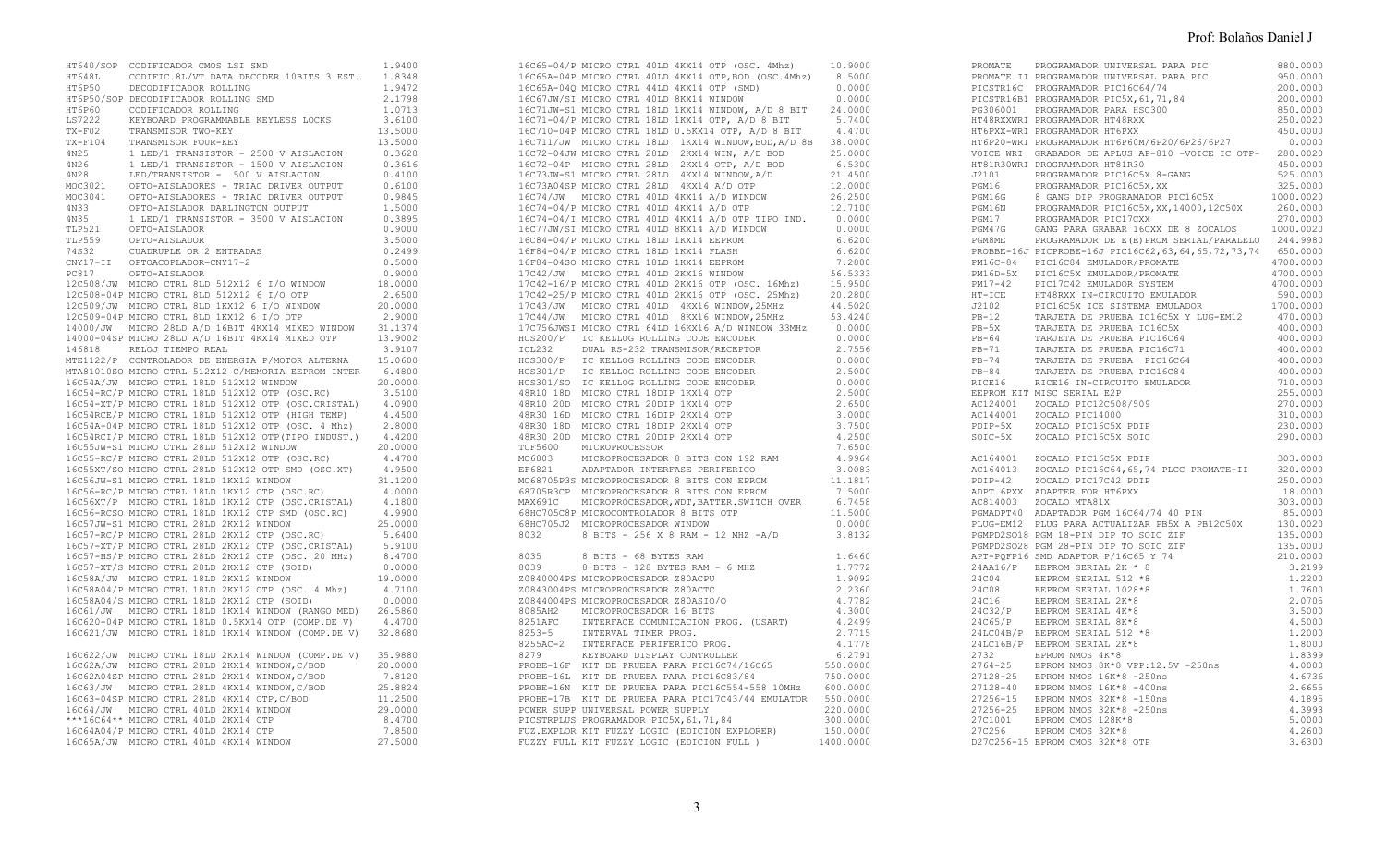|                 | HT640/SOP CODIFICADOR CMOS LSI SMD                                                                                                                                                                                                            | 1.9400  |
|-----------------|-----------------------------------------------------------------------------------------------------------------------------------------------------------------------------------------------------------------------------------------------|---------|
|                 |                                                                                                                                                                                                                                               |         |
|                 | HT648L CODIFIC.8L/VT DATA DECODER 10BITS 3 EST.<br>HT6P50 DECODIFICADOR ROLLING                                                                                                                                                               | 1.8348  |
|                 |                                                                                                                                                                                                                                               | 1.9472  |
|                 | HT6P50/SOP DECODIFICADOR ROLLING SMD                                                                                                                                                                                                          | 2.1798  |
|                 | HT6P60 CODIFICADOR ROLLING                                                                                                                                                                                                                    | 1.0713  |
| LS7222          | KEYBOARD PROGRAMMABLE KEYLESS LOCKS                                                                                                                                                                                                           | 3.6100  |
|                 |                                                                                                                                                                                                                                               |         |
|                 |                                                                                                                                                                                                                                               |         |
|                 |                                                                                                                                                                                                                                               |         |
|                 |                                                                                                                                                                                                                                               |         |
|                 |                                                                                                                                                                                                                                               |         |
|                 |                                                                                                                                                                                                                                               |         |
|                 |                                                                                                                                                                                                                                               |         |
|                 |                                                                                                                                                                                                                                               |         |
|                 |                                                                                                                                                                                                                                               |         |
|                 |                                                                                                                                                                                                                                               |         |
|                 |                                                                                                                                                                                                                                               |         |
|                 |                                                                                                                                                                                                                                               |         |
|                 |                                                                                                                                                                                                                                               |         |
| TLP559<br>74S32 | OPTO-AISLADOR                                                                                                                                                                                                                                 | 3.5000  |
|                 | CUADRUPLE OR 2 ENTRADAS                                                                                                                                                                                                                       | 0.2499  |
|                 | CNY17-II OPTOACOPLADOR=CNY17-2<br>PC817 OPTO-AISLADOR                                                                                                                                                                                         | 0.5000  |
|                 |                                                                                                                                                                                                                                               | 0.9000  |
|                 | 12C508/JW MICRO CTRL 8LD 512X12 6 I/O WINDOW                                                                                                                                                                                                  |         |
|                 |                                                                                                                                                                                                                                               | 18.0000 |
|                 | 12C508-04P MICRO CTRL 8LD 512X12 6 I/O OTP<br>12C508-04P MICRO CTRL 8LD 512X12 6 I/O OTP<br>12C509/JW MICRO CTRL 8LD 1KX12 6 I/O WINDOW<br>12C509-04P MICRO CTRL 8LD 1KX12 6 I/O OTP                                                          | 2.6500  |
|                 |                                                                                                                                                                                                                                               | 20.0000 |
|                 | 12C509-04P MICRO CTRL 8LD 1KX12 6 I/O OTP                                                                                                                                                                                                     | 2.9000  |
|                 | 14000/JW MICRO 28LD A/D 16BIT 4KX14 MIXED WINDOW 31.1374<br>14000-04SP MICRO 28LD A/D 16BIT 4KX14 MIXED OTP 13.9002                                                                                                                           |         |
|                 |                                                                                                                                                                                                                                               |         |
|                 |                                                                                                                                                                                                                                               |         |
|                 | 146818 RELOJ TIEMPO REAL                                                                                                                                                                                                                      |         |
|                 |                                                                                                                                                                                                                                               |         |
|                 |                                                                                                                                                                                                                                               |         |
|                 |                                                                                                                                                                                                                                               |         |
|                 | 16C54-RC/P MICRO CIRL 10LD J1ZX1Z WINDOW<br>16C54-RC/P MICRO CIRL 18LD 512X12 OTP (OSC.RC)                                                                                                                                                    |         |
|                 |                                                                                                                                                                                                                                               |         |
|                 | 16C54-RC/P MICRO CTRL 18LD 512X12 OTP (USU.RU)<br>16C54-RC/P MICRO CTRL 18LD 512X12 OTP (OSC.CRISTAL) 4.0900<br>16C54RCE/P MICRO CTRL 18LD 512X12 OTP (HIGH TEMP) 4.4500<br>16C54A-04P MICRO CTRL 18LD 512X12 OTP (OSC. 4 Mhz) 2.800          |         |
|                 |                                                                                                                                                                                                                                               |         |
|                 |                                                                                                                                                                                                                                               |         |
|                 |                                                                                                                                                                                                                                               |         |
|                 |                                                                                                                                                                                                                                               |         |
|                 |                                                                                                                                                                                                                                               |         |
|                 |                                                                                                                                                                                                                                               |         |
|                 |                                                                                                                                                                                                                                               |         |
|                 |                                                                                                                                                                                                                                               |         |
|                 |                                                                                                                                                                                                                                               |         |
|                 |                                                                                                                                                                                                                                               |         |
|                 |                                                                                                                                                                                                                                               |         |
|                 |                                                                                                                                                                                                                                               |         |
|                 | 16C57JW-S1 MICRO CTRL 28LD 2KX12 WINDOW                                                                                                                                                                                                       | 25.0000 |
|                 | 16C57JW-S1 MICRO CTRL 28LD 2KX12 WINDOW<br>16C57-RC/P MICRO CTRL 28LD 2KX12 OTP (OSC.RC)                                                                                                                                                      | 5.6400  |
|                 |                                                                                                                                                                                                                                               |         |
|                 | 16C57-XT/P MICRO CTRL 28LD 2KX12 OTP (OSC.CRISTAL) 5.9100<br>16C57-HS/P MICRO CTRL 28LD 2KX12 OTP (OSC. 20 MHz) 8.4700                                                                                                                        |         |
|                 |                                                                                                                                                                                                                                               |         |
|                 | 16C57-HS/P MICRO CIRL 2010 2RX12 OTP (SOID)<br>16C57-XT/S MICRO CTRL 28LD 2RX12 OTP (SOID)                                                                                                                                                    | 0.0000  |
|                 | 16C58A/JW MICRO CTRL 18LD 2KX12 WINDOW                                                                                                                                                                                                        | 19.0000 |
|                 | 16C58A/JW MICRO CTRL TODD ZNATZ HINDS<br>16C58A04/P MICRO CTRL 18LD 2KX12 OTP (OSC. 4 Mhz)                                                                                                                                                    |         |
|                 |                                                                                                                                                                                                                                               | 4.7100  |
|                 | 16C58A04/S MICRO CTRL 18LD 2KX12 OTP (SOID)                                                                                                                                                                                                   | 0.0000  |
|                 |                                                                                                                                                                                                                                               |         |
|                 |                                                                                                                                                                                                                                               |         |
|                 |                                                                                                                                                                                                                                               |         |
|                 |                                                                                                                                                                                                                                               |         |
|                 |                                                                                                                                                                                                                                               |         |
|                 | 16C622/JW MICRO CTRL 18LD 2KX14 WINDOW (COMP.DE V) 35.9880                                                                                                                                                                                    |         |
|                 | 16C62A/JW MICRO CTRL 28LD 2KX14 WINDOW, C/BOD<br>16C62A/JW MICRO CTRL 28LD 2KX14 WINDOW, C/BOD<br>16C63/JW MICRO CTRL 28LD 4KX14 WINDOW, C/BOD<br>16C63-O48P MICRO CTRL 28LD 4KX14 OTP, C/BOD<br>16C64/JW MICRO CTRL 40LD 2KX14 WINDOW<br>*** | 20.0000 |
|                 |                                                                                                                                                                                                                                               | 7.8120  |
|                 |                                                                                                                                                                                                                                               |         |
|                 |                                                                                                                                                                                                                                               | 25.8824 |
|                 |                                                                                                                                                                                                                                               | 11.2500 |
|                 |                                                                                                                                                                                                                                               | 29.0000 |
|                 | ***16C64** MICRO CTRL 40LD 2KX14 OTP                                                                                                                                                                                                          | 8.4700  |
|                 | 16C64A04/P MICRO CTRL 40LD 2KX14 OTP                                                                                                                                                                                                          | 7.8500  |
|                 |                                                                                                                                                                                                                                               |         |
|                 | 16C65A/JW MICRO CTRL 40LD 4KX14 WINDOW                                                                                                                                                                                                        | 27.5000 |

|      | 16C67JW/SI MICRO CTRL 40LD 8KX14 WINDOW<br>16665A-040P MICRO CTRL 401D 4 KK14 APP, ROD (OSC.4Mhz) 0.5000<br>16665A-040 MICRO CTRL 404D 4 KK14 OPP (SMD) 0.0000<br>16677WSI MICRO CTRL 404D BIKK14 WIRNOW, A/D 8 BIT<br>16677WSI MICRO CTRL 14BD IKK14 WIRNOW, A/D 8 BIT<br>1671-040P | 0.0000 |
|------|--------------------------------------------------------------------------------------------------------------------------------------------------------------------------------------------------------------------------------------------------------------------------------------|--------|
|      |                                                                                                                                                                                                                                                                                      |        |
|      |                                                                                                                                                                                                                                                                                      |        |
|      |                                                                                                                                                                                                                                                                                      |        |
|      |                                                                                                                                                                                                                                                                                      |        |
|      |                                                                                                                                                                                                                                                                                      |        |
|      |                                                                                                                                                                                                                                                                                      |        |
|      |                                                                                                                                                                                                                                                                                      |        |
|      |                                                                                                                                                                                                                                                                                      |        |
|      |                                                                                                                                                                                                                                                                                      |        |
|      |                                                                                                                                                                                                                                                                                      |        |
|      |                                                                                                                                                                                                                                                                                      |        |
|      |                                                                                                                                                                                                                                                                                      |        |
|      |                                                                                                                                                                                                                                                                                      |        |
|      |                                                                                                                                                                                                                                                                                      |        |
|      |                                                                                                                                                                                                                                                                                      |        |
|      |                                                                                                                                                                                                                                                                                      |        |
|      |                                                                                                                                                                                                                                                                                      |        |
|      |                                                                                                                                                                                                                                                                                      |        |
|      |                                                                                                                                                                                                                                                                                      |        |
|      |                                                                                                                                                                                                                                                                                      |        |
|      |                                                                                                                                                                                                                                                                                      |        |
|      |                                                                                                                                                                                                                                                                                      |        |
|      |                                                                                                                                                                                                                                                                                      |        |
|      |                                                                                                                                                                                                                                                                                      |        |
|      |                                                                                                                                                                                                                                                                                      |        |
|      |                                                                                                                                                                                                                                                                                      |        |
|      |                                                                                                                                                                                                                                                                                      |        |
|      |                                                                                                                                                                                                                                                                                      |        |
|      |                                                                                                                                                                                                                                                                                      |        |
|      |                                                                                                                                                                                                                                                                                      |        |
|      |                                                                                                                                                                                                                                                                                      |        |
|      |                                                                                                                                                                                                                                                                                      |        |
|      |                                                                                                                                                                                                                                                                                      |        |
|      |                                                                                                                                                                                                                                                                                      |        |
|      |                                                                                                                                                                                                                                                                                      |        |
|      |                                                                                                                                                                                                                                                                                      |        |
|      |                                                                                                                                                                                                                                                                                      |        |
|      |                                                                                                                                                                                                                                                                                      |        |
|      |                                                                                                                                                                                                                                                                                      |        |
| 8032 | 8 BITS - 256 X 8 RAM - 12 MHZ -A/D                                                                                                                                                                                                                                                   | 3.8132 |
|      |                                                                                                                                                                                                                                                                                      |        |
|      |                                                                                                                                                                                                                                                                                      |        |
|      |                                                                                                                                                                                                                                                                                      |        |
|      |                                                                                                                                                                                                                                                                                      |        |
|      |                                                                                                                                                                                                                                                                                      |        |
|      | Z0844004PS MICROPROCESADOR Z80ASIO/O                                                                                                                                                                                                                                                 |        |
|      | $\begin{tabular}{lllllllll} 8085\texttt{A}\texttt{H2} & \texttt{MICROPROESADOR 16 B}\texttt{ITS} & 4.3000 \\ 8251\texttt{A}\texttt{FC} & \texttt{INTERFACE COMUNICACION PROG. (USART) } & 4.2499 \\ 8253-5 & \texttt{INTERVAL TIMER PROG.} & & & \\ \end{tabular}$                   |        |
|      |                                                                                                                                                                                                                                                                                      |        |
|      |                                                                                                                                                                                                                                                                                      |        |
|      |                                                                                                                                                                                                                                                                                      | 4.1778 |
|      |                                                                                                                                                                                                                                                                                      |        |
|      |                                                                                                                                                                                                                                                                                      |        |
|      |                                                                                                                                                                                                                                                                                      |        |
|      |                                                                                                                                                                                                                                                                                      |        |
|      | PROBE-17B KIT DE PRUEBA PARA PIC17C43/44 EMULATOR 550.0000                                                                                                                                                                                                                           |        |
|      |                                                                                                                                                                                                                                                                                      |        |
|      |                                                                                                                                                                                                                                                                                      |        |
|      |                                                                                                                                                                                                                                                                                      |        |
|      | FOWER SUPP UNIVERSAL POWER SUPPLY<br>PICSTRPLUS PROGRAMADOR PICSX, 61, 71, 84 300.0000<br>FUZ.EXPLOR KIT FUZZY LOGIC (EDICION EXPLORER) 150.0000<br>FUZZY FULL KIT FUZZY LOGIC (EDICION FULL) 1400.0000                                                                              |        |
|      |                                                                                                                                                                                                                                                                                      |        |

| PROMATE PROGRAMADOR UNIVERSAL PARA PIC<br>PROMATE II PROGRAMADOR UNIVERSAL PARA PIC<br>PICSTR16C PROGRAMADOR PIC16C64/74<br>PICSTR16P1 PROGRAMADOR PIC5X,61,71,84                                                                                   | 880.0000             |
|-----------------------------------------------------------------------------------------------------------------------------------------------------------------------------------------------------------------------------------------------------|----------------------|
|                                                                                                                                                                                                                                                     | 950.0000             |
|                                                                                                                                                                                                                                                     | 200.0000             |
| PICSTR16B1 PROGRAMADOR PIC5X, 61, 71, 84                                                                                                                                                                                                            | 200.0000             |
| PG306001 PROGRAMADOR PARA HSC300                                                                                                                                                                                                                    | 850.0000             |
| HT48RXXWRI PROGRAMADOR HT48RXX                                                                                                                                                                                                                      | 250.0020             |
| HT6PXX-WRI PROGRAMADOR HT6PXX                                                                                                                                                                                                                       | 450.0000             |
| HT6P20-WRI PROGRAMADOR HT6P60M/6P20/6P26/6P27                                                                                                                                                                                                       | 0.0000               |
| VOICE WRI GRABADOR DE APLUS AP-810 -VOICE IC OTP- 280.0020                                                                                                                                                                                          |                      |
| HT81R30WRI PROGRAMADOR HT81R30                                                                                                                                                                                                                      | 450.0000             |
|                                                                                                                                                                                                                                                     |                      |
|                                                                                                                                                                                                                                                     |                      |
| T2101 PROGRAMADOR PIC16C5X 8-GANG<br>FORMADOR PIC16C5X 8-GANG<br>FORMADOR PIC16C5X 325.0000<br>PGM166 8 GANG DIP PROGRAMADOR PIC16C5X 1000.0020<br>PGM16N PROGRAMADOR PIC16C5X 20000<br>PGM16N PROGRAMADOR PIC16C5X 20000<br>PGM17 PROGRAM          |                      |
|                                                                                                                                                                                                                                                     |                      |
|                                                                                                                                                                                                                                                     |                      |
|                                                                                                                                                                                                                                                     |                      |
| PROBBE-16J PICPROBE-16J PIC16C62, 63, 64, 65, 72, 73, 74 650.0000                                                                                                                                                                                   |                      |
|                                                                                                                                                                                                                                                     |                      |
|                                                                                                                                                                                                                                                     |                      |
|                                                                                                                                                                                                                                                     |                      |
|                                                                                                                                                                                                                                                     |                      |
|                                                                                                                                                                                                                                                     |                      |
|                                                                                                                                                                                                                                                     |                      |
|                                                                                                                                                                                                                                                     |                      |
|                                                                                                                                                                                                                                                     |                      |
|                                                                                                                                                                                                                                                     |                      |
|                                                                                                                                                                                                                                                     |                      |
|                                                                                                                                                                                                                                                     |                      |
|                                                                                                                                                                                                                                                     |                      |
| EEPROM KIT MISC SERIAL E2P                                                                                                                                                                                                                          | 255.0000             |
| AC124001 ZOCALO PIC12C508/509                                                                                                                                                                                                                       | 270.0000<br>310.0000 |
|                                                                                                                                                                                                                                                     | 230.0000             |
| $\begin{tabular}{llllll} \texttt{AC144001} & \texttt{ZOCALO PIC14000} \\ \texttt{PDF-5X} & \texttt{ZOCALO PIC16CSX PDIP} \\ \texttt{SOIC-5X} & \texttt{ZOCALO PIC16CSX SOIC} \end{tabular}$                                                         | 290.0000             |
|                                                                                                                                                                                                                                                     |                      |
| AC164001 ZOCALO PIC16C5X PDIP<br>AC164013 ZOCALO PIC16C64,65,74 PLCC PROMATE-II<br>PDIP-42 ZOCALO PIC17C42 PDIP                                                                                                                                     | 303.0000             |
|                                                                                                                                                                                                                                                     | 320.0000             |
|                                                                                                                                                                                                                                                     | 250.0000             |
| ADPT.6PXX ADAPTER FOR HT6PXX                                                                                                                                                                                                                        | 18.0000              |
| AC814003 ZOCALO MTA81X<br>PGMADPT40 ADAPTADOR PGM 16C64/74 40 PIN                                                                                                                                                                                   | 303.0000             |
|                                                                                                                                                                                                                                                     | 85.0000              |
| PLUG-EMP2 PLUG PARA ACTUALIZAR PB5X A PB12C50X 130.0020<br>PCMPD2S018 PGM 18-PIN DIP TO SOIC ZIF 135.0000<br>PGMPD2S028 PGM 28-PIN DIP TO SOIC ZIF 135.0000<br>PGMPD2S028 PGM 28-PIN DIP TO SOIC ZIF 135.0000<br>APT-PQFP16 SMD ADAPTO              |                      |
|                                                                                                                                                                                                                                                     |                      |
|                                                                                                                                                                                                                                                     |                      |
|                                                                                                                                                                                                                                                     | 3.2199               |
|                                                                                                                                                                                                                                                     | 1.2200               |
|                                                                                                                                                                                                                                                     | 1.7600               |
| 24AA16/P EEPROM SERIAL 2K * 8<br>24C04 EEPROM SERIAL 2K * 8<br>24C04 EEPROM SERIAL 512 * 8<br>24C08 EEPROM SERIAL 1028*8<br>24C62/P EEPROM SERIAL 4K * 8<br>24C65/P EEPROM SERIAL 8K * 8<br>24LC04B/P EEPROM SERIAL 8K * 8<br>24LC04B/P EEPROM SERI | 2.0705               |
|                                                                                                                                                                                                                                                     | 3.5000               |
|                                                                                                                                                                                                                                                     | 4.5000               |
|                                                                                                                                                                                                                                                     | 1,2000               |
|                                                                                                                                                                                                                                                     |                      |
| 24LC04B/P EEPROM SEKIAL 512 *8<br>2732 CREPROM SERIAL 2K*8<br>2732 EPROM NMOS 4K*8 (PP:12.5V -250ns 1.8399<br>2764-25 EPROM NMOS 8K*8 VPP:12.5V -250ns 4.0000<br>27128-25 EPROM NMOS 16K*8 -400ns 4.6736<br>27256-15 EPROM NMOS 32K*8 -             |                      |
|                                                                                                                                                                                                                                                     |                      |
|                                                                                                                                                                                                                                                     |                      |
|                                                                                                                                                                                                                                                     |                      |
|                                                                                                                                                                                                                                                     |                      |
|                                                                                                                                                                                                                                                     |                      |
|                                                                                                                                                                                                                                                     |                      |
| D27C256-15 EPROM CMOS 32K*8 OTP                                                                                                                                                                                                                     | 3.6300               |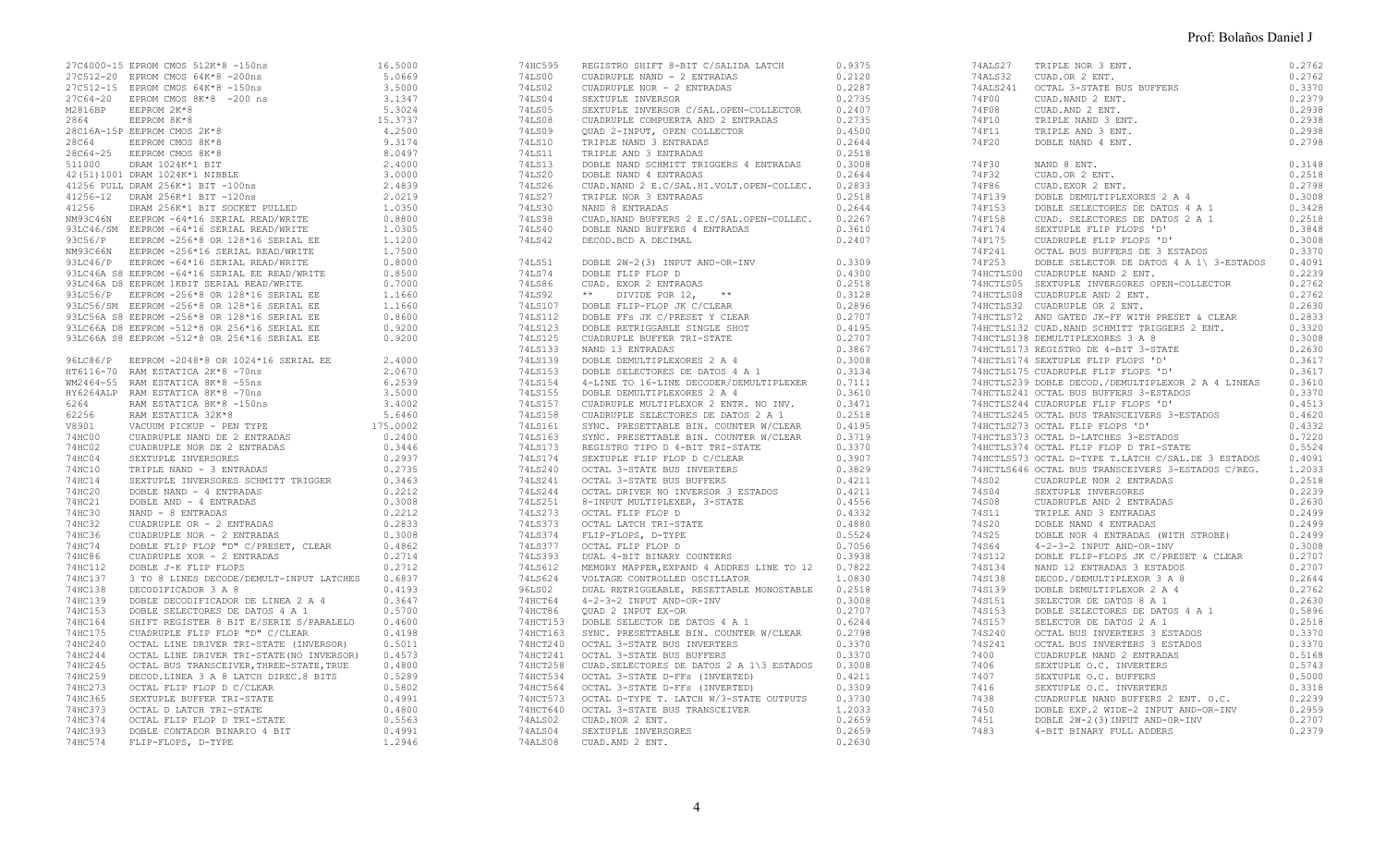|         | 27C4000-15 EPROM CMOS 512K*8 -150ns                                                                                                                                                                                                    | 16.5000 |
|---------|----------------------------------------------------------------------------------------------------------------------------------------------------------------------------------------------------------------------------------------|---------|
|         | 27C512-20 EPROM CMOS 64K*8 -200ns                                                                                                                                                                                                      | 5.0669  |
|         | 27C512-15 EPROM CMOS 64K*8 -150ns                                                                                                                                                                                                      | 3.5000  |
|         |                                                                                                                                                                                                                                        | 3.1347  |
|         | $\begin{tabular}{lllllll} 27C64-20 & \text{EPROM CMOS } 8\text{K*8} & -200 ns \\ \text{M2816BP} & \text{EEPROM } 2\text{K*8} \\ \text{2864} & \text{EEPROM } 8\text{K*8} \end{tabular}$                                                | 5.3024  |
|         |                                                                                                                                                                                                                                        | 15.3737 |
|         | 28C16A-15P EEPROM CMOS 2K*8                                                                                                                                                                                                            | 4.2500  |
|         |                                                                                                                                                                                                                                        | 9.3174  |
|         |                                                                                                                                                                                                                                        |         |
|         | $\begin{tabular}{lllllllllll} 28C64 & \text{EEPROM CMOS} & 8K*8 \\ 28C64-25 & \text{EEPROM CMOS} & 8K*8 \\ 511000 & \text{DRAM} & 1024K*1 & \text{BIT} \end{tabular}$                                                                  | 8.0497  |
|         |                                                                                                                                                                                                                                        | 2.4000  |
|         |                                                                                                                                                                                                                                        |         |
|         |                                                                                                                                                                                                                                        |         |
|         |                                                                                                                                                                                                                                        |         |
|         |                                                                                                                                                                                                                                        |         |
|         |                                                                                                                                                                                                                                        |         |
|         |                                                                                                                                                                                                                                        |         |
|         |                                                                                                                                                                                                                                        |         |
|         |                                                                                                                                                                                                                                        |         |
|         |                                                                                                                                                                                                                                        |         |
|         |                                                                                                                                                                                                                                        |         |
|         |                                                                                                                                                                                                                                        |         |
|         |                                                                                                                                                                                                                                        |         |
|         |                                                                                                                                                                                                                                        |         |
|         |                                                                                                                                                                                                                                        |         |
|         |                                                                                                                                                                                                                                        |         |
|         |                                                                                                                                                                                                                                        |         |
|         |                                                                                                                                                                                                                                        |         |
|         |                                                                                                                                                                                                                                        |         |
|         |                                                                                                                                                                                                                                        |         |
|         |                                                                                                                                                                                                                                        |         |
|         |                                                                                                                                                                                                                                        |         |
|         |                                                                                                                                                                                                                                        |         |
|         |                                                                                                                                                                                                                                        |         |
|         |                                                                                                                                                                                                                                        |         |
|         |                                                                                                                                                                                                                                        |         |
|         |                                                                                                                                                                                                                                        |         |
|         |                                                                                                                                                                                                                                        |         |
|         |                                                                                                                                                                                                                                        |         |
|         | 74HC14<br>74HC14<br>74HC20<br>DOBLE NAND - 4 ENTRADAS<br>74HC21<br>DOBLE NAND - 4 ENTRADAS<br>74HC30<br>NAND - 8 ENTRADAS<br>74HC32<br>CUADRUPLE OR - 2 ENTRADAS<br>74HC32<br>CUADRUPLE OR - 2 ENTRADAS                                | 0.3463  |
|         |                                                                                                                                                                                                                                        | 0.2212  |
|         |                                                                                                                                                                                                                                        | 0.3008  |
|         |                                                                                                                                                                                                                                        | 0.2212  |
|         |                                                                                                                                                                                                                                        | 0.2833  |
|         |                                                                                                                                                                                                                                        |         |
|         |                                                                                                                                                                                                                                        |         |
|         |                                                                                                                                                                                                                                        |         |
|         |                                                                                                                                                                                                                                        |         |
|         |                                                                                                                                                                                                                                        |         |
|         |                                                                                                                                                                                                                                        |         |
|         |                                                                                                                                                                                                                                        |         |
|         |                                                                                                                                                                                                                                        |         |
|         |                                                                                                                                                                                                                                        |         |
|         |                                                                                                                                                                                                                                        |         |
|         |                                                                                                                                                                                                                                        |         |
|         |                                                                                                                                                                                                                                        |         |
|         | FRIECAL SCIENCE DETERMINATION (NURROR) 0.4573<br>TAHC244 OCTAL LINE DRIVER TRI-STATE (NO INVERSOR) 0.4573<br>TAHC259 DECOD.LINEA 3 A 8 LATCH DIREC.8 BITS 0.5289<br>TAHC273 OCTAL FLIP FLOP D C/CLEAR 0.5802<br>TAHC365 SEXTUPLE BUFFE |         |
|         |                                                                                                                                                                                                                                        |         |
|         |                                                                                                                                                                                                                                        |         |
|         |                                                                                                                                                                                                                                        |         |
|         |                                                                                                                                                                                                                                        |         |
|         |                                                                                                                                                                                                                                        | 0.4800  |
|         |                                                                                                                                                                                                                                        | 0.5563  |
|         | THE SEXTUPLE BUFFER TRI-STATE<br>74HC353 OCTAL D LATCH TRI-STATE<br>74HC374 OCTAL FLIP FLOP D TRI-STATE<br>74HC393 DOBLE CONTADOR BINARIO 4 BIT<br>74HC393 DOBLE CONTADOR BINARIO 4 BIT<br>TLIP TLOR D TWARIO 4 BIT                    | 0.4991  |
| 74HC574 | FLIP-FLOPS, D-TYPE                                                                                                                                                                                                                     | 1.2946  |

|  | 74HC595 REGISTRO SHIFT 8-BIT C/SALIDA LATCH                                                                                                                                                                                                 | 0.9375 |
|--|---------------------------------------------------------------------------------------------------------------------------------------------------------------------------------------------------------------------------------------------|--------|
|  |                                                                                                                                                                                                                                             |        |
|  |                                                                                                                                                                                                                                             |        |
|  |                                                                                                                                                                                                                                             |        |
|  |                                                                                                                                                                                                                                             |        |
|  |                                                                                                                                                                                                                                             |        |
|  |                                                                                                                                                                                                                                             |        |
|  |                                                                                                                                                                                                                                             |        |
|  |                                                                                                                                                                                                                                             |        |
|  |                                                                                                                                                                                                                                             |        |
|  |                                                                                                                                                                                                                                             |        |
|  |                                                                                                                                                                                                                                             |        |
|  |                                                                                                                                                                                                                                             |        |
|  |                                                                                                                                                                                                                                             |        |
|  |                                                                                                                                                                                                                                             |        |
|  |                                                                                                                                                                                                                                             |        |
|  |                                                                                                                                                                                                                                             |        |
|  | 741.542<br>162419<br>16221 DECOD, BOC A DECIMAL 0.2407<br>162151 DOSLE 21-21 (21 INPUT AND-OR-INV 0.3309<br>161.584 DOSLE 21-IF PLOP D<br>162.532 CORL EXTRAINS ** 6.2512<br>162.532 TOSLE EXTRAIN 162.622 ** 6.2512<br>162.522 TOSLE EXTRA |        |
|  | 74LS51 DOBLE 2W-2(3) INPUT AND-OR-INV                                                                                                                                                                                                       | 0.3309 |
|  |                                                                                                                                                                                                                                             |        |
|  |                                                                                                                                                                                                                                             |        |
|  |                                                                                                                                                                                                                                             |        |
|  |                                                                                                                                                                                                                                             |        |
|  |                                                                                                                                                                                                                                             |        |
|  |                                                                                                                                                                                                                                             |        |
|  |                                                                                                                                                                                                                                             |        |
|  |                                                                                                                                                                                                                                             |        |
|  |                                                                                                                                                                                                                                             |        |
|  |                                                                                                                                                                                                                                             |        |
|  |                                                                                                                                                                                                                                             |        |
|  |                                                                                                                                                                                                                                             |        |
|  |                                                                                                                                                                                                                                             |        |
|  |                                                                                                                                                                                                                                             |        |
|  |                                                                                                                                                                                                                                             |        |
|  |                                                                                                                                                                                                                                             |        |
|  |                                                                                                                                                                                                                                             |        |
|  |                                                                                                                                                                                                                                             |        |
|  |                                                                                                                                                                                                                                             |        |
|  |                                                                                                                                                                                                                                             |        |
|  |                                                                                                                                                                                                                                             |        |
|  |                                                                                                                                                                                                                                             |        |
|  |                                                                                                                                                                                                                                             |        |
|  |                                                                                                                                                                                                                                             |        |
|  |                                                                                                                                                                                                                                             |        |
|  |                                                                                                                                                                                                                                             |        |
|  |                                                                                                                                                                                                                                             |        |
|  |                                                                                                                                                                                                                                             |        |
|  |                                                                                                                                                                                                                                             |        |
|  |                                                                                                                                                                                                                                             |        |
|  |                                                                                                                                                                                                                                             |        |
|  |                                                                                                                                                                                                                                             |        |
|  |                                                                                                                                                                                                                                             |        |
|  |                                                                                                                                                                                                                                             |        |
|  |                                                                                                                                                                                                                                             |        |
|  |                                                                                                                                                                                                                                             |        |
|  |                                                                                                                                                                                                                                             |        |
|  |                                                                                                                                                                                                                                             |        |
|  |                                                                                                                                                                                                                                             |        |
|  |                                                                                                                                                                                                                                             |        |
|  |                                                                                                                                                                                                                                             |        |
|  |                                                                                                                                                                                                                                             |        |
|  |                                                                                                                                                                                                                                             |        |
|  |                                                                                                                                                                                                                                             |        |
|  |                                                                                                                                                                                                                                             |        |
|  |                                                                                                                                                                                                                                             |        |
|  |                                                                                                                                                                                                                                             |        |

| 74ALS27 TRIPLE NOR 3 ENT.<br>74ALS32 CUAD.OR 2 ENT.<br>74ALS241 OCTAL 3-STATE BUS BUFFERS<br>74F00 CUAD.NAND 2 ENT.<br>74F00 TRIPLE NAND 3 ENT.<br>74F10 TRIPLE NAND 3 ENT.<br>74F11 TRIPLE AND 3 ENT.<br>74F11 TRIPLE AND 3 ENT.<br>74F20 DOB | 0.2762<br>0.2762<br>0.3370<br>0.2379<br>0.2938<br>0.2938<br>0.2938<br>0.2798 |
|------------------------------------------------------------------------------------------------------------------------------------------------------------------------------------------------------------------------------------------------|------------------------------------------------------------------------------|
|                                                                                                                                                                                                                                                |                                                                              |
|                                                                                                                                                                                                                                                |                                                                              |
|                                                                                                                                                                                                                                                |                                                                              |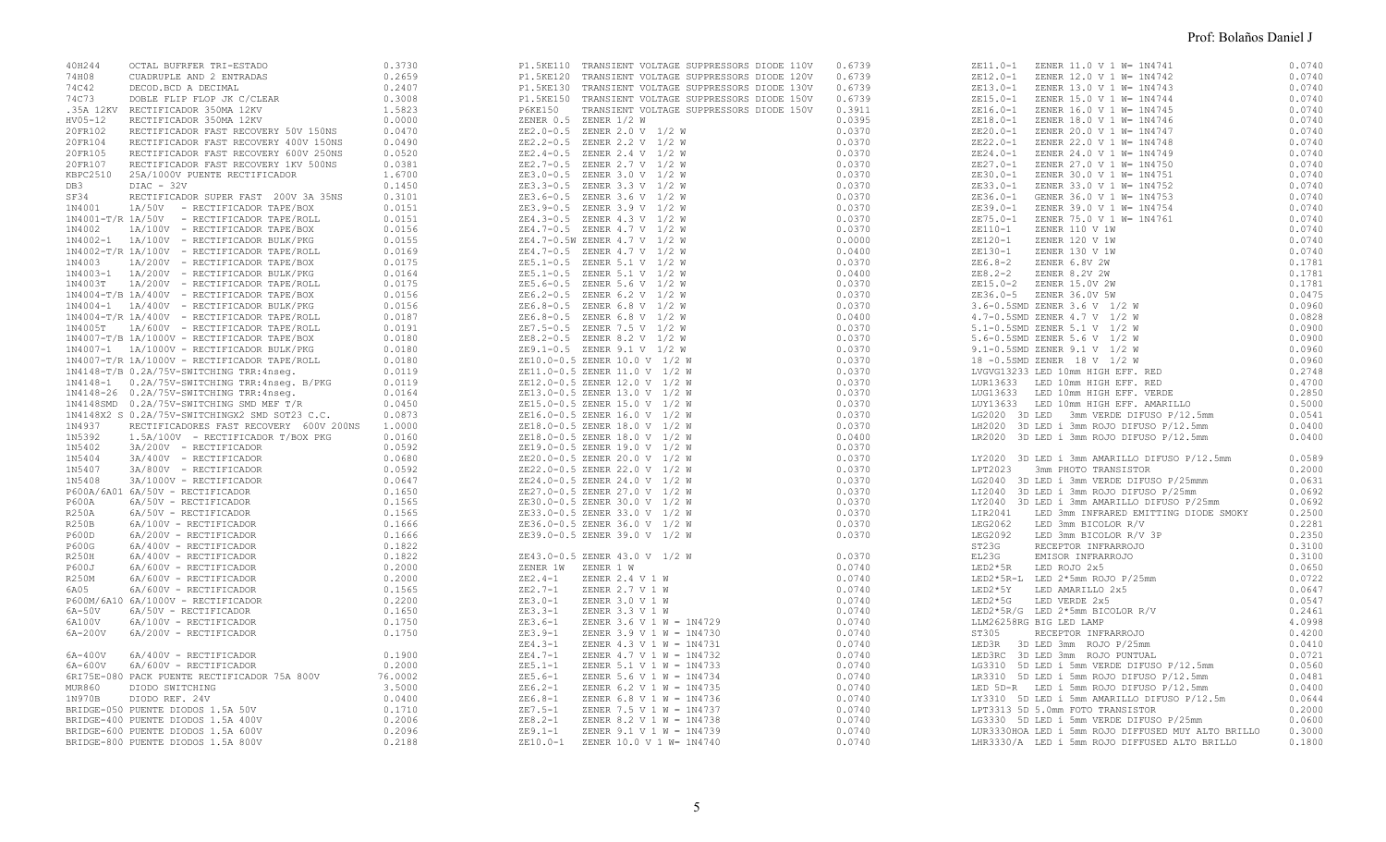| 40H244  |                                       |                                                                                                                                                                                                                                                                                                                    | P1.5KE110 TRANSIENT VOLTAGE SUPPRESSORS DIODE 110V | 0.6739 |                                                                                                                                                                                                                                             |        |
|---------|---------------------------------------|--------------------------------------------------------------------------------------------------------------------------------------------------------------------------------------------------------------------------------------------------------------------------------------------------------------------|----------------------------------------------------|--------|---------------------------------------------------------------------------------------------------------------------------------------------------------------------------------------------------------------------------------------------|--------|
| 74H08   |                                       |                                                                                                                                                                                                                                                                                                                    |                                                    |        |                                                                                                                                                                                                                                             |        |
|         |                                       |                                                                                                                                                                                                                                                                                                                    |                                                    |        |                                                                                                                                                                                                                                             |        |
| 74C42   |                                       |                                                                                                                                                                                                                                                                                                                    |                                                    |        |                                                                                                                                                                                                                                             |        |
| 74C73   |                                       |                                                                                                                                                                                                                                                                                                                    |                                                    |        |                                                                                                                                                                                                                                             |        |
|         | .35A 12KV RECTIFICADOR 350MA 12KV     |                                                                                                                                                                                                                                                                                                                    |                                                    |        |                                                                                                                                                                                                                                             |        |
| HV05-12 |                                       |                                                                                                                                                                                                                                                                                                                    |                                                    |        |                                                                                                                                                                                                                                             |        |
|         |                                       |                                                                                                                                                                                                                                                                                                                    |                                                    |        |                                                                                                                                                                                                                                             |        |
| 20FR102 |                                       |                                                                                                                                                                                                                                                                                                                    |                                                    |        |                                                                                                                                                                                                                                             |        |
| 20FR104 | RECTIFICADOR FAST RECOVERY 400V 150NS | 0.0490                                                                                                                                                                                                                                                                                                             |                                                    |        |                                                                                                                                                                                                                                             |        |
| 20FR105 | RECTIFICADOR FAST RECOVERY 600V 250NS | 0.0520                                                                                                                                                                                                                                                                                                             |                                                    |        |                                                                                                                                                                                                                                             |        |
| 20FR107 | RECTIFICADOR FAST RECOVERY 1KV 500NS  | 0.0381                                                                                                                                                                                                                                                                                                             |                                                    |        |                                                                                                                                                                                                                                             |        |
|         |                                       |                                                                                                                                                                                                                                                                                                                    |                                                    |        |                                                                                                                                                                                                                                             |        |
|         |                                       |                                                                                                                                                                                                                                                                                                                    |                                                    |        |                                                                                                                                                                                                                                             |        |
|         |                                       |                                                                                                                                                                                                                                                                                                                    |                                                    |        |                                                                                                                                                                                                                                             |        |
|         |                                       |                                                                                                                                                                                                                                                                                                                    |                                                    |        |                                                                                                                                                                                                                                             |        |
|         |                                       |                                                                                                                                                                                                                                                                                                                    |                                                    |        |                                                                                                                                                                                                                                             |        |
|         |                                       |                                                                                                                                                                                                                                                                                                                    |                                                    |        |                                                                                                                                                                                                                                             |        |
|         |                                       |                                                                                                                                                                                                                                                                                                                    |                                                    |        |                                                                                                                                                                                                                                             |        |
|         |                                       |                                                                                                                                                                                                                                                                                                                    |                                                    |        |                                                                                                                                                                                                                                             |        |
|         |                                       |                                                                                                                                                                                                                                                                                                                    |                                                    |        |                                                                                                                                                                                                                                             |        |
|         |                                       |                                                                                                                                                                                                                                                                                                                    |                                                    |        |                                                                                                                                                                                                                                             |        |
|         |                                       |                                                                                                                                                                                                                                                                                                                    |                                                    |        |                                                                                                                                                                                                                                             |        |
|         |                                       |                                                                                                                                                                                                                                                                                                                    |                                                    |        |                                                                                                                                                                                                                                             |        |
|         |                                       |                                                                                                                                                                                                                                                                                                                    |                                                    |        |                                                                                                                                                                                                                                             |        |
|         |                                       |                                                                                                                                                                                                                                                                                                                    |                                                    |        |                                                                                                                                                                                                                                             |        |
|         |                                       |                                                                                                                                                                                                                                                                                                                    |                                                    |        |                                                                                                                                                                                                                                             |        |
|         |                                       |                                                                                                                                                                                                                                                                                                                    |                                                    |        |                                                                                                                                                                                                                                             |        |
|         |                                       |                                                                                                                                                                                                                                                                                                                    |                                                    |        |                                                                                                                                                                                                                                             |        |
|         |                                       |                                                                                                                                                                                                                                                                                                                    |                                                    |        |                                                                                                                                                                                                                                             |        |
|         |                                       |                                                                                                                                                                                                                                                                                                                    |                                                    |        |                                                                                                                                                                                                                                             |        |
|         |                                       |                                                                                                                                                                                                                                                                                                                    |                                                    |        |                                                                                                                                                                                                                                             |        |
|         |                                       |                                                                                                                                                                                                                                                                                                                    |                                                    |        |                                                                                                                                                                                                                                             |        |
|         |                                       |                                                                                                                                                                                                                                                                                                                    |                                                    |        |                                                                                                                                                                                                                                             |        |
|         |                                       |                                                                                                                                                                                                                                                                                                                    |                                                    |        |                                                                                                                                                                                                                                             |        |
|         |                                       |                                                                                                                                                                                                                                                                                                                    |                                                    |        |                                                                                                                                                                                                                                             |        |
|         |                                       |                                                                                                                                                                                                                                                                                                                    |                                                    |        |                                                                                                                                                                                                                                             |        |
|         |                                       |                                                                                                                                                                                                                                                                                                                    |                                                    |        |                                                                                                                                                                                                                                             |        |
|         |                                       |                                                                                                                                                                                                                                                                                                                    |                                                    |        |                                                                                                                                                                                                                                             |        |
|         |                                       |                                                                                                                                                                                                                                                                                                                    |                                                    |        | LG2020 3D LED 3mm VERDE DIFUSO P/12.5mm                                                                                                                                                                                                     | 0.0541 |
|         |                                       |                                                                                                                                                                                                                                                                                                                    |                                                    |        | LH2020 3D LED i 3mm ROJO DIFUSO P/12.5mm                                                                                                                                                                                                    | 0.0400 |
|         |                                       |                                                                                                                                                                                                                                                                                                                    |                                                    |        | LR2020 3D LED i 3mm ROJO DIFUSO P/12.5mm                                                                                                                                                                                                    | 0.0400 |
|         |                                       |                                                                                                                                                                                                                                                                                                                    |                                                    |        |                                                                                                                                                                                                                                             |        |
|         |                                       |                                                                                                                                                                                                                                                                                                                    |                                                    |        | LY2020 3D LED i 3mm AMARILLO DIFUSO P/12.5mm                                                                                                                                                                                                | 0.0589 |
|         |                                       |                                                                                                                                                                                                                                                                                                                    |                                                    |        | LPT2023 3mm PHOTO TRANSISTOR                                                                                                                                                                                                                | 0.2000 |
|         |                                       |                                                                                                                                                                                                                                                                                                                    |                                                    |        |                                                                                                                                                                                                                                             |        |
|         |                                       |                                                                                                                                                                                                                                                                                                                    |                                                    |        | LG2040 3D LED i 3mm VERDE DIFUSO P/25mmm                                                                                                                                                                                                    | 0.0631 |
|         |                                       |                                                                                                                                                                                                                                                                                                                    |                                                    |        | LI2040 3D LED í 3mm ROJO DIFUSO P/25mm                                                                                                                                                                                                      | 0.0692 |
|         |                                       |                                                                                                                                                                                                                                                                                                                    |                                                    |        | LY2040 3D LED i 3mm AMARILLO DIFUSO P/25mm                                                                                                                                                                                                  | 0.0692 |
|         |                                       |                                                                                                                                                                                                                                                                                                                    |                                                    |        | LED 3mm INFRARED EMITTING DIODE SMOKY                                                                                                                                                                                                       | 0.2500 |
|         |                                       |                                                                                                                                                                                                                                                                                                                    |                                                    |        |                                                                                                                                                                                                                                             | 0.2281 |
|         |                                       |                                                                                                                                                                                                                                                                                                                    |                                                    |        |                                                                                                                                                                                                                                             |        |
|         |                                       |                                                                                                                                                                                                                                                                                                                    |                                                    |        |                                                                                                                                                                                                                                             | 0.2350 |
|         |                                       |                                                                                                                                                                                                                                                                                                                    |                                                    |        |                                                                                                                                                                                                                                             | 0.3100 |
|         |                                       |                                                                                                                                                                                                                                                                                                                    |                                                    |        |                                                                                                                                                                                                                                             | 0.3100 |
|         |                                       |                                                                                                                                                                                                                                                                                                                    |                                                    |        |                                                                                                                                                                                                                                             | 0.0650 |
|         |                                       |                                                                                                                                                                                                                                                                                                                    |                                                    |        |                                                                                                                                                                                                                                             | 0.0722 |
|         |                                       |                                                                                                                                                                                                                                                                                                                    |                                                    |        |                                                                                                                                                                                                                                             |        |
|         |                                       |                                                                                                                                                                                                                                                                                                                    |                                                    |        |                                                                                                                                                                                                                                             | 0.0647 |
|         |                                       |                                                                                                                                                                                                                                                                                                                    |                                                    |        |                                                                                                                                                                                                                                             | 0.0547 |
|         |                                       |                                                                                                                                                                                                                                                                                                                    |                                                    |        |                                                                                                                                                                                                                                             | 0.2461 |
|         |                                       |                                                                                                                                                                                                                                                                                                                    |                                                    |        |                                                                                                                                                                                                                                             | 4.0998 |
|         |                                       |                                                                                                                                                                                                                                                                                                                    |                                                    |        |                                                                                                                                                                                                                                             | 0.4200 |
|         |                                       |                                                                                                                                                                                                                                                                                                                    |                                                    |        |                                                                                                                                                                                                                                             | 0.0410 |
|         |                                       |                                                                                                                                                                                                                                                                                                                    |                                                    |        |                                                                                                                                                                                                                                             |        |
|         |                                       |                                                                                                                                                                                                                                                                                                                    |                                                    |        |                                                                                                                                                                                                                                             | 0.0721 |
|         |                                       |                                                                                                                                                                                                                                                                                                                    |                                                    |        |                                                                                                                                                                                                                                             | 0.0560 |
|         |                                       |                                                                                                                                                                                                                                                                                                                    |                                                    |        |                                                                                                                                                                                                                                             | 0.0481 |
|         |                                       |                                                                                                                                                                                                                                                                                                                    |                                                    |        | LIR2041 LED 3mm INFRARED EMITTING DIODE SMOKY<br>LEG2062 LED 3mm BICOLOR R/V<br>LEG2092 LED 3mm BICOLOR R/V<br>ST23G RECEPTOR INFRARROJO<br>EL23G EMISOR INFRARROJO<br>LED2*5R LED ROJO 2x5<br>LED2*5Y LED 2*5mm ROJO P/25mm<br>LED2*5Y LED | 0.0400 |
|         |                                       |                                                                                                                                                                                                                                                                                                                    |                                                    |        |                                                                                                                                                                                                                                             | 0.0644 |
|         |                                       |                                                                                                                                                                                                                                                                                                                    |                                                    |        |                                                                                                                                                                                                                                             |        |
|         |                                       |                                                                                                                                                                                                                                                                                                                    |                                                    |        |                                                                                                                                                                                                                                             | 0.2000 |
|         |                                       |                                                                                                                                                                                                                                                                                                                    |                                                    |        | LPT3313 5D 5.0mm FOTO TRANSISTOR<br>LG3330 5D LED 1 5mm VERDE DIFUSO P/25mm                                                                                                                                                                 | 0.0600 |
|         |                                       | $\begin{array}{r} \tt ZE43.0-0.1 \\ \tt ZENER~1W \\ \tt ZE2.4-1 \\ \tt ZE2.7-1 \\ \tt ZE3.0-1 \\ \tt ZE3.3-1 \\ \tt ZE3.9-1 \\ \tt ZE4.3-1 \\ \tt ZE4.7-1 \\ \tt ZE5.6-1 \\ \tt ZE6.8-1 \\ \tt ZE6.8-1 \\ \tt ZE6.8-1 \\ \tt ZE7.5-1 \\ \tt ZE6.1-1 \\ \tt ZE0.0-1 \\ \tt ZE10.0-1 \\ \tt ZE10.0-1 \\ \end{array}$ |                                                    |        | LUR3330HOA LED 1 5mm ROJO DIFFUSED MUY ALTO BRILLO 0.3000                                                                                                                                                                                   |        |
|         |                                       |                                                                                                                                                                                                                                                                                                                    |                                                    |        | LHR3330/A LED i 5mm ROJO DIFFUSED ALTO BRILLO                                                                                                                                                                                               | 0.1800 |
|         |                                       |                                                                                                                                                                                                                                                                                                                    |                                                    |        |                                                                                                                                                                                                                                             |        |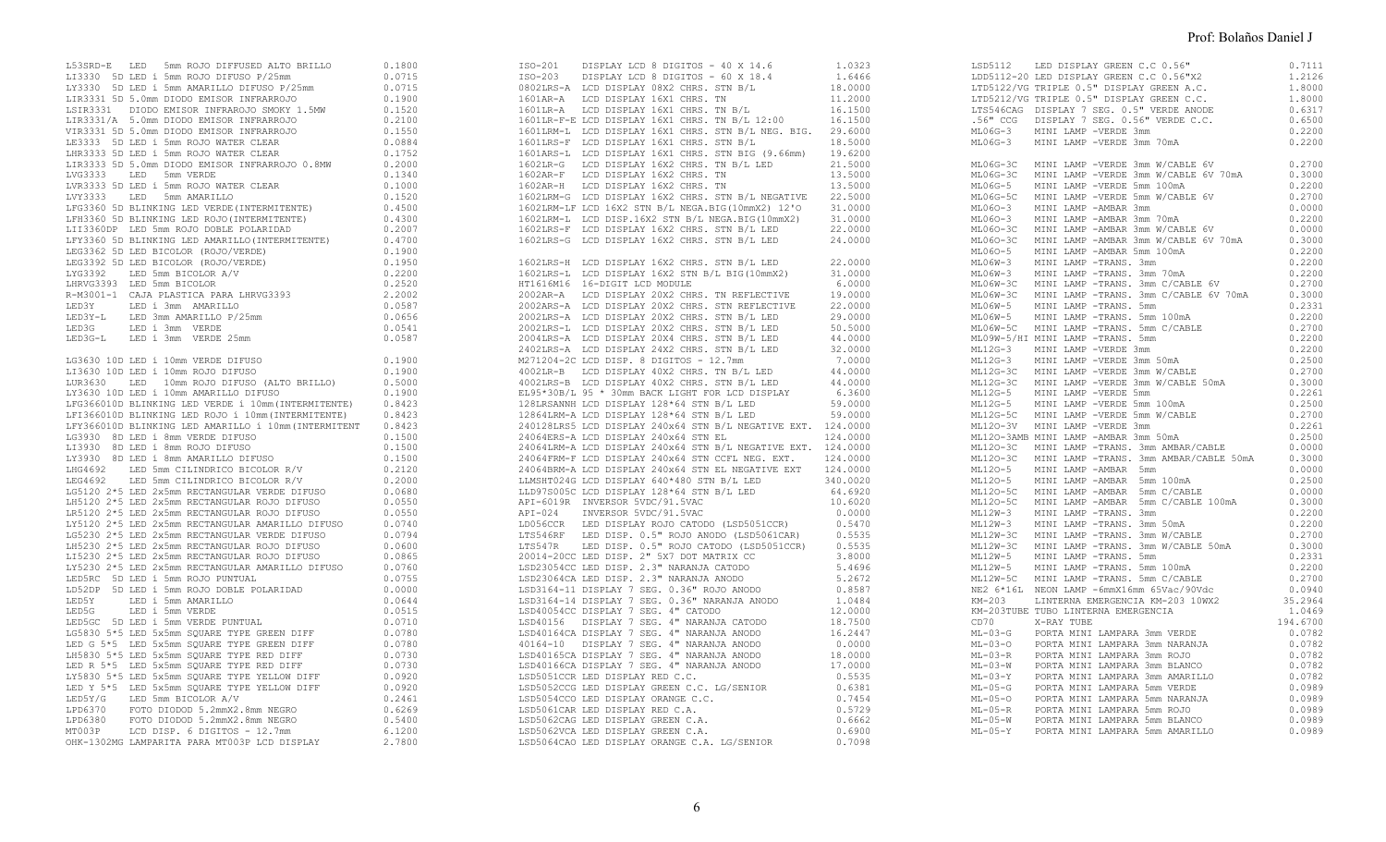|  | L53SRD-E LED 5mm ROJO DIFFUSED ALTO BRILLO 0.1800<br>L13330 5D LED i 5mm ROJO DIFUSO P/25mm 0.0715<br>LY3330 5D LED i 5mm AMARILLO DIFUSO P/25mm 0.0715<br>LIR3331 5D 5.0mm DIODO EMISOR INFRARROJO 0.1900<br>LSIR3331 DI DIODO EMISOR                                                                                                                                                                                     |        |
|--|----------------------------------------------------------------------------------------------------------------------------------------------------------------------------------------------------------------------------------------------------------------------------------------------------------------------------------------------------------------------------------------------------------------------------|--------|
|  |                                                                                                                                                                                                                                                                                                                                                                                                                            |        |
|  |                                                                                                                                                                                                                                                                                                                                                                                                                            |        |
|  |                                                                                                                                                                                                                                                                                                                                                                                                                            |        |
|  |                                                                                                                                                                                                                                                                                                                                                                                                                            |        |
|  | VIR3331 5D 5.0mm DIODO EMISOR INFRARROJO (1.2100)<br>LES333 5D LED 1 5mm ROJO WATER CLEAR (1.9333 5D LED 1 5mm ROJO WATER CLEAR (1.9333 5D LED 1 5mm ROJO WATER CLEAR (1.939)<br>LIR3333 5D LED 1 5mm ROJO WATER CLEAR (1.9393)<br>L                                                                                                                                                                                       |        |
|  | LIR3333 5D 5.0mm DIODO EMISOR INFRARROJO 0.8MW                                                                                                                                                                                                                                                                                                                                                                             | 0.2000 |
|  | LVG3333 LED 5mm VERDE                                                                                                                                                                                                                                                                                                                                                                                                      | 0.1340 |
|  | LVR3333 5D LED i 5mm ROJO WATER CLEAR                                                                                                                                                                                                                                                                                                                                                                                      | 0.1000 |
|  | LVY3333 LED 5mm AMARILLO                                                                                                                                                                                                                                                                                                                                                                                                   | 0.1520 |
|  | $\begin{tabular}{lllllllll} \texttt{LFG3360} & & & & & & & & & 0.1520 \\ \texttt{LFG3360} & \texttt{5D BLINKING} & \texttt{LED VERDE} & (\texttt{INTERMITERMITERMTENTE}) & & & 0.4500 \\ \texttt{LFH3360} & \texttt{5D BLINKING} & \texttt{LED ROJO} & (\texttt{INTERMITERMITERMTENTE}) & & 0.4300 \\ \texttt{LIT3360DP} & \texttt{LED} & \texttt{5DMB} & & 0.2007 \\ \texttt{IFV3360} & \texttt{SD. PI TWENTC} & \texttt$ |        |
|  |                                                                                                                                                                                                                                                                                                                                                                                                                            |        |
|  |                                                                                                                                                                                                                                                                                                                                                                                                                            |        |
|  | LFY3360 5D BLINKING LED AMARILLO (INTERMITENTE)<br>LEG3362 5D LED RICOLOR (POINALLO (INTERMITENTE)                                                                                                                                                                                                                                                                                                                         | 0.4700 |
|  | LEG3362 5D LED BICOLOR (ROJO/VERDE)                                                                                                                                                                                                                                                                                                                                                                                        | 0.1900 |
|  | LEG3392 5D LED BICOLOR (ROJO/VERDE)                                                                                                                                                                                                                                                                                                                                                                                        | 0.1950 |
|  |                                                                                                                                                                                                                                                                                                                                                                                                                            | 0.2200 |
|  | ${\tt LYG3392}\qquad {\tt LED\ 5mm\ BICOLOR\ A/V} \\ {\tt LHRVG3393\quad LED\ 5mm\ BICOLOR}$                                                                                                                                                                                                                                                                                                                               | 0.2520 |
|  | R-M3001-1 CAJA PLASTICA PARA LHRVG3393                                                                                                                                                                                                                                                                                                                                                                                     | 2.2002 |
|  |                                                                                                                                                                                                                                                                                                                                                                                                                            | 0.0587 |
|  |                                                                                                                                                                                                                                                                                                                                                                                                                            | 0.0656 |
|  |                                                                                                                                                                                                                                                                                                                                                                                                                            | 0.0541 |
|  | - HED3Y<br>LED3Y LED 13mm AMARILLO P/25mm<br>LED3G LED 13mm AMARILLO P/25mm<br>LED3G LED 13mm VERDE<br>LED3G-L LED 13mm VERDE 25mm                                                                                                                                                                                                                                                                                         | 0.0587 |
|  | LG3630 10D LED i 10mm VERDE DIFUSO                                                                                                                                                                                                                                                                                                                                                                                         | 0.1900 |
|  | LI3630 10D LED i 10mm ROJO DIFUSO                                                                                                                                                                                                                                                                                                                                                                                          | 0.1900 |
|  | LUR3630 LED 10mm ROJO DIFUSO (ALTO BRILLO) 0.5000<br>LY3630 10D LED i 10mm AMARILLO DIFUSO (0.1900)                                                                                                                                                                                                                                                                                                                        |        |
|  | LY3630 10D LED i 10mm AMARILLO DIFUSO                                                                                                                                                                                                                                                                                                                                                                                      | 0.1900 |
|  | LEG366010D BLINKING LED VERDE i 10mm (INTERMITENTE) 0.8423<br>LEG366010D BLINKING LED ROJO i 10mm (INTERMITENTE) 0.8423<br>LEY366010D BLINKING LED ROJO i 10mm (INTERMITENT 0.8423<br>LEY366010D BLINKING LED AMARILLO i 10mm (INTERMIT                                                                                                                                                                                    |        |
|  |                                                                                                                                                                                                                                                                                                                                                                                                                            |        |
|  |                                                                                                                                                                                                                                                                                                                                                                                                                            |        |
|  | LG3930 8D LED i 8mm VERDE DIFUSO                                                                                                                                                                                                                                                                                                                                                                                           | 0.1500 |
|  | LI3930 8D LED i 8mm ROJO DIFUSO                                                                                                                                                                                                                                                                                                                                                                                            | 0.1500 |
|  | LY3930 8D LED i 8mm AMARILLO DIFUSO                                                                                                                                                                                                                                                                                                                                                                                        | 0.1500 |
|  |                                                                                                                                                                                                                                                                                                                                                                                                                            |        |
|  |                                                                                                                                                                                                                                                                                                                                                                                                                            |        |
|  |                                                                                                                                                                                                                                                                                                                                                                                                                            |        |
|  |                                                                                                                                                                                                                                                                                                                                                                                                                            |        |
|  |                                                                                                                                                                                                                                                                                                                                                                                                                            |        |
|  |                                                                                                                                                                                                                                                                                                                                                                                                                            |        |
|  |                                                                                                                                                                                                                                                                                                                                                                                                                            |        |
|  |                                                                                                                                                                                                                                                                                                                                                                                                                            |        |
|  |                                                                                                                                                                                                                                                                                                                                                                                                                            |        |
|  | LISZ30 2*5 LED 2x5mm RECTANGULAR AMARILLO DIFUSO 0.0760<br>LY5230 2*5 LED 2x5mm RECTANGULAR AMARILLO DIFUSO 0.0760                                                                                                                                                                                                                                                                                                         |        |
|  | LED5RC 5D LED i 5mm ROJO PUNTUAL                                                                                                                                                                                                                                                                                                                                                                                           | 0.0755 |
|  | LEDSRC SD LED I SMM ROJO PONTORL<br>LD52DP 5D LED I 5mm ROJO DOBLE POLARIDAD<br>LEDSY - LED i 5mm AMARILLO                                                                                                                                                                                                                                                                                                                 | 0.0000 |
|  | LED í 5mm AMARILLO<br>LED5Y LED í 5mm AMARII<br>LED5G LED í 5mm VERDE                                                                                                                                                                                                                                                                                                                                                      | 0.0644 |
|  |                                                                                                                                                                                                                                                                                                                                                                                                                            | 0.0515 |
|  | LED5GC 5D LED i 5mm VERDE PUNTUAL                                                                                                                                                                                                                                                                                                                                                                                          | 0.0710 |
|  |                                                                                                                                                                                                                                                                                                                                                                                                                            |        |
|  | LED5GC 5D LED i 5mm VERDE PUNTUAL<br>LG5830 5*5 LED 5x5mm SQUARE TYPE GREEN DIFF 0.0780<br>LED G 5*5 LED 5x5mm SQUARE TYPE GREEN DIFF 0.0780<br>LEB G 5*5 LED 5x5mm SQUARE TYPE RED DIFF 0.0730<br>LED R 5*5 LED 5x5mm SQUARE TYPE RE                                                                                                                                                                                      |        |
|  |                                                                                                                                                                                                                                                                                                                                                                                                                            |        |
|  |                                                                                                                                                                                                                                                                                                                                                                                                                            |        |
|  |                                                                                                                                                                                                                                                                                                                                                                                                                            |        |
|  |                                                                                                                                                                                                                                                                                                                                                                                                                            |        |
|  |                                                                                                                                                                                                                                                                                                                                                                                                                            |        |
|  |                                                                                                                                                                                                                                                                                                                                                                                                                            |        |
|  |                                                                                                                                                                                                                                                                                                                                                                                                                            |        |
|  | LED<br>LED<br>LED<br>LEPRESSO FOTO DIODOD 5.2mmX2.8mm NEGRO 0.6269<br>LEPRESSO FOTO DIODOD 5.2mmX2.8mm NEGRO 0.6269<br>MT003P LCD DISP. 6 DIGITOS - 12.7mm 6.1200<br>MT003P LCD DISP. 6 DIGITOS - 12.7mm 6.1200<br>MRK-1302MG LAMPARITA PARA                                                                                                                                                                               |        |
|  |                                                                                                                                                                                                                                                                                                                                                                                                                            |        |

 $0.0715$ 

0.1900

 $0.1520$ <br> $0.2100$ 

 $0.1550$ 

0.0884

 $0.1000$ 

 $0.1520$ <br> $0.4500$ 

 $0.2007$ <br> $0.4700$ 

 $0.2200$ 

 $0.2520$ 

2.2002

 $0.0587$ 

 $0.0656$ 

 $0.0541$ 

0.0587

 $0.1900$ <br> $0.1900$ 

 $0.5000$ 

 $0.8423$ 

 $0.1500$ <br> $0.1500$ 

 $0.2120$ 

 $0.2000$ <br> $0.0680$ 

 $0.0550$ <br> $0.0740$ 

 $0.0000$ <br> $0.0644$ 

 $0.2461$ <br> $0.6269$ 

 $0.5400$ 

2.7800

| ISO-201 DISPLAY LCD 8 DIGITOS - 40 X 14.6 1.0323<br>1SO-203 DISPLAY LCD 8 DIGITOS - 60 X 18.4 1.6466<br>0802LRS-A LCD DISPLAY 08X2 CHRS. STN B/L<br>16.0000<br>1601AR-A LCD DISPLAY 16X1 CHRS. TN 11.2000<br>1601LR-A LCD DISPLAY 16X1 C |  |
|------------------------------------------------------------------------------------------------------------------------------------------------------------------------------------------------------------------------------------------|--|
| 1602LRS-H LCD DISPLAY 16X2 CHRS. STN B/L LED 22.0000<br>1602LRS-L LCD DISPLAY 16X2 STN B/L BIG(10mmX2) 31.0000<br>HT1616M16 16-DIGIT LCD MODULE 6.0000                                                                                   |  |
|                                                                                                                                                                                                                                          |  |
|                                                                                                                                                                                                                                          |  |
|                                                                                                                                                                                                                                          |  |
|                                                                                                                                                                                                                                          |  |
|                                                                                                                                                                                                                                          |  |
|                                                                                                                                                                                                                                          |  |
|                                                                                                                                                                                                                                          |  |
|                                                                                                                                                                                                                                          |  |
|                                                                                                                                                                                                                                          |  |
|                                                                                                                                                                                                                                          |  |
|                                                                                                                                                                                                                                          |  |
|                                                                                                                                                                                                                                          |  |
|                                                                                                                                                                                                                                          |  |
|                                                                                                                                                                                                                                          |  |
|                                                                                                                                                                                                                                          |  |
|                                                                                                                                                                                                                                          |  |
|                                                                                                                                                                                                                                          |  |
|                                                                                                                                                                                                                                          |  |
|                                                                                                                                                                                                                                          |  |
|                                                                                                                                                                                                                                          |  |
|                                                                                                                                                                                                                                          |  |
|                                                                                                                                                                                                                                          |  |
|                                                                                                                                                                                                                                          |  |
|                                                                                                                                                                                                                                          |  |
|                                                                                                                                                                                                                                          |  |
|                                                                                                                                                                                                                                          |  |
|                                                                                                                                                                                                                                          |  |
|                                                                                                                                                                                                                                          |  |
|                                                                                                                                                                                                                                          |  |
|                                                                                                                                                                                                                                          |  |
|                                                                                                                                                                                                                                          |  |
|                                                                                                                                                                                                                                          |  |
|                                                                                                                                                                                                                                          |  |
|                                                                                                                                                                                                                                          |  |
|                                                                                                                                                                                                                                          |  |
|                                                                                                                                                                                                                                          |  |
|                                                                                                                                                                                                                                          |  |
|                                                                                                                                                                                                                                          |  |
|                                                                                                                                                                                                                                          |  |
|                                                                                                                                                                                                                                          |  |
|                                                                                                                                                                                                                                          |  |
|                                                                                                                                                                                                                                          |  |
|                                                                                                                                                                                                                                          |  |
|                                                                                                                                                                                                                                          |  |

|           | 1905112 LED DISPLAY GREEN C.C 0.56"<br>1.005112-20 LED DISPLAY GREEN C.C 0.56"X2<br>1.2200 ITD5122/VG TRIPLE 0.5" DISPLAY GREEN A.C.<br>1.8000<br>1.8000<br>1.8000<br>1.8000<br>1.8000<br>1.8000<br>1.8000<br>1.8000<br>1.8000<br>1.8000<br>1.8000<br>1.80 |          |
|-----------|------------------------------------------------------------------------------------------------------------------------------------------------------------------------------------------------------------------------------------------------------------|----------|
|           |                                                                                                                                                                                                                                                            |          |
|           |                                                                                                                                                                                                                                                            |          |
|           |                                                                                                                                                                                                                                                            |          |
|           |                                                                                                                                                                                                                                                            |          |
|           |                                                                                                                                                                                                                                                            |          |
| $ML06G-3$ | MINI LAMP -VERDE 3mm 70mA                                                                                                                                                                                                                                  | 0.2200   |
|           | ML06G-3C MINILMP -VERDE 3mm W/CABLE 6V 0.2700<br>ML06G-3C MINILMP -VERDE 3mm W/CABLE 6V 70mA 0.3000<br>ML06G-5C MINILMP -VERDE 5mm W/CABLE 6V 70mA 0.2200<br>ML06G-5C MINILMP -VERDE 5mm W/CABLE 6V 0.2700<br>ML06O-3 MINILMP -AMBAR 3mm 0                 |          |
|           |                                                                                                                                                                                                                                                            |          |
|           |                                                                                                                                                                                                                                                            |          |
|           |                                                                                                                                                                                                                                                            |          |
|           |                                                                                                                                                                                                                                                            |          |
|           |                                                                                                                                                                                                                                                            |          |
|           |                                                                                                                                                                                                                                                            |          |
|           |                                                                                                                                                                                                                                                            |          |
|           |                                                                                                                                                                                                                                                            |          |
|           |                                                                                                                                                                                                                                                            |          |
|           |                                                                                                                                                                                                                                                            |          |
|           |                                                                                                                                                                                                                                                            |          |
|           |                                                                                                                                                                                                                                                            |          |
|           |                                                                                                                                                                                                                                                            |          |
|           |                                                                                                                                                                                                                                                            |          |
|           |                                                                                                                                                                                                                                                            |          |
|           |                                                                                                                                                                                                                                                            |          |
|           | ML09W-5/HI MINI LAMP -TRANS. 5mm                                                                                                                                                                                                                           | 0.2200   |
|           |                                                                                                                                                                                                                                                            |          |
|           |                                                                                                                                                                                                                                                            |          |
|           |                                                                                                                                                                                                                                                            |          |
|           |                                                                                                                                                                                                                                                            |          |
|           | MIDIS-3 MINI LAMP -VERDE 3mm<br>MIDIS-3 MINI LAMP -VERDE 3mm<br>MIDIS-3 MINI LAMP -VERDE 3mm<br>MIDIS-3C MINI LAMP -VERDE 3mm<br>MIDIS-3C MINI LAMP -VERDE 3mm<br>MICABLE 50mA<br>MIDIS-3C MINI LAMP -VERDE 3mm<br>MVCABLE 50mA<br>0.2000<br>MID           |          |
|           |                                                                                                                                                                                                                                                            |          |
|           |                                                                                                                                                                                                                                                            |          |
|           |                                                                                                                                                                                                                                                            |          |
|           | ML120-3AMB MINI LAMP -AMBAR 3mm 50mA                                                                                                                                                                                                                       | 0.2500   |
|           |                                                                                                                                                                                                                                                            |          |
|           |                                                                                                                                                                                                                                                            |          |
|           |                                                                                                                                                                                                                                                            |          |
|           |                                                                                                                                                                                                                                                            |          |
|           |                                                                                                                                                                                                                                                            |          |
|           |                                                                                                                                                                                                                                                            |          |
|           |                                                                                                                                                                                                                                                            |          |
|           |                                                                                                                                                                                                                                                            |          |
|           |                                                                                                                                                                                                                                                            |          |
|           |                                                                                                                                                                                                                                                            |          |
|           |                                                                                                                                                                                                                                                            |          |
|           |                                                                                                                                                                                                                                                            |          |
|           |                                                                                                                                                                                                                                                            |          |
|           |                                                                                                                                                                                                                                                            |          |
|           |                                                                                                                                                                                                                                                            |          |
|           | KM-203TUBE TUBO LINTERNA EMERGENCIA                                                                                                                                                                                                                        | 1.0469   |
|           | CD70 X-RAY TUBE                                                                                                                                                                                                                                            | 194.6700 |
|           |                                                                                                                                                                                                                                                            |          |
|           |                                                                                                                                                                                                                                                            |          |
|           |                                                                                                                                                                                                                                                            |          |
|           |                                                                                                                                                                                                                                                            |          |
|           |                                                                                                                                                                                                                                                            |          |
|           |                                                                                                                                                                                                                                                            |          |
|           |                                                                                                                                                                                                                                                            |          |
|           |                                                                                                                                                                                                                                                            |          |
|           |                                                                                                                                                                                                                                                            |          |
|           |                                                                                                                                                                                                                                                            |          |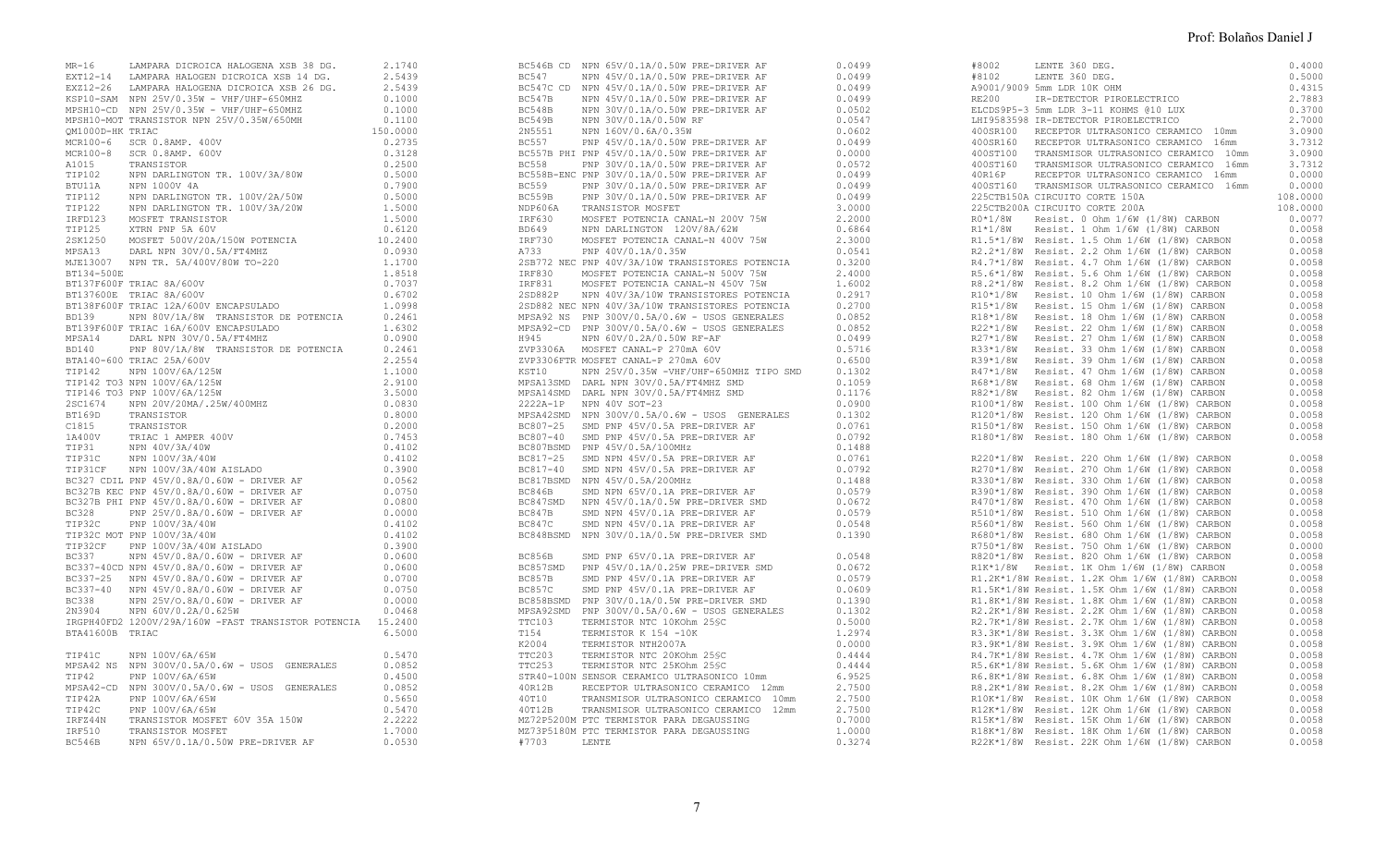| MR-16            | LAMPARA DICROICA HALOGENA XSB 38 DG.                                                                                         | 2.1740   |              | BC546B CD NPN 65V/0.1A/0.50W PRE-DRIVER AF      | 0.0499 | #8002   | LENTE 360 DEG.                                 | 0.4000   |
|------------------|------------------------------------------------------------------------------------------------------------------------------|----------|--------------|-------------------------------------------------|--------|---------|------------------------------------------------|----------|
|                  | EXT12-14 LAMPARA HALOGEN DICROICA XSB 14 DG.                                                                                 | 2.5439   | BC547        | NPN 45V/0.1A/0.50W PRE-DRIVER AF                | 0.0499 | #8102   | LENTE 360 DEG.                                 | 0.5000   |
|                  | EXZ12-26 LAMPARA HALOGENA DICROICA XSB 26 DG.                                                                                | 2.5439   |              | BC547C CD NPN 45V/0.1A/0.50W PRE-DRIVER AF      | 0.0499 |         | A9001/9009 5mm LDR 10K OHM                     | 0.4315   |
|                  | KSP10-SAM NPN 25V/0.35W - VHF/UHF-650MHZ                                                                                     | 0.1000   | BC547B       | NPN 45V/0.1A/0.50W PRE-DRIVER AF                | 0.0499 | RE200   | IR-DETECTOR PIROELECTRICO                      | 2.7883   |
|                  | MPSH10-CD NPN 25V/0.35W - VHF/UHF-650MHZ                                                                                     | 0.1000   | BC548B       | NPN 30V/0.1A/O.50W PRE-DRIVER AF                | 0.0502 |         | ELCDS9P5-3 5mm LDR 3-11 KOHMS @10 LUX          | 0.3700   |
|                  | MPSH10-MOT TRANSISTOR NPN 25V/0.35W/650MH                                                                                    | 0.1100   | BC549B       | NPN 30V/0.1A/0.50W RF                           | 0.0547 |         | LHI9583598 IR-DETECTOR PIROELECTRICO           | 2,7000   |
| OM1000D-HK TRIAC |                                                                                                                              |          | 2N5551       |                                                 | 0.0602 |         |                                                | 3.0900   |
|                  |                                                                                                                              | 150.0000 |              | NPN 160V/0.6A/0.35W                             |        |         | 400SR100 RECEPTOR ULTRASONICO CERAMICO 10mm    |          |
|                  | MCR100-6 SCR 0.8AMP. 400V                                                                                                    | 0.2735   | <b>BC557</b> | PNP 45V/0.1A/0.50W PRE-DRIVER AF                | 0.0499 |         | 400SR160 RECEPTOR ULTRASONICO CERAMICO 16mm    | 3.7312   |
|                  | MCR100-8 SCR 0.8AMP. 600V                                                                                                    | 0.3128   |              | BC557B PHI PNP 45V/0.1A/0.50W PRE-DRIVER AF     | 0.0000 |         | 400ST100 TRANSMISOR ULTRASONICO CERAMICO 10mm  | 3.0900   |
| A1015            | TRANSISTOR                                                                                                                   | 0.2500   | <b>BC558</b> | PNP 30V/0.1A/0.50W PRE-DRIVER AF                | 0.0572 |         | 400ST160 TRANSMISOR ULTRASONICO CERAMICO 16mm  | 3.7312   |
| TIP102           | NPN DARLINGTON TR. 100V/3A/80W                                                                                               | 0.5000   |              | BC558B-ENC PNP 30V/0.1A/0.50W PRE-DRIVER AF     | 0.0499 | 40R16P  | RECEPTOR ULTRASONICO CERAMICO 16mm             | 0.0000   |
| BTU11A           | NPN 1000V 4A                                                                                                                 | 0.7900   | <b>BC559</b> | PNP 30V/0.1A/0.50W PRE-DRIVER AF                | 0.0499 |         | 400ST160 TRANSMISOR ULTRASONICO CERAMICO 16mm  | 0.0000   |
| TIP112           | NPN DARLINGTON TR. 100V/2A/50W                                                                                               | 0.5000   | BC559B       | PNP 30V/0.1A/0.50W PRE-DRIVER AF                | 0.0499 |         | 225CTB150A CIRCUITO CORTE 150A                 | 108.0000 |
| TIP122           | NPN DARLINGTON TR. 100V/3A/20W                                                                                               | 1.5000   | NDP606A      | TRANSISTOR MOSFET                               | 3.0000 |         | 225CTB200A CIRCUITO CORTE 200A                 | 108.0000 |
| IRFD123          | MOSFET TRANSISTOR                                                                                                            | 1.5000   | IRF630       | MOSFET POTENCIA CANAL-N 200V 75W                | 2,2000 | R0*1/8W | Resist. 0 Ohm 1/6W (1/8W) CARBON               | 0.0077   |
| TIP125           | XTRN PNP 5A 60V                                                                                                              | 0.6120   | <b>BD649</b> | NPN DARLINGTON 120V/8A/62W                      | 0.6864 |         | R1*1/8W Resist. 1 Ohm 1/6W (1/8W) CARBON       | 0.0058   |
| 2SK1250          |                                                                                                                              | 10.2400  | IRF730       |                                                 | 2.3000 |         |                                                | 0.0058   |
|                  | MOSFET 500V/20A/150W POTENCIA                                                                                                |          |              | MOSFET POTENCIA CANAL-N 400V 75W                |        |         | R1.5*1/8W Resist. 1.5 Ohm 1/6W (1/8W) CARBON   |          |
| MPSA13           | DARL NPN 30V/0.5A/FT4MHZ                                                                                                     | 0.0930   | A733         | PNP 40V/0.1A/0.35W                              | 0.0541 |         | R2.2*1/8W Resist. 2.2 Ohm 1/6W (1/8W) CARBON   | 0.0058   |
|                  | MJE13007 NPN TR. 5A/400V/80W TO-220                                                                                          | 1.1700   |              | 2SB772 NEC PNP 40V/3A/10W TRANSISTORES POTENCIA | 0.3200 |         | R4.7*1/8W Resist. 4.7 Ohm 1/6W (1/8W) CARBON   | 0.0058   |
| BT134-500E       |                                                                                                                              | 1.8518   | IRF830       | MOSFET POTENCIA CANAL-N 500V 75W                | 2.4000 |         | R5.6*1/8W Resist. 5.6 Ohm 1/6W (1/8W) CARBON   | 0.0058   |
|                  |                                                                                                                              | 0.7037   | IRF831       | MOSFET POTENCIA CANAL-N 450V 75W                | 1.6002 |         | R8.2*1/8W Resist. 8.2 Ohm 1/6W (1/8W) CARBON   | 0.0058   |
|                  | BT137F600F TRIAC 8A/600V<br>BT137600E TRIAC 8A/600V<br>BT138F600F TRIAC 12A/600V ENCAPSULADO<br>BD139 NPN 80V/11/05 TRINCOTT | 0.6702   |              | 2SD882P NPN 40V/3A/10W TRANSISTORES POTENCIA    | 0.2917 |         | R10*1/8W Resist. 10 Ohm 1/6W (1/8W) CARBON     | 0.0058   |
|                  |                                                                                                                              | 1.0998   |              | 2SD882 NEC NPN 40V/3A/10W TRANSISTORES POTENCIA | 0.2700 |         | R15*1/8W Resist. 15 Ohm 1/6W (1/8W) CARBON     | 0.0058   |
| <b>BD139</b>     | NPN 80V/1A/8W TRANSISTOR DE POTENCIA                                                                                         | 0.2461   |              | MPSA92 NS PNP 300V/0.5A/0.6W - USOS GENERALES   | 0.0852 |         | R18*1/8W Resist. 18 Ohm 1/6W (1/8W) CARBON     | 0.0058   |
|                  | BT139F600F TRIAC 16A/600V ENCAPSULADO                                                                                        | 1.6302   |              | MPSA92-CD PNP 300V/0.5A/0.6W - USOS GENERALES   | 0.0852 |         | R22*1/8W Resist. 22 Ohm 1/6W (1/8W) CARBON     | 0.0058   |
| MPSA14           | DARL NPN 30V/0.5A/FT4MHZ                                                                                                     | 0.0900   | H945         | NPN 60V/0.2A/0.50W RF-AF                        | 0.0499 |         | R27*1/8W Resist. 27 Ohm 1/6W (1/8W) CARBON     | 0.0058   |
|                  |                                                                                                                              |          |              |                                                 |        |         |                                                |          |
| <b>BD140</b>     | PNP 80V/1A/8W TRANSISTOR DE POTENCIA                                                                                         | 0.2461   |              | ZVP3306A MOSFET CANAL-P 270mA 60V               | 0.5716 |         | R33*1/8W Resist. 33 Ohm 1/6W (1/8W) CARBON     | 0.0058   |
|                  |                                                                                                                              |          |              | ZVP3306FTR MOSFET CANAL-P 270mA 60V             | 0.6500 |         | R39*1/8W Resist. 39 Ohm 1/6W (1/8W) CARBON     | 0.0058   |
|                  |                                                                                                                              |          | KST10        | NPN 25V/0.35W -VHF/UHF-650MHZ TIPO SMD          | 0.1302 |         | R47*1/8W Resist. 47 Ohm 1/6W (1/8W) CARBON     | 0.0058   |
|                  |                                                                                                                              |          |              | MPSA13SMD DARL NPN 30V/0.5A/FT4MHZ SMD          | 0.1059 |         | R68*1/8W Resist. 68 Ohm 1/6W (1/8W) CARBON     | 0.0058   |
|                  |                                                                                                                              |          |              | MPSA14SMD DARL NPN 30V/0.5A/FT4MHZ SMD          | 0.1176 |         | R82*1/8W Resist. 82 Ohm 1/6W (1/8W) CARBON     | 0.0058   |
|                  |                                                                                                                              |          |              | 2222A-1P NPN 40V SOT-23                         | 0.0900 |         | R100*1/8W Resist. 100 Ohm 1/6W (1/8W) CARBON   | 0.0058   |
|                  |                                                                                                                              |          |              | MPSA42SMD NPN 300V/0.5A/0.6W - USOS GENERALES   | 0.1302 |         | R120*1/8W Resist. 120 Ohm 1/6W (1/8W) CARBON   | 0.0058   |
|                  |                                                                                                                              |          |              | BC807-25 SMD PNP 45V/0.5A PRE-DRIVER AF         | 0.0761 |         | R150*1/8W Resist. 150 Ohm 1/6W (1/8W) CARBON   | 0.0058   |
|                  |                                                                                                                              |          |              | BC807-40 SMD PNP 45V/0.5A PRE-DRIVER AF         | 0.0792 |         | R180*1/8W Resist. 180 Ohm 1/6W (1/8W) CARBON   | 0.0058   |
|                  |                                                                                                                              |          |              | BC807BSMD PNP 45V/0.5A/100MHz                   | 0.1488 |         |                                                |          |
|                  |                                                                                                                              |          |              | BC817-25 SMD NPN 45V/0.5A PRE-DRIVER AF         | 0.0761 |         | R220*1/8W Resist. 220 Ohm 1/6W (1/8W) CARBON   | 0.0058   |
|                  |                                                                                                                              |          |              |                                                 |        |         |                                                |          |
|                  |                                                                                                                              |          |              | BC817-40 SMD NPN 45V/0.5A PRE-DRIVER AF         | 0.0792 |         | R270*1/8W Resist. 270 Ohm 1/6W (1/8W) CARBON   | 0.0058   |
|                  |                                                                                                                              |          |              | BC817BSMD NPN 45V/0.5A/200MHz                   | 0.1488 |         | R330*1/8W Resist. 330 Ohm 1/6W (1/8W) CARBON   | 0.0058   |
|                  |                                                                                                                              |          | BC846B       | SMD NPN 65V/0.1A PRE-DRIVER AF                  | 0.0579 |         | R390*1/8W Resist. 390 Ohm 1/6W (1/8W) CARBON   | 0.0058   |
|                  |                                                                                                                              |          |              | BC847SMD NPN 45V/0.1A/0.5W PRE-DRIVER SMD       | 0.0672 |         | R470*1/8W Resist. 470 Ohm 1/6W (1/8W) CARBON   | 0.0058   |
|                  |                                                                                                                              |          | BC847B       | SMD NPN 45V/0.1A PRE-DRIVER AF                  | 0.0579 |         | R510*1/8W Resist. 510 Ohm 1/6W (1/8W) CARBON   | 0.0058   |
| TIP32C           | PNP 100V/3A/40W                                                                                                              | 0.4102   | BC847C       | SMD NPN 45V/0.1A PRE-DRIVER AF                  | 0.0548 |         | R560*1/8W Resist. 560 Ohm 1/6W (1/8W) CARBON   | 0.0058   |
|                  | TIP32C MOT PNP 100V/3A/40W                                                                                                   | 0.4102   |              | BC848BSMD NPN 30V/0.1A/0.5W PRE-DRIVER SMD      | 0.1390 |         | R680*1/8W Resist. 680 Ohm 1/6W (1/8W) CARBON   | 0.0058   |
|                  | TIP32CF PNP 100V/3A/40W AISLADO                                                                                              | 0.3900   |              |                                                 |        |         | R750*1/8W Resist. 750 Ohm 1/6W (1/8W) CARBON   | 0.0000   |
| <b>BC337</b>     | NPN 45V/0.8A/0.60W - DRIVER AF                                                                                               | 0.0600   | BC856B       | SMD PNP 65V/0.1A PRE-DRIVER AF                  | 0.0548 |         | R820*1/8W Resist. 820 Ohm 1/6W (1/8W) CARBON   | 0.0058   |
|                  | BC337-40CD NPN 45V/0.8A/0.60W - DRIVER AF                                                                                    | 0.0600   |              | BC857SMD PNP 45V/0.1A/0.25W PRE-DRIVER SMD      | 0.0672 |         | R1K*1/8W Resist. 1K Ohm 1/6W (1/8W) CARBON     | 0.0058   |
|                  |                                                                                                                              | 0.0700   | BC857B       |                                                 | 0.0579 |         |                                                | 0.0058   |
|                  | BC337-25 NPN 45V/0.8A/0.60W - DRIVER AF                                                                                      |          |              | SMD PNP 45V/0.1A PRE-DRIVER AF                  |        |         | R1.2K*1/8W Resist. 1.2K Ohm 1/6W (1/8W) CARBON |          |
|                  | BC337-40 NPN 45V/0.8A/0.60W - DRIVER AF                                                                                      | 0.0750   | BC857C       | SMD PNP 45V/0.1A PRE-DRIVER AF                  | 0.0609 |         | R1.5K*1/8W Resist. 1.5K Ohm 1/6W (1/8W) CARBON | 0.0058   |
| <b>BC338</b>     | NPN 25V/O.8A/0.60W - DRIVER AF                                                                                               | 0.0000   |              | BC858BSMD PNP 30V/0.1A/0.5W PRE-DRIVER SMD      | 0.1390 |         | R1.8K*1/8W Resist. 1.8K Ohm 1/6W (1/8W) CARBON | 0.0058   |
| 2N3904           | NPN 60V/0.2A/0.625W                                                                                                          | 0.0468   |              | MPSA92SMD PNP 300V/0.5A/0.6W - USOS GENERALES   | 0.1302 |         | R2.2K*1/8W Resist. 2.2K Ohm 1/6W (1/8W) CARBON | 0.0058   |
|                  | IRGPH40FD2 1200V/29A/160W -FAST TRANSISTOR POTENCIA 15.2400                                                                  |          | TTC103       | TERMISTOR NTC 10KOhm 25SC                       | 0.5000 |         | R2.7K*1/8W Resist. 2.7K Ohm 1/6W (1/8W) CARBON | 0.0058   |
| BTA41600B TRIAC  |                                                                                                                              | 6.5000   | T154         | TERMISTOR K 154 -10K                            | 1.2974 |         | R3.3K*1/8W Resist. 3.3K Ohm 1/6W (1/8W) CARBON | 0.0058   |
|                  |                                                                                                                              |          | K2004        | TERMISTOR NTH2007A                              | 0.0000 |         | R3.9K*1/8W Resist. 3.9K Ohm 1/6W (1/8W) CARBON | 0.0058   |
| TIP41C           | NPN 100V/6A/65W                                                                                                              | 0.5470   | TTC203       | TERMISTOR NTC 20KOhm 25SC                       | 0.4444 |         | R4.7K*1/8W Resist. 4.7K Ohm 1/6W (1/8W) CARBON | 0.0058   |
|                  | MPSA42 NS NPN 300V/0.5A/0.6W - USOS GENERALES                                                                                | 0.0852   | TTC253       | TERMISTOR NTC 25KOhm 25SC                       | 0.4444 |         | R5.6K*1/8W Resist. 5.6K Ohm 1/6W (1/8W) CARBON | 0.0058   |
| TIP42            | PNP 100V/6A/65W                                                                                                              | 0.4500   |              | STR40-100N SENSOR CERAMICO ULTRASONICO 10mm     | 6.9525 |         | R6.8K*1/8W Resist. 6.8K Ohm 1/6W (1/8W) CARBON | 0.0058   |
|                  |                                                                                                                              |          |              |                                                 |        |         |                                                |          |
|                  | MPSA42-CD NPN 300V/0.5A/0.6W - USOS GENERALES                                                                                | 0.0852   | 40R12B       | RECEPTOR ULTRASONICO CERAMICO 12mm              | 2.7500 |         | R8.2K*1/8W Resist. 8.2K Ohm 1/6W (1/8W) CARBON | 0.0058   |
| TIP42A           | PNP 100V/6A/65W                                                                                                              | 0.5650   | 40T10        | TRANSMISOR ULTRASONICO CERAMICO 10mm            | 2,7500 |         | R10K*1/8W Resist. 10K Ohm 1/6W (1/8W) CARBON   | 0.0058   |
| TIP42C           | PNP 100V/6A/65W                                                                                                              | 0.5470   | 40T12B       | TRANSMISOR ULTRASONICO CERAMICO 12mm            | 2.7500 |         | R12K*1/8W Resist. 12K Ohm 1/6W (1/8W) CARBON   | 0.0058   |
| IRFZ44N          | TRANSISTOR MOSFET 60V 35A 150W                                                                                               | 2.2222   |              | MZ72P5200M PTC TERMISTOR PARA DEGAUSSING        | 0.7000 |         | R15K*1/8W Resist. 15K Ohm 1/6W (1/8W) CARBON   | 0.0058   |
| IRF510           | TRANSISTOR MOSFET                                                                                                            | 1,7000   |              | MZ73P5180M PTC TERMISTOR PARA DEGAUSSING        | 1,0000 |         | R18K*1/8W Resist. 18K Ohm 1/6W (1/8W) CARBON   | 0.0058   |
| BC546B           | NPN 65V/0.1A/0.50W PRE-DRIVER AF                                                                                             | 0.0530   | #7703        | LENTE                                           | 0.3274 |         | R22K*1/8W Resist. 22K Ohm 1/6W (1/8W) CARBON   | 0.0058   |
|                  |                                                                                                                              |          |              |                                                 |        |         |                                                |          |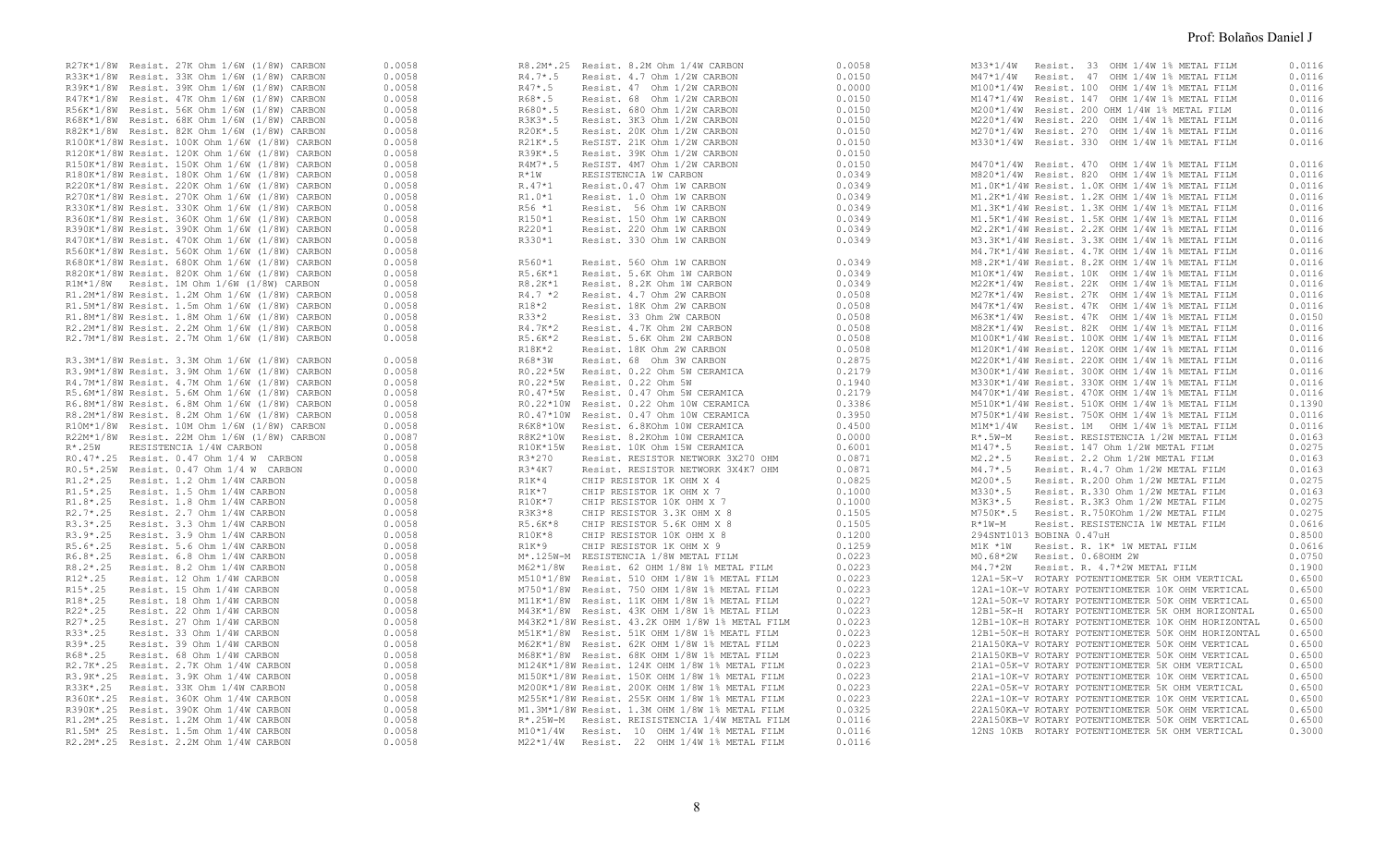| R27K*1/8W Resist. 27K Ohm 1/6W (1/8W) CARBON   | 0.0058 | R8.2M*.25 Resist. 8.2M Ohm 1/4W CARBON          | 0.0058 | M33*1/4W Resist. 33 OHM 1/4W 1% METAL FILM               | 0.0116 |
|------------------------------------------------|--------|-------------------------------------------------|--------|----------------------------------------------------------|--------|
| R33K*1/8W Resist. 33K Ohm 1/6W (1/8W) CARBON   | 0.0058 | R4.7*.5 Resist. 4.7 Ohm 1/2W CARBON             | 0.0150 | M47*1/4W Resist. 47 OHM 1/4W 1% METAL FILM               | 0.0116 |
| R39K*1/8W Resist. 39K Ohm 1/6W (1/8W) CARBON   | 0.0058 | $R47*$ .5<br>Resist. 47 Ohm 1/2W CARBON         | 0.0000 | M100*1/4W Resist. 100 OHM 1/4W 1% METAL FILM             | 0.0116 |
| R47K*1/8W Resist. 47K Ohm 1/6W (1/8W) CARBON   | 0.0058 | R68*.5<br>Resist. 68 Ohm 1/2W CARBON            | 0.0150 | M147*1/4W Resist. 147 OHM 1/4W 1% METAL FILM             | 0.0116 |
| R56K*1/8W Resist. 56K Ohm 1/6W (1/8W) CARBON   | 0.0058 | R680*.5<br>Resist. 680 Ohm 1/2W CARBON          | 0.0150 | M200*1/4W Resist. 200 OHM 1/4W 1% METAL FILM             | 0.0116 |
| R68K*1/8W Resist. 68K Ohm 1/6W (1/8W) CARBON   | 0.0058 | R3K3*.5<br>Resist. 3K3 Ohm 1/2W CARBON          | 0.0150 | M220*1/4W Resist. 220 OHM 1/4W 1% METAL FILM             | 0.0116 |
| R82K*1/8W Resist. 82K Ohm 1/6W (1/8W) CARBON   | 0.0058 | R20K*.5<br>Resist. 20K Ohm 1/2W CARBON          | 0.0150 | M270*1/4W Resist, 270 OHM 1/4W 1% METAL FILM             | 0.0116 |
| R100K*1/8W Resist. 100K Ohm 1/6W (1/8W) CARBON | 0.0058 | R21K*.5<br>ReSIST. 21K Ohm 1/2W CARBON          | 0.0150 | M330*1/4W Resist, 330 OHM 1/4W 1% METAL FILM             | 0.0116 |
|                                                |        |                                                 |        |                                                          |        |
| R120K*1/8W Resist. 120K Ohm 1/6W (1/8W) CARBON | 0.0058 | R39K*.5<br>Resist. 39K Ohm 1/2W CARBON          | 0.0150 |                                                          |        |
| R150K*1/8W Resist. 150K Ohm 1/6W (1/8W) CARBON | 0.0058 | R4M7*.5<br>ReSIST, 4M7 Ohm 1/2W CARBON          | 0.0150 | M470*1/4W Resist. 470 OHM 1/4W 1% METAL FILM             | 0.0116 |
| R180K*1/8W Resist. 180K Ohm 1/6W (1/8W) CARBON | 0.0058 | $R*1W$<br>RESISTENCIA 1W CARBON                 | 0.0349 | M820*1/4W Resist. 820 OHM 1/4W 1% METAL FILM             | 0.0116 |
| R220K*1/8W Resist. 220K Ohm 1/6W (1/8W) CARBON | 0.0058 | R.47*1<br>Resist.0.47 Ohm 1W CARBON             | 0.0349 | M1.0K*1/4W Resist. 1.0K OHM 1/4W 1% METAL FILM           | 0.0116 |
| R270K*1/8W Resist. 270K Ohm 1/6W (1/8W) CARBON | 0.0058 | $R1.0*1$<br>Resist. 1.0 Ohm 1W CARBON           | 0.0349 | M1.2K*1/4W Resist. 1.2K OHM 1/4W 1% METAL FILM           | 0.0116 |
| R330K*1/8W Resist. 330K Ohm 1/6W (1/8W) CARBON | 0.0058 | R56 *1<br>Resist. 56 Ohm 1W CARBON              | 0.0349 | M1.3K*1/4W Resist. 1.3K OHM 1/4W 1% METAL FILM           | 0.0116 |
| R360K*1/8W Resist. 360K Ohm 1/6W (1/8W) CARBON | 0.0058 | R150*1<br>Resist. 150 Ohm 1W CARBON             | 0.0349 | M1.5K*1/4W Resist. 1.5K OHM 1/4W 1% METAL FILM           | 0.0116 |
| R390K*1/8W Resist. 390K Ohm 1/6W (1/8W) CARBON | 0.0058 | R220*1<br>Resist. 220 Ohm 1W CARBON             | 0.0349 | M2.2K*1/4W Resist. 2.2K OHM 1/4W 1% METAL FILM           | 0.0116 |
| R470K*1/8W Resist. 470K Ohm 1/6W (1/8W) CARBON | 0.0058 | R330*1<br>Resist. 330 Ohm 1W CARBON             | 0.0349 | M3.3K*1/4W Resist. 3.3K OHM 1/4W 1% METAL FILM           | 0.0116 |
| R560K*1/8W Resist. 560K Ohm 1/6W (1/8W) CARBON | 0.0058 |                                                 |        | M4.7K*1/4W Resist. 4.7K OHM 1/4W 1% METAL FILM           | 0.0116 |
| R680K*1/8W Resist. 680K Ohm 1/6W (1/8W) CARBON | 0.0058 | R560*1<br>Resist. 560 Ohm 1W CARBON             | 0.0349 | M8.2K*1/4W Resist. 8.2K OHM 1/4W 1% METAL FILM           | 0.0116 |
| R820K*1/8W Resist. 820K Ohm 1/6W (1/8W) CARBON | 0.0058 | R5.6K*1<br>Resist. 5.6K Ohm 1W CARBON           | 0.0349 | M10K*1/4W Resist. 10K OHM 1/4W 1% METAL FILM             | 0.0116 |
|                                                |        |                                                 |        |                                                          |        |
| R1M*1/8W Resist. 1M Ohm 1/6W (1/8W) CARBON     | 0.0058 | Resist. 8.2K Ohm 1W CARBON<br>R8.2K*1           | 0.0349 | M22K*1/4W Resist. 22K OHM 1/4W 1% METAL FILM             | 0.0116 |
| R1.2M*1/8W Resist. 1.2M Ohm 1/6W (1/8W) CARBON | 0.0058 | Resist. 4.7 Ohm 2W CARBON<br>$R4.7*2$           | 0.0508 | M27K*1/4W Resist. 27K OHM 1/4W 1% METAL FILM             | 0.0116 |
| R1.5M*1/8W Resist. 1.5m Ohm 1/6W (1/8W) CARBON | 0.0058 | R18*2<br>Resist, 18K Ohm 2W CARBON              | 0.0508 | M47K*1/4W Resist. 47K OHM 1/4W 1% METAL FILM             | 0.0116 |
| R1.8M*1/8W Resist. 1.8M Ohm 1/6W (1/8W) CARBON | 0.0058 | R33*2<br>Resist. 33 Ohm 2W CARBON               | 0.0508 | M63K*1/4W Resist. 47K OHM 1/4W 1% METAL FILM             | 0.0150 |
| R2.2M*1/8W Resist. 2.2M Ohm 1/6W (1/8W) CARBON | 0.0058 | R4.7K*2<br>Resist, 4.7K Ohm 2W CARBON           | 0.0508 | M82K*1/4W Resist, 82K OHM 1/4W 1% METAL FILM             | 0.0116 |
| R2.7M*1/8W Resist. 2.7M Ohm 1/6W (1/8W) CARBON | 0.0058 | R5.6K*2<br>Resist, 5.6K Ohm 2W CARBON           | 0.0508 | M100K*1/4W Resist. 100K OHM 1/4W 1% METAL FILM           | 0.0116 |
|                                                |        | R18K*2<br>Resist. 18K Ohm 2W CARBON             | 0.0508 | M120K*1/4W Resist. 120K OHM 1/4W 1% METAL FILM           | 0.0116 |
| R3.3M*1/8W Resist. 3.3M Ohm 1/6W (1/8W) CARBON | 0.0058 | R68*3W<br>Resist. 68 Ohm 3W CARBON              | 0.2875 | M220K*1/4W Resist. 220K OHM 1/4W 1% METAL FILM           | 0.0116 |
| R3.9M*1/8W Resist. 3.9M Ohm 1/6W (1/8W) CARBON | 0.0058 | R0.22*5W Resist. 0.22 Ohm 5W CERAMICA           | 0.2179 |                                                          | 0.0116 |
|                                                |        |                                                 |        | M300K*1/4W Resist. 300K OHM 1/4W 1% METAL FILM           |        |
| R4.7M*1/8W Resist. 4.7M Ohm 1/6W (1/8W) CARBON | 0.0058 | R0.22*5W<br>Resist. 0.22 Ohm 5W                 | 0.1940 | M330K*1/4W Resist. 330K OHM 1/4W 1% METAL FILM           | 0.0116 |
| R5.6M*1/8W Resist. 5.6M Ohm 1/6W (1/8W) CARBON | 0.0058 | RO.47*5W<br>Resist. 0.47 Ohm 5W CERAMICA        | 0.2179 | M470K*1/4W Resist. 470K OHM 1/4W 1% METAL FILM           | 0.0116 |
| R6.8M*1/8W Resist. 6.8M Ohm 1/6W (1/8W) CARBON | 0.0058 | R0.22*10W Resist. 0.22 Ohm 10W CERAMICA         | 0.3386 | M510K*1/4W Resist. 510K OHM 1/4W 1% METAL FILM           | 0.1390 |
| R8.2M*1/8W Resist. 8.2M Ohm 1/6W (1/8W) CARBON | 0.0058 | R0.47*10W Resist. 0.47 Ohm 10W CERAMICA         | 0.3950 | M750K*1/4W Resist, 750K OHM 1/4W 1% METAL FILM           | 0.0116 |
| R10M*1/8W Resist. 10M Ohm 1/6W (1/8W) CARBON   | 0.0058 | R6K8*10W Resist. 6.8KOhm 10W CERAMICA           | 0.4500 | M1M*1/4W Resist, 1M OHM 1/4W 1% METAL FILM               | 0.0116 |
| R22M*1/8W Resist. 22M Ohm 1/6W (1/8W) CARBON   | 0.0087 | R8K2*10W<br>Resist. 8.2KOhm 10W CERAMICA        | 0.0000 | $R^{\star}$ .5W-M<br>Resist. RESISTENCIA 1/2W METAL FILM | 0.0163 |
| $R^{\star}$ .25W<br>RESISTENCIA 1/4W CARBON    | 0.0058 | R10K*15W<br>Resist. 10K Ohm 15W CERAMICA        | 0.6001 | $M147*$ .5<br>Resist. 147 Ohm 1/2W METAL FILM            | 0.0275 |
| R0.47*.25 Resist. 0.47 Ohm 1/4 W CARBON        | 0.0058 | R3*270<br>Resist. RESISTOR NETWORK 3X270 OHM    | 0.0871 | $M2.2*.5$<br>Resist. 2.2 Ohm 1/2W METAL FILM             | 0.0163 |
| R0.5*.25W Resist. 0.47 Ohm 1/4 W CARBON        | 0.0000 | $R3*4K7$<br>Resist. RESISTOR NETWORK 3X4K7 OHM  | 0.0871 | $M4.7*.5$<br>Resist. R.4.7 Ohm 1/2W METAL FILM           | 0.0163 |
| R1.2*.25 Resist. 1.2 Ohm 1/4W CARBON           | 0.0058 | $R1K*4$                                         | 0.0825 | M200*.5<br>Resist. R.200 Ohm 1/2W METAL FILM             | 0.0275 |
|                                                |        | CHIP RESISTOR 1K OHM X 4                        |        |                                                          |        |
| R1.5*.25 Resist. 1.5 Ohm 1/4W CARBON           | 0.0058 | R1K*7<br>CHIP RESISTOR 1K OHM X 7               | 0.1000 | M330*.5<br>Resist. R.330 Ohm 1/2W METAL FILM             | 0.0163 |
| R1.8*.25 Resist. 1.8 Ohm 1/4W CARBON           | 0.0058 | R10K*7<br>CHIP RESISTOR 10K OHM X 7             | 0.1000 | M3K3*.5<br>Resist. R.3K3 Ohm 1/2W METAL FILM             | 0.0275 |
| R2.7*.25 Resist. 2.7 Ohm 1/4W CARBON           | 0.0058 | $R3K3*8$<br>CHIP RESISTOR 3.3K OHM X 8          | 0.1505 | M750K*.5 Resist. R.750KOhm 1/2W METAL FILM               | 0.0275 |
| R3.3*.25 Resist. 3.3 Ohm 1/4W CARBON           | 0.0058 | R5.6K*8<br>CHIP RESISTOR 5.6K OHM X 8           | 0.1505 | $R*1W-M$<br>Resist. RESISTENCIA 1W METAL FILM            | 0.0616 |
| R3.9*.25 Resist. 3.9 Ohm 1/4W CARBON           | 0.0058 | R10K*8<br>CHIP RESISTOR 10K OHM X 8             | 0.1200 | 294SNT1013 BOBINA 0.47uH                                 | 0.8500 |
| R5.6*.25 Resist. 5.6 Ohm 1/4W CARBON           | 0.0058 | R1K*9<br>CHIP RESISTOR 1K OHM X 9               | 0.1259 | $M1K$ *1W<br>Resist. R. 1K* 1W METAL FILM                | 0.0616 |
| R6.8*.25<br>Resist. 6.8 Ohm 1/4W CARBON        | 0.0058 | M*.125W-M RESISTENCIA 1/8W METAL FILM           | 0.0223 | M0.68*2W<br>Resist. 0.680HM 2W                           | 0.0750 |
| R8.2*.25 Resist. 8.2 Ohm 1/4W CARBON           | 0.0058 | M62*1/8W Resist. 62 OHM 1/8W 1% METAL FILM      | 0.0223 | $M4.7*2W$<br>Resist. R. 4.7*2W METAL FILM                | 0.1900 |
| R12*.25<br>Resist. 12 Ohm 1/4W CARBON          | 0.0058 | M510*1/8W Resist. 510 OHM 1/8W 1% METAL FILM    | 0.0223 | 12A1-5K-V ROTARY POTENTIOMETER 5K OHM VERTICAL           | 0.6500 |
| $R15*.25$                                      |        |                                                 |        |                                                          |        |
| Resist. 15 Ohm 1/4W CARBON                     | 0.0058 | M750*1/8W Resist. 750 OHM 1/8W 1% METAL FILM    | 0.0223 | 12A1-10K-V ROTARY POTENTIOMETER 10K OHM VERTICAL         | 0.6500 |
| $R18* .25$<br>Resist. 18 Ohm 1/4W CARBON       | 0.0058 | M11K*1/8W Resist. 11K OHM 1/8W 1% METAL FILM    | 0.0227 | 12A1-50K-V ROTARY POTENTIOMETER 50K OHM VERTICAL         | 0.6500 |
| $R22* .25$<br>Resist. 22 Ohm 1/4W CARBON       | 0.0058 | M43K*1/8W Resist. 43K OHM 1/8W 1% METAL FILM    | 0.0223 | 12B1-5K-H ROTARY POTENTIOMETER 5K OHM HORIZONTAL         | 0.6500 |
| $R27* .25$<br>Resist. 27 Ohm 1/4W CARBON       | 0.0058 | M43K2*1/8W Resist. 43.2K OHM 1/8W 1% METAL FILM | 0.0223 | 12B1-10K-H ROTARY POTENTIOMETER 10K OHM HORIZONTAL       | 0.6500 |
| R33*.25<br>Resist. 33 Ohm 1/4W CARBON          | 0.0058 | M51K*1/8W Resist. 51K OHM 1/8W 1% MEATL FILM    | 0.0223 | 12B1-50K-H ROTARY POTENTIOMETER 50K OHM HORIZONTAL       | 0.6500 |
| R39*.25<br>Resist. 39 Ohm 1/4W CARBON          | 0.0058 | M62K*1/8W Resist. 62K OHM 1/8W 1% METAL FILM    | 0.0223 | 21A150KA-V ROTARY POTENTIOMETER 50K OHM VERTICAL         | 0.6500 |
| R68*.25<br>Resist. 68 Ohm 1/4W CARBON          | 0.0058 | M68K*1/8W Resist. 68K OHM 1/8W 1% METAL FILM    | 0.0223 | 21A150KB-V ROTARY POTENTIOMETER 50K OHM VERTICAL         | 0.6500 |
| R2.7K*.25 Resist. 2.7K Ohm 1/4W CARBON         | 0.0058 | M124K*1/8W Resist, 124K OHM 1/8W 1% METAL FILM  | 0.0223 | 21A1-05K-V ROTARY POTENTIOMETER 5K OHM VERTICAL          | 0.6500 |
| R3.9K*.25 Resist. 3.9K Ohm 1/4W CARBON         | 0.0058 | M150K*1/8W Resist, 150K OHM 1/8W 1% METAL FILM  | 0.0223 | 21A1-10K-V ROTARY POTENTIOMETER 10K OHM VERTICAL         | 0.6500 |
|                                                |        |                                                 |        |                                                          |        |
| R33K*.25 Resist. 33K Ohm 1/4W CARBON           | 0.0058 | M200K*1/8W Resist. 200K OHM 1/8W 1% METAL FILM  | 0.0223 | 22A1-05K-V ROTARY POTENTIOMETER 5K OHM VERTICAL          | 0.6500 |
| R360K*.25 Resist. 360K Ohm 1/4W CARBON         | 0.0058 | M255K*1/8W Resist. 255K OHM 1/8W 1% METAL FILM  | 0.0223 | 22A1-10K-V ROTARY POTENTIOMETER 10K OHM VERTICAL         | 0.6500 |
| R390K*.25 Resist. 390K Ohm 1/4W CARBON         | 0.0058 | M1.3M*1/8W Resist. 1.3M OHM 1/8W 1% METAL FILM  | 0.0325 | 22A150KA-V ROTARY POTENTIOMETER 50K OHM VERTICAL         | 0.6500 |
| R1.2M*.25 Resist. 1.2M Ohm 1/4W CARBON         | 0.0058 | R*.25W-M Resist. REISISTENCIA 1/4W METAL FILM   | 0.0116 | 22A150KB-V ROTARY POTENTIOMETER 50K OHM VERTICAL         | 0.6500 |
| R1.5M* 25 Resist. 1.5m Ohm 1/4W CARBON         | 0.0058 | M10*1/4W Resist. 10 OHM 1/4W 1% METAL FILM      | 0.0116 | 12NS 10KB ROTARY POTENTIOMETER 5K OHM VERTICAL           | 0.3000 |
| R2.2M*.25 Resist. 2.2M Ohm 1/4W CARBON         | 0.0058 | M22*1/4W Resist, 22 OHM 1/4W 1% METAL FILM      | 0.0116 |                                                          |        |
|                                                |        |                                                 |        |                                                          |        |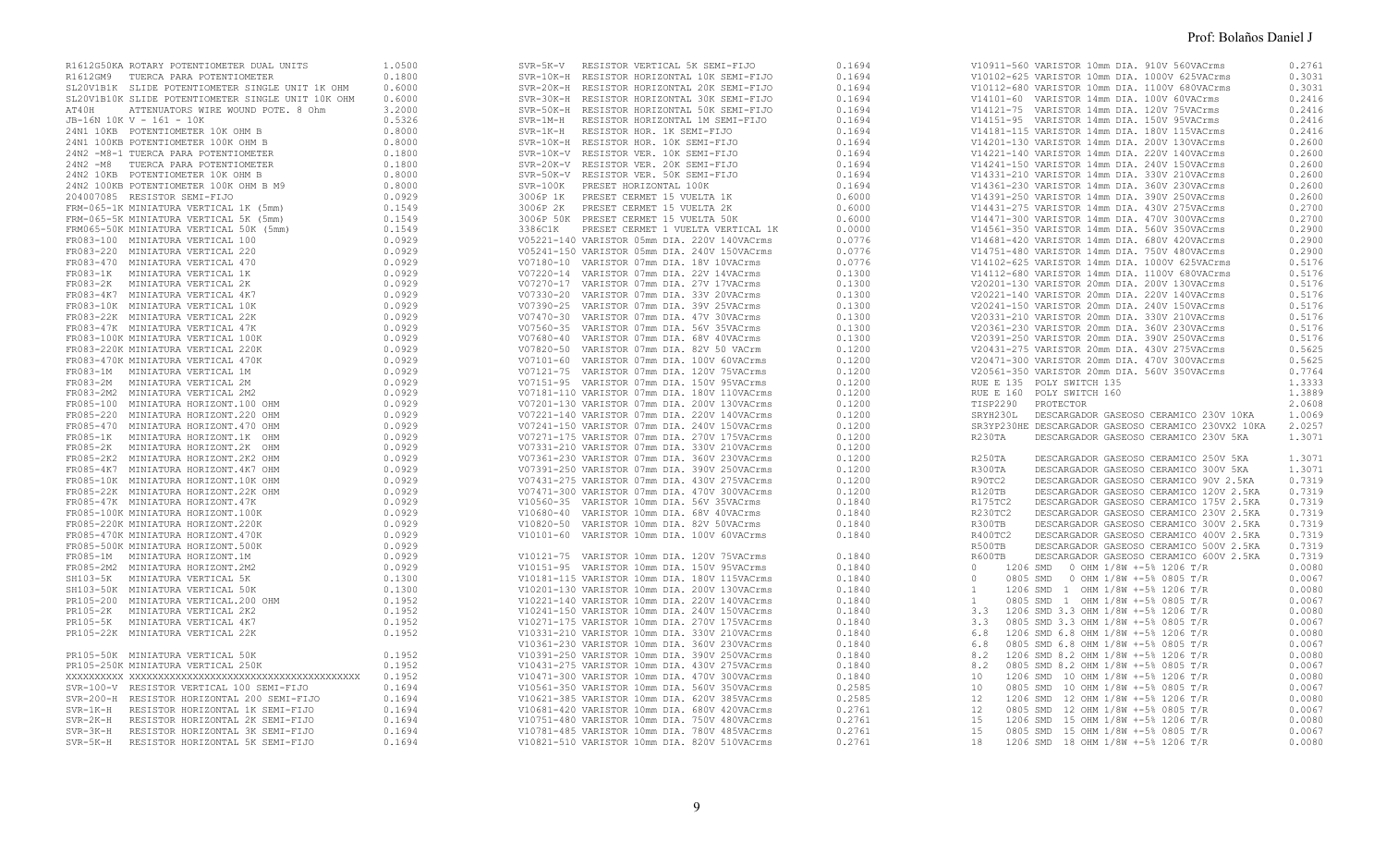|  |  |                                                                              | 0.2761 |
|--|--|------------------------------------------------------------------------------|--------|
|  |  |                                                                              | 0.3031 |
|  |  |                                                                              | 0.3031 |
|  |  |                                                                              | 0.2416 |
|  |  |                                                                              | 0.2416 |
|  |  |                                                                              | 0.2416 |
|  |  |                                                                              | 0.2416 |
|  |  |                                                                              | 0.2600 |
|  |  |                                                                              | 0.2600 |
|  |  |                                                                              | 0.2600 |
|  |  |                                                                              | 0.2600 |
|  |  |                                                                              | 0.2600 |
|  |  |                                                                              | 0.2600 |
|  |  |                                                                              | 0.2700 |
|  |  |                                                                              | 0.2700 |
|  |  |                                                                              | 0.2900 |
|  |  |                                                                              |        |
|  |  |                                                                              | 0.2900 |
|  |  |                                                                              | 0.2900 |
|  |  |                                                                              | 0.5176 |
|  |  |                                                                              | 0.5176 |
|  |  |                                                                              | 0.5176 |
|  |  |                                                                              | 0.5176 |
|  |  |                                                                              | 0.5176 |
|  |  |                                                                              | 0.5176 |
|  |  |                                                                              | 0.5176 |
|  |  |                                                                              | 0.5176 |
|  |  |                                                                              | 0.5625 |
|  |  |                                                                              | 0.5625 |
|  |  |                                                                              | 0.7764 |
|  |  | RUE E 135 POLY SWITCH 135<br>RUE E 160 POLY SWITCH 160<br>TISP2290 PROTECTOR | 1.3333 |
|  |  |                                                                              | 1.3889 |
|  |  |                                                                              | 2.0608 |
|  |  | SRYH230L DESCARGADOR GASEOSO CERAMICO 230V 10KA                              | 1.0069 |
|  |  | SR3YP230HE DESCARGADOR GASEOSO CERAMICO 230VX2 10KA 2.0257                   |        |
|  |  | DESCARGADOR GASEOSO CERAMICO 230V 5KA                                        | 1.3071 |
|  |  |                                                                              |        |
|  |  | DESCARGADOR GASEOSO CERAMICO 250V 5KA                                        | 1.3071 |
|  |  | DESCARGADOR GASEOSO CERAMICO 300V 5KA                                        | 1.3071 |
|  |  | DESCARGADOR GASEOSO CERAMICO 90V 2.5KA                                       | 0.7319 |
|  |  |                                                                              | 0.7319 |
|  |  | DESCARGADOR GASEOSO CERAMICO 120V 2.5KA                                      |        |
|  |  | DESCARGADOR GASEOSO CERAMICO 175V 2.5KA                                      | 0.7319 |
|  |  | DESCARGADOR GASEOSO CERAMICO 230V 2.5KA                                      | 0.7319 |
|  |  | DESCARGADOR GASEOSO CERAMICO 300V 2.5KA                                      | 0.7319 |
|  |  | DESCARGADOR GASEOSO CERAMICO 400V 2.5KA                                      | 0.7319 |
|  |  | DESCARGADOR GASEOSO CERAMICO 500V 2.5KA                                      | 0.7319 |
|  |  | DESCARGADOR GASEOSO CERAMICO 600V 2.5KA                                      | 0.7319 |
|  |  | 0 1206 SMD 0 OHM 1/8W +-5% 1206 T/R                                          | 0.0080 |
|  |  |                                                                              | 0.0067 |
|  |  |                                                                              | 0.0080 |
|  |  |                                                                              | 0.0067 |
|  |  |                                                                              | 0.0080 |
|  |  |                                                                              | 0.0067 |
|  |  |                                                                              | 0.0080 |
|  |  |                                                                              | 0.0067 |
|  |  |                                                                              | 0.0080 |
|  |  |                                                                              | 0.0067 |
|  |  |                                                                              | 0.0080 |
|  |  |                                                                              | 0.0067 |
|  |  |                                                                              | 0.0080 |
|  |  |                                                                              | 0.0067 |
|  |  |                                                                              | 0.0080 |
|  |  |                                                                              | 0.0067 |
|  |  |                                                                              | 0.0080 |
|  |  |                                                                              |        |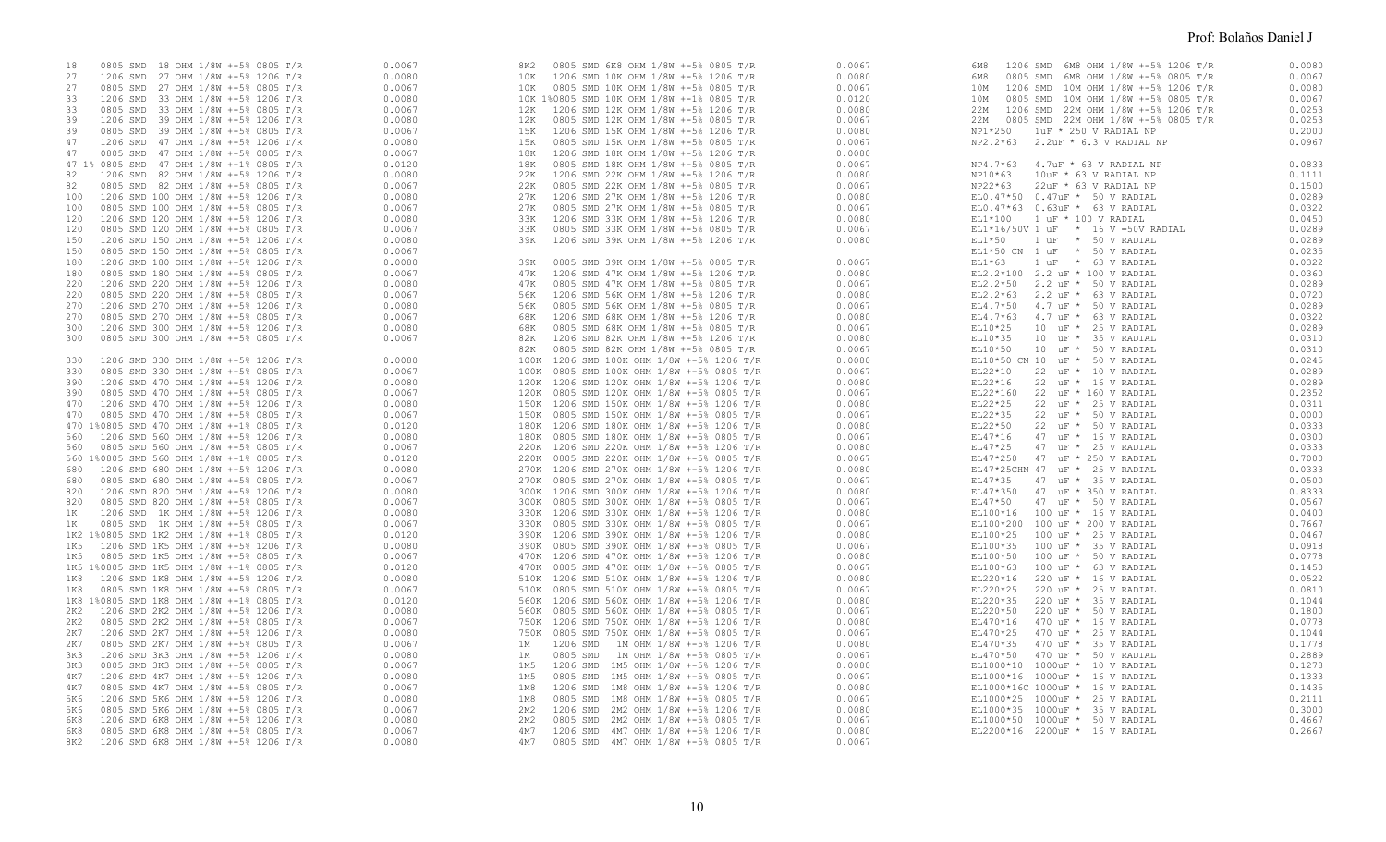| 0805 SMD 18 OHM 1/8W +-5% 0805 T/R<br>18   | 0.0067 | 0805 SMD 6K8 OHM 1/8W +-5% 0805 T/R<br>8K2 | 0.0067 | 1206 SMD 6M8 OHM 1/8W +-5% 1206 T/R<br>6M8 | 0.0080 |
|--------------------------------------------|--------|--------------------------------------------|--------|--------------------------------------------|--------|
| 27<br>1206 SMD 27 OHM 1/8W +-5% 1206 T/R   | 0.0080 | 10K<br>1206 SMD 10K OHM 1/8W +-5% 1206 T/R | 0.0080 | 6M8<br>0805 SMD 6M8 OHM 1/8W +-5% 0805 T/R | 0.0067 |
| 27<br>0805 SMD 27 OHM 1/8W +-5% 0805 T/R   | 0.0067 | 10K<br>0805 SMD 10K OHM 1/8W +-5% 0805 T/R | 0.0067 | 10M<br>1206 SMD 10M OHM 1/8W +-5% 1206 T/R | 0.0080 |
| 33<br>1206 SMD 33 OHM 1/8W +-5% 1206 T/R   | 0.0080 | 10K 1%0805 SMD 10K OHM 1/8W +-1% 0805 T/R  | 0.0120 | 0805 SMD 10M OHM 1/8W +-5% 0805 T/R<br>10M | 0.0067 |
| 33<br>0805 SMD 33 OHM 1/8W +-5% 0805 T/R   | 0.0067 | 12K<br>1206 SMD 12K OHM 1/8W +-5% 1206 T/R | 0.0080 | 22M 1206 SMD 22M OHM 1/8W +-5% 1206 T/R    | 0.0253 |
| 39<br>1206 SMD 39 OHM 1/8W +-5% 1206 T/R   | 0.0080 | 0805 SMD 12K OHM 1/8W +-5% 0805 T/R<br>12K | 0.0067 | 22M 0805 SMD 22M OHM 1/8W +-5% 0805 T/R    | 0.0253 |
| 39<br>0805 SMD 39 OHM 1/8W +-5% 0805 T/R   | 0.0067 | 1206 SMD 15K OHM 1/8W +-5% 1206 T/R<br>15K | 0.0080 | NP1*250 1uF * 250 V RADIAL NP              | 0.2000 |
| 47<br>1206 SMD 47 OHM 1/8W +-5% 1206 T/R   | 0.0080 | 0805 SMD 15K OHM 1/8W +-5% 0805 T/R<br>15K | 0.0067 | NP2.2*63 2.2uF * 6.3 V RADIAL NP           | 0.0967 |
| 47                                         | 0.0067 | 18K                                        | 0.0080 |                                            |        |
| 0805 SMD 47 OHM 1/8W +-5% 0805 T/R         |        | 1206 SMD 18K OHM 1/8W +-5% 1206 T/R        |        |                                            |        |
| 47 1% 0805 SMD 47 OHM 1/8W +-1% 0805 T/R   | 0.0120 | 18K<br>0805 SMD 18K OHM 1/8W +-5% 0805 T/R | 0.0067 | 4.7uF * 63 V RADIAL NP<br>NP4.7*63         | 0.0833 |
| 1206 SMD 82 OHM 1/8W +-5% 1206 T/R<br>82   | 0.0080 | 22K<br>1206 SMD 22K OHM 1/8W +-5% 1206 T/R | 0.0080 | NP10*63<br>10uF * 63 V RADIAL NP           | 0.1111 |
| 82<br>0805 SMD 82 OHM 1/8W +-5% 0805 T/R   | 0.0067 | 22K<br>0805 SMD 22K OHM 1/8W +-5% 0805 T/R | 0.0067 | NP22*63<br>22uF * 63 V RADIAL NP           | 0.1500 |
| 1206 SMD 100 OHM 1/8W +-5% 1206 T/R<br>100 | 0.0080 | 27K 1206 SMD 27K OHM 1/8W +-5% 1206 T/R    | 0.0080 | EL0.47*50 0.47uF * 50 V RADIAL             | 0.0289 |
| 0805 SMD 100 OHM 1/8W +-5% 0805 T/R<br>100 | 0.0067 | 0805 SMD 27K OHM 1/8W +-5% 0805 T/R<br>27K | 0.0067 | EL0.47*63 0.63uF * 63 V RADIAL             | 0.0322 |
| 1206 SMD 120 OHM 1/8W +-5% 1206 T/R<br>120 | 0.0080 | 33K<br>1206 SMD 33K OHM 1/8W +-5% 1206 T/R | 0.0080 | EL1*100   1 uF * 100 V RADIAL              | 0.0450 |
| 120<br>0805 SMD 120 OHM 1/8W +-5% 0805 T/R | 0.0067 | 33K<br>0805 SMD 33K OHM 1/8W +-5% 0805 T/R | 0.0067 | EL1*16/50V 1 uF * 16 V = 50V RADIAL        | 0.0289 |
| 150<br>1206 SMD 150 OHM 1/8W +-5% 1206 T/R | 0.0080 | 39K<br>1206 SMD 39K OHM 1/8W +-5% 1206 T/R | 0.0080 | $EL1*50$<br>1 uF * 50 V RADIAL             | 0.0289 |
| 150<br>0805 SMD 150 OHM 1/8W +-5% 0805 T/R | 0.0067 |                                            |        | EL1*50 CN 1 uF * 50 V RADIAL               | 0.0235 |
| 180<br>1206 SMD 180 OHM 1/8W +-5% 1206 T/R | 0.0080 | 0805 SMD 39K OHM 1/8W +-5% 0805 T/R<br>39K | 0.0067 | $EL1*63$<br>1 uF * 63 V RADIAL             | 0.0322 |
| 0805 SMD 180 OHM 1/8W +-5% 0805 T/R<br>180 | 0.0067 | 47K<br>1206 SMD 47K OHM 1/8W +-5% 1206 T/R | 0.0080 | EL2.2*100 2.2 uF * 100 V RADIAL            | 0.0360 |
| 1206 SMD 220 OHM 1/8W +-5% 1206 T/R<br>220 | 0.0080 | 0805 SMD 47K OHM 1/8W +-5% 0805 T/R<br>47K | 0.0067 | EL2.2*50 2.2 uF * 50 V RADIAL              | 0.0289 |
| 0805 SMD 220 OHM 1/8W +-5% 0805 T/R<br>220 | 0.0067 | 1206 SMD 56K OHM 1/8W +-5% 1206 T/R<br>56K | 0.0080 | $2.2$ uF $*$ 63 V RADIAL<br>EL2.2*63       | 0.0720 |
| 270<br>1206 SMD 270 OHM 1/8W +-5% 1206 T/R | 0.0080 | 56K<br>0805 SMD 56K OHM 1/8W +-5% 0805 T/R | 0.0067 | EL4.7*50<br>4.7 uF * 50 V RADIAL           | 0.0289 |
|                                            |        |                                            |        |                                            |        |
| 270<br>0805 SMD 270 OHM 1/8W +-5% 0805 T/R | 0.0067 | 1206 SMD 68K OHM 1/8W +-5% 1206 T/R<br>68K | 0.0080 | EL4.7*63 4.7 uF * 63 V RADIAL              | 0.0322 |
| 300<br>1206 SMD 300 OHM 1/8W +-5% 1206 T/R | 0.0080 | 68K<br>0805 SMD 68K OHM 1/8W +-5% 0805 T/R | 0.0067 | EL10*25<br>10 uF * 25 V RADIAL             | 0.0289 |
| 300<br>0805 SMD 300 OHM 1/8W +-5% 0805 T/R | 0.0067 | 1206 SMD 82K OHM 1/8W +-5% 1206 T/R<br>82K | 0.0080 | EL10*35<br>10 uF * 35 V RADIAL             | 0.0310 |
|                                            |        | 0805 SMD 82K OHM 1/8W +-5% 0805 T/R<br>82K | 0.0067 | EL10*50<br>10 uF * 50 V RADIAL             | 0.0310 |
| 1206 SMD 330 OHM 1/8W +-5% 1206 T/R<br>330 | 0.0080 | 100K 1206 SMD 100K OHM 1/8W +-5% 1206 T/R  | 0.0080 | EL10*50 CN 10 uF * 50 V RADIAL             | 0.0245 |
| 330<br>0805 SMD 330 OHM 1/8W +-5% 0805 T/R | 0.0067 | 100K 0805 SMD 100K OHM 1/8W +-5% 0805 T/R  | 0.0067 | EL22*10<br>22 uF * 10 V RADIAL             | 0.0289 |
| 390<br>1206 SMD 470 OHM 1/8W +-5% 1206 T/R | 0.0080 | 120K 1206 SMD 120K OHM 1/8W +-5% 1206 T/R  | 0.0080 | EL22*16<br>22 uF * 16 V RADIAL             | 0.0289 |
| 390<br>0805 SMD 470 OHM 1/8W +-5% 0805 T/R | 0.0067 | 120K 0805 SMD 120K OHM 1/8W +-5% 0805 T/R  | 0.0067 | EL22*160<br>22 uF * 160 V RADIAL           | 0.2352 |
| 470<br>1206 SMD 470 OHM 1/8W +-5% 1206 T/R | 0.0080 | 150K 1206 SMD 150K OHM 1/8W +-5% 1206 T/R  | 0.0080 | EL22*25<br>22 uF * 25 V RADIAL             | 0.0311 |
| 0805 SMD 470 OHM 1/8W +-5% 0805 T/R<br>470 | 0.0067 | 150K 0805 SMD 150K OHM 1/8W +-5% 0805 T/R  | 0.0067 | EL22*35<br>22 uF * 50 V RADIAL             | 0.0000 |
| 470 1%0805 SMD 470 OHM 1/8W +-1% 0805 T/R  | 0.0120 | 180K 1206 SMD 180K OHM 1/8W +-5% 1206 T/R  | 0.0080 | EL22*50<br>22 uF * 50 V RADIAL             | 0.0333 |
| 1206 SMD 560 OHM 1/8W +-5% 1206 T/R<br>560 | 0.0080 | 180K 0805 SMD 180K OHM 1/8W +-5% 0805 T/R  | 0.0067 | EL47*16<br>47 uF * 16 V RADIAL             | 0.0300 |
| 0805 SMD 560 OHM 1/8W +-5% 0805 T/R<br>560 | 0.0067 | 220K 1206 SMD 220K OHM 1/8W +-5% 1206 T/R  | 0.0080 | EL47*25<br>47 uF * 25 V RADIAL             | 0.0333 |
| 560 1%0805 SMD 560 OHM 1/8W +-1% 0805 T/R  | 0.0120 | 220K 0805 SMD 220K OHM 1/8W +-5% 0805 T/R  | 0.0067 | EL47*250 47 uF * 250 V RADIAL              | 0.7000 |
| 1206 SMD 680 OHM 1/8W +-5% 1206 T/R<br>680 | 0.0080 | 270K 1206 SMD 270K OHM 1/8W +-5% 1206 T/R  | 0.0080 | EL47*25CHN 47 uF * 25 V RADIAL             | 0.0333 |
|                                            |        |                                            |        |                                            |        |
| 0805 SMD 680 OHM 1/8W +-5% 0805 T/R<br>680 | 0.0067 | 270K 0805 SMD 270K OHM 1/8W +-5% 0805 T/R  | 0.0067 | EL47*35<br>47 uF * 35 V RADIAL             | 0.0500 |
| 1206 SMD 820 OHM 1/8W +-5% 1206 T/R<br>820 | 0.0080 | 300K 1206 SMD 300K OHM 1/8W +-5% 1206 T/R  | 0.0080 | 47 uF * 350 V RADIAL<br>EL47*350           | 0.8333 |
| 820<br>0805 SMD 820 OHM 1/8W +-5% 0805 T/R | 0.0067 | 300K 0805 SMD 300K OHM 1/8W +-5% 0805 T/R  | 0.0067 | EL47*50<br>47 uF * 50 V RADIAL             | 0.0567 |
| 1K<br>1206 SMD 1K OHM 1/8W +-5% 1206 T/R   | 0.0080 | 330K 1206 SMD 330K OHM 1/8W +-5% 1206 T/R  | 0.0080 | EL100*16   100 uF *   16 V RADIAL          | 0.0400 |
| 1K<br>0805 SMD 1K OHM 1/8W +-5% 0805 T/R   | 0.0067 | 330K 0805 SMD 330K OHM 1/8W +-5% 0805 T/R  | 0.0067 | EL100*200 100 uF * 200 V RADIAL            | 0.7667 |
| 1K2 1%0805 SMD 1K2 OHM 1/8W +-1% 0805 T/R  | 0.0120 | 390K 1206 SMD 390K OHM 1/8W +-5% 1206 T/R  | 0.0080 | EL100*25 100 uF * 25 V RADIAL              | 0.0467 |
| 1K5<br>1206 SMD 1K5 OHM 1/8W +-5% 1206 T/R | 0.0080 | 390K 0805 SMD 390K OHM 1/8W +-5% 0805 T/R  | 0.0067 | EL100*35<br>100 uF * 35 V RADIAL           | 0.0918 |
| 0805 SMD 1K5 OHM 1/8W +-5% 0805 T/R<br>1K5 | 0.0067 | 470K 1206 SMD 470K OHM 1/8W +-5% 1206 T/R  | 0.0080 | 100 uF * 50 V RADIAL<br>EL100*50           | 0.0778 |
| 1K5 1%0805 SMD 1K5 OHM 1/8W +-1% 0805 T/R  | 0.0120 | 470K 0805 SMD 470K OHM 1/8W +-5% 0805 T/R  | 0.0067 | EL100*63<br>100 uF * 63 V RADIAL           | 0.1450 |
| 1K8 1206 SMD 1K8 OHM 1/8W +-5% 1206 T/R    | 0.0080 | 510K 1206 SMD 510K OHM 1/8W +-5% 1206 T/R  | 0.0080 | EL220*16<br>220 uF * 16 V RADIAL           | 0.0522 |
| 1K8<br>0805 SMD 1K8 OHM 1/8W +-5% 0805 T/R | 0.0067 | 510K 0805 SMD 510K OHM 1/8W +-5% 0805 T/R  | 0.0067 | EL220*25<br>220 uF * 25 V RADIAL           | 0.0810 |
| 1K8 1%0805 SMD 1K8 OHM 1/8W +-1% 0805 T/R  | 0.0120 | 560K 1206 SMD 560K OHM 1/8W +-5% 1206 T/R  | 0.0080 | EL220*35<br>220 uF * 35 V RADIAL           | 0.1044 |
| 2K2<br>1206 SMD 2K2 OHM 1/8W +-5% 1206 T/R | 0.0080 | 560K 0805 SMD 560K OHM 1/8W +-5% 0805 T/R  | 0.0067 | EL220*50<br>220 uF * 50 V RADIAL           | 0.1800 |
| 0805 SMD 2K2 OHM 1/8W +-5% 0805 T/R<br>2K2 | 0.0067 | 750K 1206 SMD 750K OHM 1/8W +-5% 1206 T/R  | 0.0080 | 470 uF * 16 V RADIAL<br>EL470*16           | 0.0778 |
| 2K7<br>1206 SMD 2K7 OHM 1/8W +-5% 1206 T/R | 0.0080 | 750K 0805 SMD 750K OHM 1/8W +-5% 0805 T/R  | 0.0067 | 470 uF * 25 V RADIAL<br>EL470*25           | 0.1044 |
| 2K7                                        |        |                                            |        | EL470*35                                   | 0.1778 |
| 0805 SMD 2K7 OHM 1/8W +-5% 0805 T/R        | 0.0067 | 1206 SMD 1M OHM 1/8W +-5% 1206 T/R<br>1M   | 0.0080 | 470 uF * 35 V RADIAL                       |        |
| 3K3<br>1206 SMD 3K3 OHM 1/8W +-5% 1206 T/R | 0.0080 | 0805 SMD 1M OHM 1/8W +-5% 0805 T/R<br>1M   | 0.0067 | EL470*50 470 uF * 50 V RADIAL              | 0.2889 |
| 3K3<br>0805 SMD 3K3 OHM 1/8W +-5% 0805 T/R | 0.0067 | 1M5<br>1206 SMD 1M5 OHM 1/8W +-5% 1206 T/R | 0.0080 | EL1000*10 1000uF * 10 V RADIAL             | 0.1278 |
| 1206 SMD 4K7 OHM 1/8W +-5% 1206 T/R<br>4K7 | 0.0080 | 0805 SMD 1M5 OHM 1/8W +-5% 0805 T/R<br>1M5 | 0.0067 | EL1000*16 1000uF * 16 V RADIAL             | 0.1333 |
| 0805 SMD 4K7 OHM 1/8W +-5% 0805 T/R<br>4K7 | 0.0067 | 1206 SMD 1M8 OHM 1/8W +-5% 1206 T/R<br>1M8 | 0.0080 | EL1000*16C 1000uF * 16 V RADIAL            | 0.1435 |
| 1206 SMD 5K6 OHM 1/8W +-5% 1206 T/R<br>5K6 | 0.0080 | 1M8<br>0805 SMD 1M8 OHM 1/8W +-5% 0805 T/R | 0.0067 | EL1000*25 1000uF * 25 V RADIAL             | 0.2111 |
| 5K6<br>0805 SMD 5K6 OHM 1/8W +-5% 0805 T/R | 0.0067 | 2M2<br>1206 SMD 2M2 OHM 1/8W +-5% 1206 T/R | 0.0080 | EL1000*35 1000uF * 35 V RADIAL             | 0.3000 |
| 6K8<br>1206 SMD 6K8 OHM 1/8W +-5% 1206 T/R | 0.0080 | 2M2<br>0805 SMD 2M2 OHM 1/8W +-5% 0805 T/R | 0.0067 | EL1000*50 1000uF * 50 V RADIAL             | 0.4667 |
| 6K8<br>0805 SMD 6K8 OHM 1/8W +-5% 0805 T/R | 0.0067 | 4M7<br>1206 SMD 4M7 OHM 1/8W +-5% 1206 T/R | 0.0080 | EL2200*16 2200uF * 16 V RADIAL             | 0.2667 |
| 1206 SMD 6K8 OHM 1/8W +-5% 1206 T/R<br>8K2 | 0.0080 | 0805 SMD 4M7 OHM 1/8W +-5% 0805 T/R<br>4M7 | 0.0067 |                                            |        |
|                                            |        |                                            |        |                                            |        |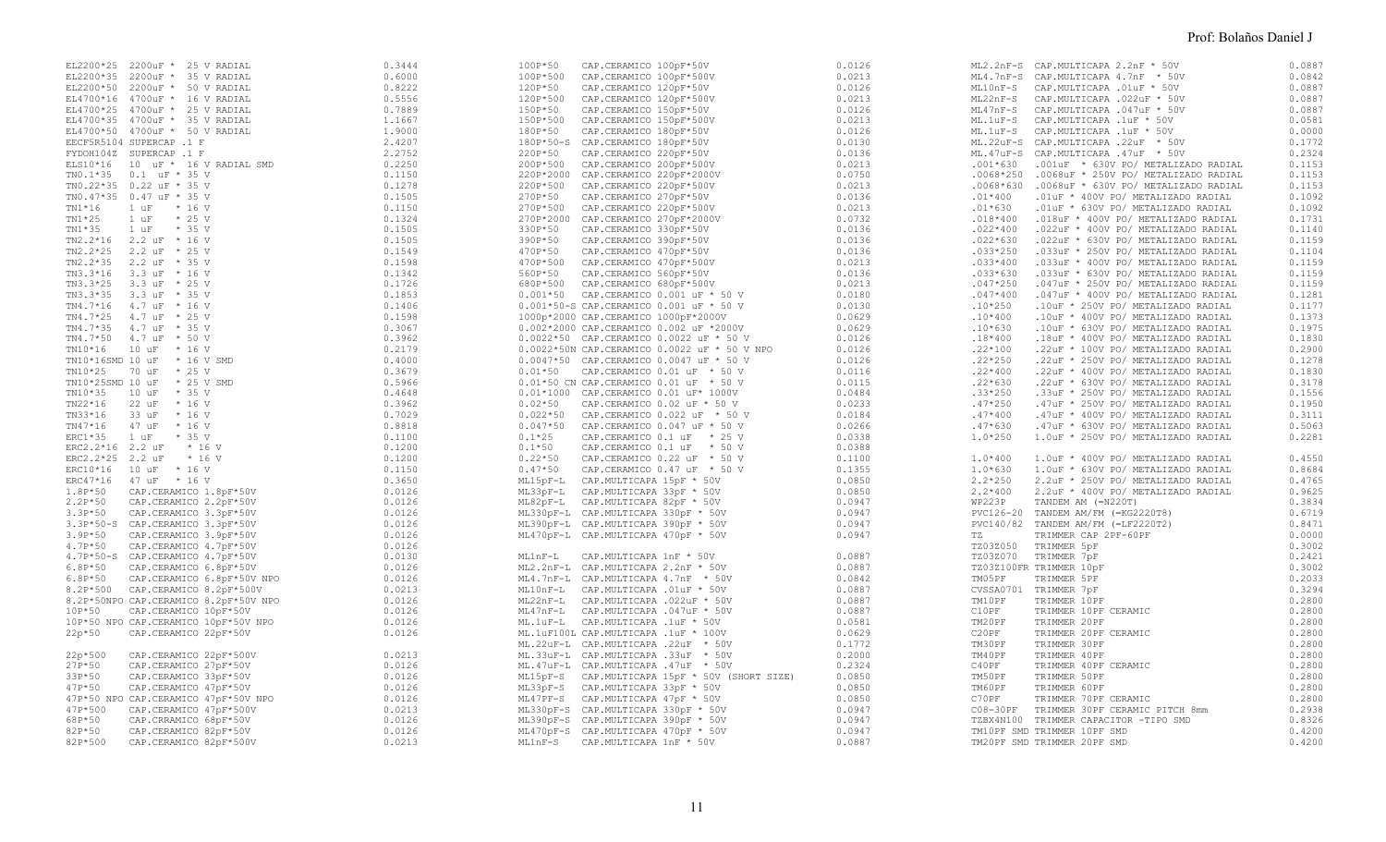|  | 100P*50 | CAP.CERAMICO 100pF*50V<br>1009 = 10 = LERANICO 1009 = 50<br>1009 = 100 = LERANICO 1009 = 50<br>1009 = 000 = CAR. CERANICO 1009 = 50<br>1009 = 000 = CAR. CERANICO 1009 = 50<br>1209 = 50<br>1209 = 50<br>CAR. CERANICO 1209 = 50<br>1209 = 100 = CAR. CERANICO 1209 = | 0.0126 |            | ML2.2nF-S CAP.MULTICAPA 2.2nF * 50V                                                                                                                                                                                                             | 0.0887 |
|--|---------|-----------------------------------------------------------------------------------------------------------------------------------------------------------------------------------------------------------------------------------------------------------------------|--------|------------|-------------------------------------------------------------------------------------------------------------------------------------------------------------------------------------------------------------------------------------------------|--------|
|  |         |                                                                                                                                                                                                                                                                       |        |            | ML4.7nF-S CAP.MULTICAPA 4.7nF $^+$ 50V<br>ML10nF-S CAP.MULTICAPA .01rF * 50V<br>ML22nF-S CAP.MULTICAPA .022uF * 50V<br>ML47nF-S CAP.MULTICAPA .047uF * 50V<br>ML.1uF-S CAP.MULTICAPA .1uF * 50V<br>ML.1uF-S CAP.MULTICAPA .1uF * 50V<br>ML.22uF | 0.0842 |
|  |         |                                                                                                                                                                                                                                                                       |        |            |                                                                                                                                                                                                                                                 | 0.0887 |
|  |         |                                                                                                                                                                                                                                                                       |        |            |                                                                                                                                                                                                                                                 | 0.0887 |
|  |         |                                                                                                                                                                                                                                                                       |        |            |                                                                                                                                                                                                                                                 |        |
|  |         |                                                                                                                                                                                                                                                                       |        |            |                                                                                                                                                                                                                                                 | 0.0887 |
|  |         |                                                                                                                                                                                                                                                                       |        |            |                                                                                                                                                                                                                                                 | 0.0581 |
|  |         |                                                                                                                                                                                                                                                                       |        |            |                                                                                                                                                                                                                                                 | 0.0000 |
|  |         |                                                                                                                                                                                                                                                                       |        |            |                                                                                                                                                                                                                                                 | 0.1772 |
|  |         |                                                                                                                                                                                                                                                                       |        |            |                                                                                                                                                                                                                                                 | 0.2324 |
|  |         |                                                                                                                                                                                                                                                                       |        |            | .001*630 .001uF * 630V PO/ METALIZADO RADIAL                                                                                                                                                                                                    | 0.1153 |
|  |         |                                                                                                                                                                                                                                                                       |        |            | .0068*250 .0068uF * 250V PO/ METALIZADO RADIAL                                                                                                                                                                                                  | 0.1153 |
|  |         |                                                                                                                                                                                                                                                                       |        |            | .0068*630 .0068uF * 630V PO/ METALIZADO RADIAL                                                                                                                                                                                                  | 0.1153 |
|  |         |                                                                                                                                                                                                                                                                       |        | $.01*400$  |                                                                                                                                                                                                                                                 | 0.1092 |
|  |         |                                                                                                                                                                                                                                                                       |        |            | .01uF * 400V PO/ METALIZADO RADIAL                                                                                                                                                                                                              |        |
|  |         |                                                                                                                                                                                                                                                                       |        | $.01*630$  | .01uF * 630V PO/ METALIZADO RADIAL                                                                                                                                                                                                              | 0.1092 |
|  |         |                                                                                                                                                                                                                                                                       |        | $.018*400$ | .018uF * 400V PO/ METALIZADO RADIAL                                                                                                                                                                                                             | 0.1731 |
|  |         |                                                                                                                                                                                                                                                                       |        | $.022*400$ | .022uF * 400V PO/ METALIZADO RADIAL                                                                                                                                                                                                             | 0.1140 |
|  |         |                                                                                                                                                                                                                                                                       |        | $.022*630$ | .022uF * 630V PO/ METALIZADO RADIAL                                                                                                                                                                                                             | 0.1159 |
|  |         |                                                                                                                                                                                                                                                                       |        | $.033*250$ | .033uF * 250V PO/ METALIZADO RADIAL                                                                                                                                                                                                             | 0.1104 |
|  |         |                                                                                                                                                                                                                                                                       |        | $.033*400$ | .033uF * 400V PO/ METALIZADO RADIAL                                                                                                                                                                                                             | 0.1159 |
|  |         |                                                                                                                                                                                                                                                                       |        | $.033*630$ | .033uF * 630V PO/ METALIZADO RADIAL                                                                                                                                                                                                             | 0.1159 |
|  |         |                                                                                                                                                                                                                                                                       |        | $.047*250$ | .047uF * 250V PO/ METALIZADO RADIAL                                                                                                                                                                                                             | 0.1159 |
|  |         |                                                                                                                                                                                                                                                                       |        | $.047*400$ | .047uF * 400V PO/ METALIZADO RADIAL                                                                                                                                                                                                             | 0.1281 |
|  |         |                                                                                                                                                                                                                                                                       |        |            |                                                                                                                                                                                                                                                 |        |
|  |         |                                                                                                                                                                                                                                                                       |        | $.10*250$  | .10uF * 250V PO/ METALIZADO RADIAL                                                                                                                                                                                                              | 0.1177 |
|  |         |                                                                                                                                                                                                                                                                       |        | $.10*400$  | .10uF * 400V PO/ METALIZADO RADIAL                                                                                                                                                                                                              | 0.1373 |
|  |         |                                                                                                                                                                                                                                                                       |        | $.10*630$  | .10uF * 630V PO/ METALIZADO RADIAL                                                                                                                                                                                                              | 0.1975 |
|  |         |                                                                                                                                                                                                                                                                       |        | $.18*400$  | .18uF * 400V PO/ METALIZADO RADIAL                                                                                                                                                                                                              | 0.1830 |
|  |         |                                                                                                                                                                                                                                                                       |        | $.22*100$  | .22uF * 100V PO/ METALIZADO RADIAL                                                                                                                                                                                                              | 0.2900 |
|  |         |                                                                                                                                                                                                                                                                       |        | $.22*250$  | .22uF * 250V PO/ METALIZADO RADIAL                                                                                                                                                                                                              | 0.1278 |
|  |         |                                                                                                                                                                                                                                                                       |        | $.22*400$  | .22uF * 400V PO/ METALIZADO RADIAL                                                                                                                                                                                                              | 0.1830 |
|  |         |                                                                                                                                                                                                                                                                       |        | $.22*630$  | .22uF * 630V PO/ METALIZADO RADIAL                                                                                                                                                                                                              | 0.3178 |
|  |         |                                                                                                                                                                                                                                                                       |        | $.33*250$  | .33uF * 250V PO/ METALIZADO RADIAL                                                                                                                                                                                                              | 0.1556 |
|  |         |                                                                                                                                                                                                                                                                       |        |            |                                                                                                                                                                                                                                                 |        |
|  |         |                                                                                                                                                                                                                                                                       |        | $.47*250$  | .47uF * 250V PO/ METALIZADO RADIAL                                                                                                                                                                                                              | 0.1950 |
|  |         |                                                                                                                                                                                                                                                                       |        | $.47*400$  | .47uF * 400V PO/ METALIZADO RADIAL                                                                                                                                                                                                              | 0.3111 |
|  |         |                                                                                                                                                                                                                                                                       |        | $.47*630$  | .47uF * 630V PO/ METALIZADO RADIAL                                                                                                                                                                                                              | 0.5063 |
|  |         |                                                                                                                                                                                                                                                                       |        | $1.0*250$  | 1.0uF * 250V PO/ METALIZADO RADIAL                                                                                                                                                                                                              | 0.2281 |
|  |         |                                                                                                                                                                                                                                                                       |        |            |                                                                                                                                                                                                                                                 |        |
|  |         |                                                                                                                                                                                                                                                                       |        | $1.0*400$  | 1.0uF * 400V PO/ METALIZADO RADIAL                                                                                                                                                                                                              | 0.4550 |
|  |         |                                                                                                                                                                                                                                                                       |        | $1.0*630$  | 1.0uF * 630V PO/ METALIZADO RADIAL                                                                                                                                                                                                              | 0.8684 |
|  |         |                                                                                                                                                                                                                                                                       |        | $2.2*250$  | 2.2uF * 250V PO/ METALIZADO RADIAL                                                                                                                                                                                                              | 0.4765 |
|  |         |                                                                                                                                                                                                                                                                       |        | $2.2*400$  | 2.2uF * 400V PO/ METALIZADO RADIAL                                                                                                                                                                                                              | 0.9625 |
|  |         |                                                                                                                                                                                                                                                                       |        |            |                                                                                                                                                                                                                                                 | 0.3834 |
|  |         |                                                                                                                                                                                                                                                                       |        |            |                                                                                                                                                                                                                                                 | 0.6719 |
|  |         |                                                                                                                                                                                                                                                                       |        |            |                                                                                                                                                                                                                                                 |        |
|  |         |                                                                                                                                                                                                                                                                       |        |            |                                                                                                                                                                                                                                                 | 0.8471 |
|  |         |                                                                                                                                                                                                                                                                       |        |            |                                                                                                                                                                                                                                                 | 0.0000 |
|  |         |                                                                                                                                                                                                                                                                       |        |            |                                                                                                                                                                                                                                                 | 0.3002 |
|  |         |                                                                                                                                                                                                                                                                       |        |            |                                                                                                                                                                                                                                                 | 0.2421 |
|  |         |                                                                                                                                                                                                                                                                       |        |            |                                                                                                                                                                                                                                                 | 0.3002 |
|  |         |                                                                                                                                                                                                                                                                       |        |            |                                                                                                                                                                                                                                                 | 0.2033 |
|  |         |                                                                                                                                                                                                                                                                       |        |            |                                                                                                                                                                                                                                                 | 0.3294 |
|  |         |                                                                                                                                                                                                                                                                       |        |            |                                                                                                                                                                                                                                                 | 0.2800 |
|  |         |                                                                                                                                                                                                                                                                       |        |            |                                                                                                                                                                                                                                                 | 0.2800 |
|  |         |                                                                                                                                                                                                                                                                       |        |            |                                                                                                                                                                                                                                                 |        |
|  |         |                                                                                                                                                                                                                                                                       |        |            |                                                                                                                                                                                                                                                 | 0.2800 |
|  |         |                                                                                                                                                                                                                                                                       |        |            |                                                                                                                                                                                                                                                 | 0.2800 |
|  |         |                                                                                                                                                                                                                                                                       |        |            |                                                                                                                                                                                                                                                 | 0.2800 |
|  |         |                                                                                                                                                                                                                                                                       |        |            |                                                                                                                                                                                                                                                 | 0.2800 |
|  |         |                                                                                                                                                                                                                                                                       |        |            |                                                                                                                                                                                                                                                 | 0.2800 |
|  |         | ML15pF-S CAP. MULTICAPA 15pF * 50V (SHORT SIZE)                                                                                                                                                                                                                       | 0.0850 |            |                                                                                                                                                                                                                                                 | 0.2800 |
|  |         | ML33pF-S CAP. MULTICAPA 33pF * 50V                                                                                                                                                                                                                                    |        |            |                                                                                                                                                                                                                                                 | 0.2800 |
|  |         | ML47PF-S CAP.MULTICAPA 47pF * 50V                                                                                                                                                                                                                                     |        |            |                                                                                                                                                                                                                                                 | 0.2800 |
|  |         | ML330pF-S CAP.MULTICAPA 330pF * 50V                                                                                                                                                                                                                                   |        |            |                                                                                                                                                                                                                                                 | 0.2938 |
|  |         | ML390pF-S CAP.MULTICAPA 390pF * 50V                                                                                                                                                                                                                                   |        |            | TZBX4N100 TRIMMER CAPACITOR -TIPO SMD                                                                                                                                                                                                           | 0.8326 |
|  |         |                                                                                                                                                                                                                                                                       |        |            | TM10PF SMD TRIMMER 10PF SMD                                                                                                                                                                                                                     | 0.4200 |
|  |         | ML470pF-S CAP.MULTICAPA 470pF * 50V                                                                                                                                                                                                                                   |        |            |                                                                                                                                                                                                                                                 |        |
|  | ML1nF-S | CAP.MULTICAPA 1nF * 50V                                                                                                                                                                                                                                               | 0.0887 |            | TM20PF SMD TRIMMER 20PF SMD                                                                                                                                                                                                                     | 0.4200 |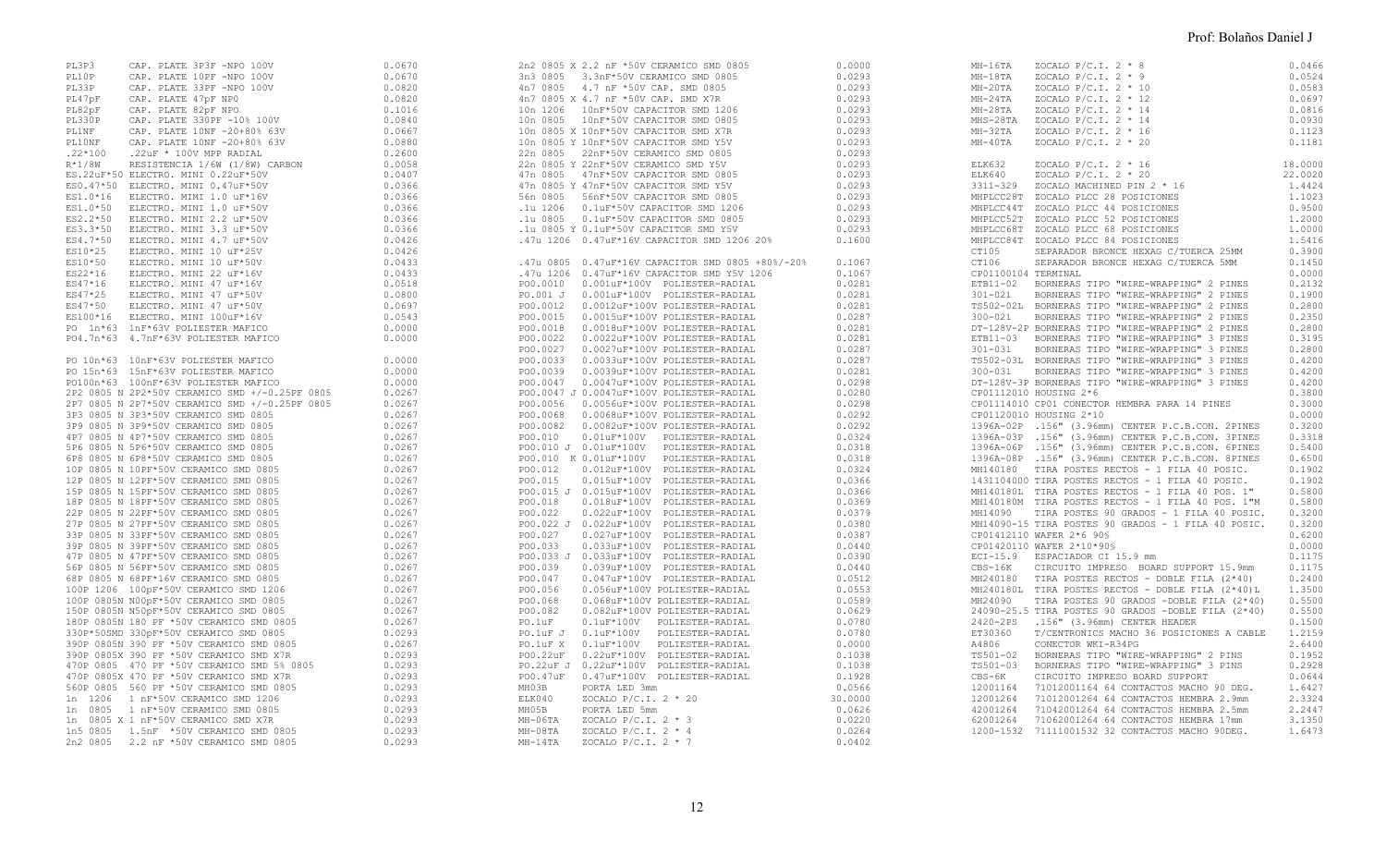| PL33P<br>PL47pF<br>PL82pF<br>PL330P<br>PL1NF<br>PL10NF | CAP. PLATE 33PF -NPO 100V<br>CAP. PLATE 47pF NPO<br>CAP. PLATE 47pF NPO<br>CAP. PLATE 330PF -10% 100V<br>CAP. PLATE 10NF -20+80% 63V<br>CAP. PLATE 10NF -20+80% 63V<br>$.22*100$ $.22uF * 100V$ MPP RADIAL<br>$R*1/8W$ RESISTENCIA 1/6W (1/8W) CARBON<br>ES.22uF*50 ELECTRO. MINI 0.22uF*50V<br>ES.22<br>uF*50 ELECTRO. MINI 0.22<br>uF*50V ES1.0*10 ELECTRO. MINI 1.0 uF*16V ES1.0*50 ELECTRO. MINI 1.0 uF*50V ES1.0*50 ELECTRO. MINI 1.0 uF*50V ES2.2*50 ELECTRO. MINI 2.2 uF*50V ES3.3*50 ELECTRO. MINI 3.3 uF*50V ES3.3<br>PO 1n*63 1nF*63V POLIESTER MAFICO<br>PO4.7n*63 4.7nF*63V POLIESTER MAFICO                                                                                                                                                                                                                                                                                                                                                                                                                                                                                                                                                                                                                                                                                                                                                                                                                                             | 0.0820<br>0.0820<br>0.1016<br>0.0840<br>0.0667<br>0.0880<br>0.2600<br>0.0058<br>0.0407<br>0.0366<br>0.0366<br>0.0366<br>0.0366<br>0.0366<br>0.0426<br>0.0426<br>0.0433<br>0.0433<br>0.0518<br>0.0800<br>0.0697<br>0.0543<br>0.0000<br>0.0000                                                                                                               |
|--------------------------------------------------------|------------------------------------------------------------------------------------------------------------------------------------------------------------------------------------------------------------------------------------------------------------------------------------------------------------------------------------------------------------------------------------------------------------------------------------------------------------------------------------------------------------------------------------------------------------------------------------------------------------------------------------------------------------------------------------------------------------------------------------------------------------------------------------------------------------------------------------------------------------------------------------------------------------------------------------------------------------------------------------------------------------------------------------------------------------------------------------------------------------------------------------------------------------------------------------------------------------------------------------------------------------------------------------------------------------------------------------------------------------------------------------------------------------------------------------------------------|------------------------------------------------------------------------------------------------------------------------------------------------------------------------------------------------------------------------------------------------------------------------------------------------------------------------------------------------------------|
| 1n<br>1206<br>1n<br>1n                                 | PO 10n*63 10nF*63V POLIESTER MAFICO<br>PO 15n*63 15nF*63V POLIESTER MAFICO<br>PO100n*63 100nF*63V POLIESTER MAFICO<br>2P2 0805 N 2P2*50V CERAMICO SMD +/-0.25PF 0805<br>2P7 0805 N 2P7*50V CERAMICO SMD +/-0.25PF 0805<br>3P3 0805 N 3P3*50V CERAMICO SMD 0805<br>3P9 0805 N 3P9*50V CERAMICO SMD 0805<br>4P7 0805 N 4P7*50V CERAMICO SMD 0805<br>5P6 0805 N 5P6*50V CERAMICO SMD 0805<br>6P8 0805 N 6P8*50V CERAMICO SMD 0805<br>10P 0805 N 10PF*50V CERAMICO SMD 0805<br>12P 0805 N 12PF*50V CERAMICO SMD 0805<br>15P 0805 N 15PF*50V CERAMICO SMD 0805<br>18P 0805 N 18PF*50V CERAMICO SMD 0805<br>22P 0805 N 22PF*50V CERAMICO SMD 0805<br>27P 0805 N 27PF*50V CERAMICO SMD 0805<br>33P 0805 N 33PF*50V CERAMICO SMD 0805<br>39P 0805 N 39PF*50V CERAMICO SMD 0805<br>47P 0805 N 47PF*50V CERAMICO SMD 0805<br>56P 0805 N 56PF*50V CERAMICO SMD 0805<br>68P 0805 N 68PF*16V CERAMICO SMD 0805<br>100P 1206 100pF*50V CERAMICO SMD 1206<br>100P 0805N N00pF*50V CERAMICO SMD 0805<br>150P 0805N N50pF*50V CERAMICO SMD 0805<br>180P 0805N 180 PF *50V CERAMICO SMD 0805<br>330P*50SMD 330pF*50V CERAMICO SMD 0805<br>390P 0805N 390 PF *50V CERAMICO SMD 0805<br>390P 0805X 390 PF *50V CERAMICO SMD X7R<br>470P 0805 470 PF *50V CERAMICO SMD 5% 0805<br>470P 0805X 470 PF *50V CERAMICO SMD X7R<br>560P 0805 560 PF *50V CERAMICO SMD 0805<br>1 nF*50V CERAMICO SMD 1206<br>0805 1 nF*50V CERAMICO SMD 0805<br>0805 X 1 nF*50V CERAMICO SMD X7R | 0.0000<br>0.0000<br>0.0000<br>0.0267<br>0.0267<br>0.0267<br>0.0267<br>0.0267<br>0.0267<br>0.0267<br>0.0267<br>0.0267<br>0.0267<br>0.0267<br>0.0267<br>0.0267<br>0.0267<br>0.0267<br>0.0267<br>0.0267<br>0.0267<br>0.0267<br>0.0267<br>0.0267<br>0.0267<br>0.0293<br>0.0267<br>0.0293<br>0.0293<br>0.0293<br>0.0293<br>0.0293<br>0.0293<br>0.0293<br>0.0293 |

| 10n 0805<br>56n 0805<br>.1u 1206 | 2n2 0805 X 2.2 nF *50V CERAMICO SMD 0805<br>3n3 0805 3.3nF*50V CERAMICO SMD 0805<br>4n7 0805 4.7 nF *50V CAP. SMD 0805<br>4n7 0805 X 4.7 nF *50V CAP. SMD X7R<br>10n 1206  10nF*50V CAPACITOR SMD 1206<br>10nF*50V CAPACITOR SMD 0805<br>10n 0805 X 10nF*50V CAPACITOR SMD X7R<br>10n 0805 Y 10nF*50V CAPACITOR SMD Y5V<br>22n 0805 22nF*50V CERAMICO SMD 0805<br>22n 0805 Y 22nF*50V CERAMICO SMD Y5V<br>47n 0805 47nF*50V CAPACITOR SMD 0805<br>47n 0805 Y 47nF*50V CAPACITOR SMD Y5V<br>56nF*50V CAPACITOR SMD 0805<br>0.1uF*50V CAPACITOR SMD 1206<br>.1u 0805  0.1uF*50V CAPACITOR SMD 0805<br>.1u 0805 Y 0.1uF*50V CAPACITOR SMD Y5V<br>.47u 1206 0.47uF*16V CAPACITOR SMD 1206 20% | 0.0000<br>0.0293<br>0.0293<br>0.0293<br>0.0293<br>0.0293<br>0.0293<br>0.0293<br>0.0293<br>0.0293<br>0.0293<br>0.0293<br>0.0293<br>0.0293<br>0.0293<br>0.0293<br>0.1600 |
|----------------------------------|-------------------------------------------------------------------------------------------------------------------------------------------------------------------------------------------------------------------------------------------------------------------------------------------------------------------------------------------------------------------------------------------------------------------------------------------------------------------------------------------------------------------------------------------------------------------------------------------------------------------------------------------------------------------------------------------|------------------------------------------------------------------------------------------------------------------------------------------------------------------------|
|                                  | .47u 0805 0.47uF*16V CAPACITOR SMD 0805 +80%/-20%                                                                                                                                                                                                                                                                                                                                                                                                                                                                                                                                                                                                                                         | 0.1067                                                                                                                                                                 |
|                                  | .47u 1206  0.47uF*16V CAPACITOR SMD Y5V 1206                                                                                                                                                                                                                                                                                                                                                                                                                                                                                                                                                                                                                                              | 0.1067<br>0.0281                                                                                                                                                       |
|                                  |                                                                                                                                                                                                                                                                                                                                                                                                                                                                                                                                                                                                                                                                                           | 0.0281                                                                                                                                                                 |
|                                  |                                                                                                                                                                                                                                                                                                                                                                                                                                                                                                                                                                                                                                                                                           | 0.0281                                                                                                                                                                 |
| PO0.0015                         | 0.0015uF*100V POLIESTER-RADIAL                                                                                                                                                                                                                                                                                                                                                                                                                                                                                                                                                                                                                                                            | 0.0287                                                                                                                                                                 |
|                                  |                                                                                                                                                                                                                                                                                                                                                                                                                                                                                                                                                                                                                                                                                           | 0.0281                                                                                                                                                                 |
|                                  |                                                                                                                                                                                                                                                                                                                                                                                                                                                                                                                                                                                                                                                                                           | 0.0281                                                                                                                                                                 |
|                                  |                                                                                                                                                                                                                                                                                                                                                                                                                                                                                                                                                                                                                                                                                           | 0.0287                                                                                                                                                                 |
|                                  |                                                                                                                                                                                                                                                                                                                                                                                                                                                                                                                                                                                                                                                                                           | 0.0287                                                                                                                                                                 |
|                                  |                                                                                                                                                                                                                                                                                                                                                                                                                                                                                                                                                                                                                                                                                           | 0.0281                                                                                                                                                                 |
|                                  | PO0.0047 J 0.0047uF*100V POLIESTER-RADIAL                                                                                                                                                                                                                                                                                                                                                                                                                                                                                                                                                                                                                                                 | 0.0298<br>0.0280                                                                                                                                                       |
|                                  | PO0.0056  0.0056uF*100V POLIESTER-RADIAL                                                                                                                                                                                                                                                                                                                                                                                                                                                                                                                                                                                                                                                  | 0.0298                                                                                                                                                                 |
| PO0.0068                         | 0.0068uF*100V POLIESTER-RADIAL                                                                                                                                                                                                                                                                                                                                                                                                                                                                                                                                                                                                                                                            | 0.0292                                                                                                                                                                 |
| PO0.0082                         | 0.0082uF*100V POLIESTER-RADIAL                                                                                                                                                                                                                                                                                                                                                                                                                                                                                                                                                                                                                                                            | 0.0292                                                                                                                                                                 |
| PO0.010                          | 0.01uF*100V POLIESTER-RADIAL                                                                                                                                                                                                                                                                                                                                                                                                                                                                                                                                                                                                                                                              | 0.0324                                                                                                                                                                 |
|                                  | PO0.010 J 0.01uF*100V POLIESTER-RADIAL                                                                                                                                                                                                                                                                                                                                                                                                                                                                                                                                                                                                                                                    | 0.0318                                                                                                                                                                 |
|                                  | PO0.010 K 0.01uF*100V POLIESTER-RADIAL                                                                                                                                                                                                                                                                                                                                                                                                                                                                                                                                                                                                                                                    | 0.0318                                                                                                                                                                 |
| PO0.012                          | 0.012uF*100V POLIESTER-RADIAL                                                                                                                                                                                                                                                                                                                                                                                                                                                                                                                                                                                                                                                             | 0.0324                                                                                                                                                                 |
| PO0.015                          | 0.015uF*100V POLIESTER-RADIAL                                                                                                                                                                                                                                                                                                                                                                                                                                                                                                                                                                                                                                                             | 0.0366                                                                                                                                                                 |
|                                  | PO0.015 J 0.015uF*100V POLIESTER-RADIAL<br>PO0.018 0.018uF*100V POLIESTER-RADIAL                                                                                                                                                                                                                                                                                                                                                                                                                                                                                                                                                                                                          | 0.0366                                                                                                                                                                 |
| PO0.018<br>PO0.022               | 0.022uF*100V POLIESTER-RADIAL                                                                                                                                                                                                                                                                                                                                                                                                                                                                                                                                                                                                                                                             | 0.0369<br>0.0379                                                                                                                                                       |
|                                  | PO0.022 J 0.022uF*100V POLIESTER-RADIAL                                                                                                                                                                                                                                                                                                                                                                                                                                                                                                                                                                                                                                                   | 0.0380                                                                                                                                                                 |
| PO0.027                          | 0.027uF*100V POLIESTER-RADIAL                                                                                                                                                                                                                                                                                                                                                                                                                                                                                                                                                                                                                                                             | 0.0387                                                                                                                                                                 |
| PO0.033                          | 0.033uF*100V POLIESTER-RADIAL                                                                                                                                                                                                                                                                                                                                                                                                                                                                                                                                                                                                                                                             | 0.0440                                                                                                                                                                 |
|                                  | PO0.033 J 0.033uF*100V POLIESTER-RADIAL                                                                                                                                                                                                                                                                                                                                                                                                                                                                                                                                                                                                                                                   | 0.0390                                                                                                                                                                 |
| PO0.039                          | 0.039uF*100V POLIESTER-RADIAL                                                                                                                                                                                                                                                                                                                                                                                                                                                                                                                                                                                                                                                             | 0.0440                                                                                                                                                                 |
| PO0.047                          | 0.047uF*100V POLIESTER-RADIAL                                                                                                                                                                                                                                                                                                                                                                                                                                                                                                                                                                                                                                                             | 0.0512                                                                                                                                                                 |
| PO0.056                          | 0.056uF*100V POLIESTER-RADIAL                                                                                                                                                                                                                                                                                                                                                                                                                                                                                                                                                                                                                                                             | 0.0553                                                                                                                                                                 |
| PO0.068                          | 0.068uF*100V POLIESTER-RADIAL                                                                                                                                                                                                                                                                                                                                                                                                                                                                                                                                                                                                                                                             | 0.0589                                                                                                                                                                 |
| PO0.082<br>PO.1uF                | 0.082uF*100V POLIESTER-RADIAL<br>0.1uF*100V POLIESTER-RADIAL                                                                                                                                                                                                                                                                                                                                                                                                                                                                                                                                                                                                                              | 0.0629<br>0.0780                                                                                                                                                       |
| PO.1uF J                         | $0.1$ u $F*100V$<br>POLIESTER-RADIAL                                                                                                                                                                                                                                                                                                                                                                                                                                                                                                                                                                                                                                                      | 0.0780                                                                                                                                                                 |
| PO.1uF X                         | 0.1uF*100V POLIESTER-RADIAL                                                                                                                                                                                                                                                                                                                                                                                                                                                                                                                                                                                                                                                               | 0.0000                                                                                                                                                                 |
| PO0.22uF                         | 0.22uF*100V POLIESTER-RADIAL                                                                                                                                                                                                                                                                                                                                                                                                                                                                                                                                                                                                                                                              | 0.1038                                                                                                                                                                 |
|                                  | PO.22uF J 0.22uF*100V POLIESTER-RADIAL                                                                                                                                                                                                                                                                                                                                                                                                                                                                                                                                                                                                                                                    | 0.1038                                                                                                                                                                 |
| PO0.47uF                         | 0.47uF*100V POLIESTER-RADIAL                                                                                                                                                                                                                                                                                                                                                                                                                                                                                                                                                                                                                                                              | 0.1928                                                                                                                                                                 |
| MH03B                            | PORTA LED 3mm                                                                                                                                                                                                                                                                                                                                                                                                                                                                                                                                                                                                                                                                             | 0.0566                                                                                                                                                                 |
| ELK040                           | ZOCALO P/C.I. 2 * 20                                                                                                                                                                                                                                                                                                                                                                                                                                                                                                                                                                                                                                                                      | 30.0000                                                                                                                                                                |
| MH05B                            | PORTA LED 5mm                                                                                                                                                                                                                                                                                                                                                                                                                                                                                                                                                                                                                                                                             | 0.0626                                                                                                                                                                 |
| МН-06ТА                          | ZOCALO P/C.I. $2 * 3$                                                                                                                                                                                                                                                                                                                                                                                                                                                                                                                                                                                                                                                                     | 0.0220<br>0.0264                                                                                                                                                       |
| MH-08TA<br>$MH-14TA$             | ZOCALO P/C.I. 2 * 4<br>ZOCALO P/C.I. 2 * 7                                                                                                                                                                                                                                                                                                                                                                                                                                                                                                                                                                                                                                                | 0.0402                                                                                                                                                                 |
|                                  |                                                                                                                                                                                                                                                                                                                                                                                                                                                                                                                                                                                                                                                                                           |                                                                                                                                                                        |
|                                  |                                                                                                                                                                                                                                                                                                                                                                                                                                                                                                                                                                                                                                                                                           |                                                                                                                                                                        |

| MH-16TA                       | ZOCALO P/C.I. 2 * 8<br>1014<br>MH-18TA 20CALO P/C.I.2 * 9<br>MH-20TA 20CALO P/C.I.2 * 10<br>MH-24TA 20CALO P/C.I.2 * 12<br>MH-28TA 20CALO P/C.I.2 * 14<br>MH-32TA 20CALO P/C.I.2 * 16<br>MH-40TA 20CALO P/C.I.2 * 16<br>MH-40TA 20CALO P/C.I.2 * 20                                                                                                                                                                                                                                                                                                                                                                                                                                                                                                                                                                                                                                                                                                                                                                                                                                                                                                                                                                                                                                                                                                                                                                                                                                                                                                                                                                                                                                                                                                                                                                                                                                               | 0.0466<br>0.0524<br>0.0583<br>0.0697<br>0.0816<br>0.0930<br>0.1123<br>0.1181                                                                                                                                                                                                                                                   |
|-------------------------------|---------------------------------------------------------------------------------------------------------------------------------------------------------------------------------------------------------------------------------------------------------------------------------------------------------------------------------------------------------------------------------------------------------------------------------------------------------------------------------------------------------------------------------------------------------------------------------------------------------------------------------------------------------------------------------------------------------------------------------------------------------------------------------------------------------------------------------------------------------------------------------------------------------------------------------------------------------------------------------------------------------------------------------------------------------------------------------------------------------------------------------------------------------------------------------------------------------------------------------------------------------------------------------------------------------------------------------------------------------------------------------------------------------------------------------------------------------------------------------------------------------------------------------------------------------------------------------------------------------------------------------------------------------------------------------------------------------------------------------------------------------------------------------------------------------------------------------------------------------------------------------------------------|--------------------------------------------------------------------------------------------------------------------------------------------------------------------------------------------------------------------------------------------------------------------------------------------------------------------------------|
| ELK632<br>CP01100104 TERMINAL | ZOCALO P/C.I. 2 * 16<br>ELK640<br>ZOCALO P/C.I. 2 * 20<br>3311-329<br>ZOCALO MACHINED PIN 2 * 16<br>MHPLCC28T ZOCALO PLCC 28 POSICIONES<br>MHPLCC44T ZOCALO PLCC 44 POSICIONES<br>MHPLCC52T ZOCALO PLCC 52 POSICIONES<br>MHPLCC68T ZOCALO PLCC 68 POSICIONES<br>MHPLCC84T ZOCALO PLCC 84 POSICIONES<br>CT105 SEPARADOR BRONCE HEXAG C/TUERCA 25MM<br>CT106 SEPARADOR BRONCE HEXAG C/TUERCA 5MM<br>ETB11-02 BORNERAS TIPO "WIRE-WRAPPING" 2 PINES<br>301-021 BORNERAS TIPO "WIRE-WRAPPING" 2 PINES<br>TS502-02L BORNERAS TIPO "WIRE-WRAPPING" 2 PINES<br>300-021 BORNERAS TIPO "WIRE-WRAPPING" 2 PINES<br>DT-128V-2P BORNERAS TIPO "WIRE-WRAP<br>ETB11-03 BORNERAS TIPO "WIRE-WRAPPING" 3 PINES<br>301-031 BORNERAS TIPO "WIRE-WRAPPING" 3 PINES<br>TS502-03L BORNERAS TIPO "WIRE-WRAPPING" 3 PINES<br>300-031 BORNERAS TIPO "WIRE-WRAPPING" 3 PINES<br>DT-128V-3P BORNERAS TIPO "WIRE-WRAP<br>CP01112010 HOUSING 2*6<br>CP01114010 CP01 CONECTOR HEMBRA PARA 14 PINES<br>CP01120010 HOUSING 2*10<br>1396A-02P .156" (3.96mm) CENTER P.C.B.CON. 2PINES 0.3200<br>1396A-02P .156" (3.96mm) CENTER P.C.B.CON. 3PINES 0.3318<br>1396A-03P .156" (3.96mm) CENTER P.C.B.CON. SFINES<br>1396A-06P .156" (3.96mm) CENTER P.C.B.CON. 6PINES<br>1396A-08P .156" (3.96mm) CENTER P.C.B.CON. 6PINES<br>0.6500<br>MH140180 TRA POSTES RECTOS - 1 FILA 40 POSIC. 0.1902<br>1431104000 T<br>MH14090-15 TIRA POSTES 90 GRADOS - 1 FILA 40 POSIC.<br>CP01412110 WAFER 2*6 90\$<br>CP01420110 WAFER 2*10*90\$<br>ECI-15.9 ESPACIADOR CI 15.9 mm<br>CBS-16K CIRCUITO IMPRESO BOARD SUPPORT 15.9mm<br>--- ------- ------ ------ ----- (2*40)<br>$MH240180$ TIRA POSTES RECTOS - DOBLE FILA $(2*40)$<br>MH240180L TIRA POSTES RECTOS - DOBLE FILA (2*40)L 1.3500<br>MH24090 TIRA POSTES 90 GRADOS -DOBLE FILA (2*40)<br>24090-25.5 TIRA POSTES 90 GRADOS -DOBLE FILA $(2*40)$<br>2420-2PS .156" (3.96mm) CENTER HEADER | 18,0000<br>22,0020<br>1.4424<br>1.1023<br>0.9500<br>1,2000<br>1,0000<br>1.5416<br>0.3900<br>0.1450<br>0.0000<br>0.2132<br>0.1900<br>0.2800<br>0.2350<br>0.2800<br>0.3195<br>0.2800<br>0.4200<br>0.4200<br>0.4200<br>0.3800<br>0.3000<br>0.3200<br>0.6200<br>0.0000<br>0.1175<br>0.1175<br>0.2400<br>0.5500<br>0.5500<br>0.1500 |
|                               |                                                                                                                                                                                                                                                                                                                                                                                                                                                                                                                                                                                                                                                                                                                                                                                                                                                                                                                                                                                                                                                                                                                                                                                                                                                                                                                                                                                                                                                                                                                                                                                                                                                                                                                                                                                                                                                                                                   |                                                                                                                                                                                                                                                                                                                                |
|                               |                                                                                                                                                                                                                                                                                                                                                                                                                                                                                                                                                                                                                                                                                                                                                                                                                                                                                                                                                                                                                                                                                                                                                                                                                                                                                                                                                                                                                                                                                                                                                                                                                                                                                                                                                                                                                                                                                                   |                                                                                                                                                                                                                                                                                                                                |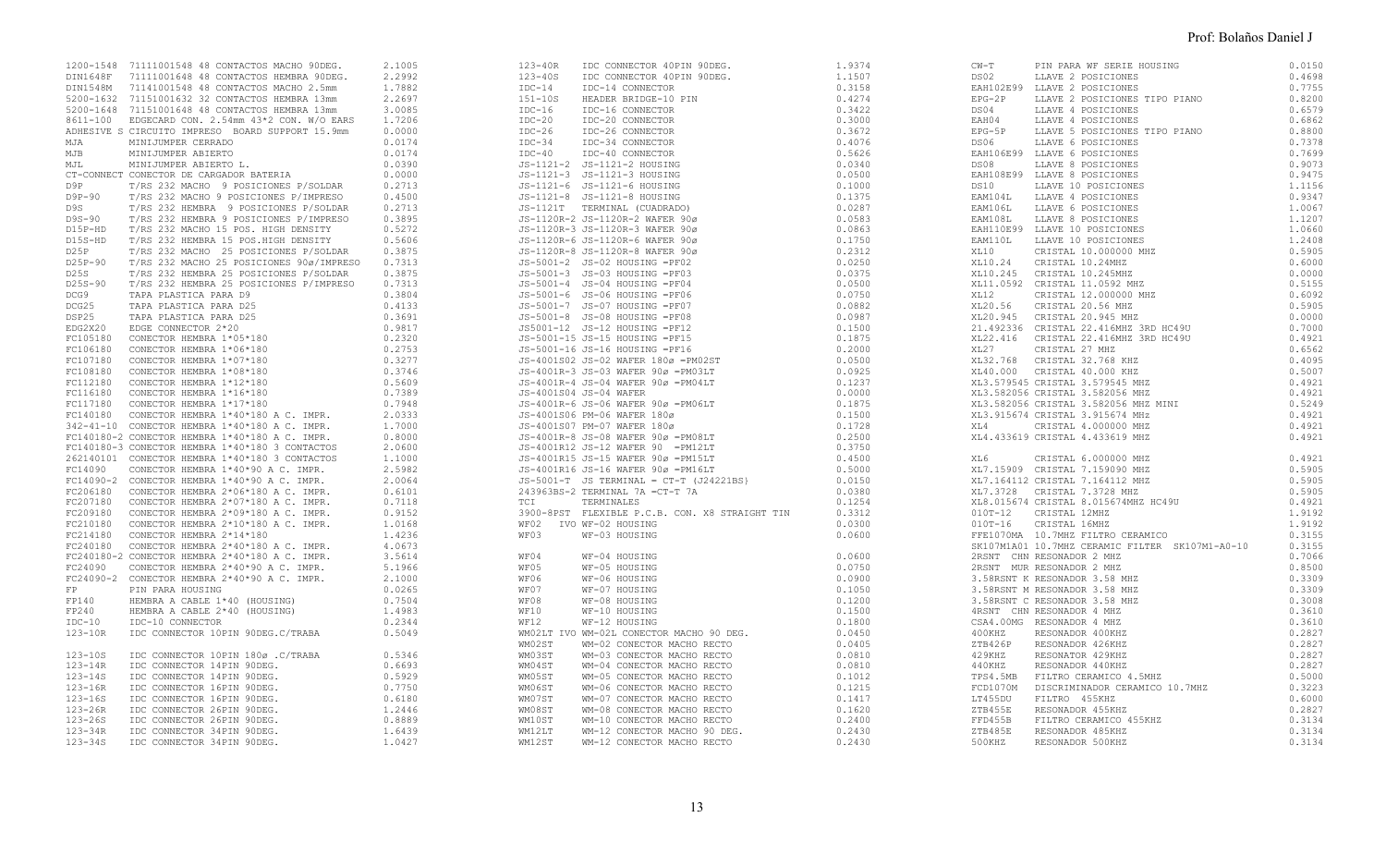|  |  |  | SK107M1A01 10.7MHZ CERAMIC FILTER SK107M1-A0-10<br>2RSNT CHN RESONADOR 2 MHZ<br>2RSNT MUR RESONADOR 2 MHZ<br>3.58RSNT K RESONADOR 3.58 MHZ<br>3.58RSNT M RESONADOR 3.58 MHZ<br>3.58RSNT C RESONADOR 3.58 MHZ<br>3.58RSNT C RESONADOR 4 MHZ |  |
|--|--|--|--------------------------------------------------------------------------------------------------------------------------------------------------------------------------------------------------------------------------------------------|--|
|  |  |  |                                                                                                                                                                                                                                            |  |
|  |  |  |                                                                                                                                                                                                                                            |  |
|  |  |  |                                                                                                                                                                                                                                            |  |
|  |  |  |                                                                                                                                                                                                                                            |  |
|  |  |  |                                                                                                                                                                                                                                            |  |
|  |  |  |                                                                                                                                                                                                                                            |  |
|  |  |  |                                                                                                                                                                                                                                            |  |
|  |  |  |                                                                                                                                                                                                                                            |  |
|  |  |  |                                                                                                                                                                                                                                            |  |
|  |  |  |                                                                                                                                                                                                                                            |  |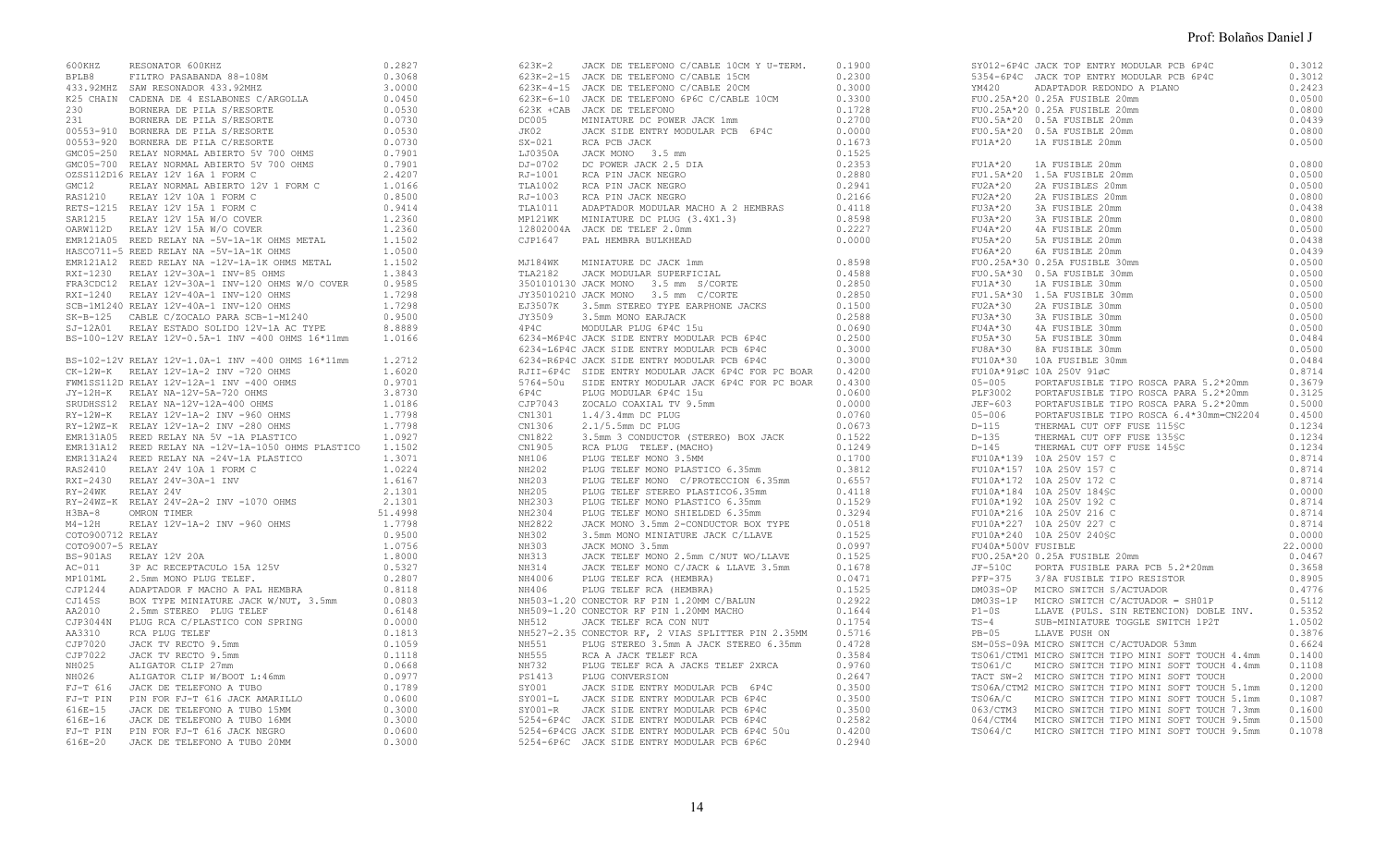|                  |                                                                                                                                                                                                                                                                                                                                                                       | 0.2827                                           |
|------------------|-----------------------------------------------------------------------------------------------------------------------------------------------------------------------------------------------------------------------------------------------------------------------------------------------------------------------------------------------------------------------|--------------------------------------------------|
|                  |                                                                                                                                                                                                                                                                                                                                                                       |                                                  |
|                  |                                                                                                                                                                                                                                                                                                                                                                       | 0.3068                                           |
|                  |                                                                                                                                                                                                                                                                                                                                                                       | 3.0000                                           |
|                  |                                                                                                                                                                                                                                                                                                                                                                       | 0.0450                                           |
|                  | 600KHZ RESONATOR 600KHZ<br>BPLB8 FILTRO PASABANDA 88-108M<br>433.92MHZ SAW RESONADOR 433.92MHZ<br>K25 CHAIN CADENA DE 4 ESLABONES C/ARGOLLA<br>230 BORNERA DE PILA S/RESORTE<br>231 BORNERA DE PILA S/RESORTE<br>00553-910 BORNERA DE PILA                                                                                                                            | 0.0530                                           |
|                  |                                                                                                                                                                                                                                                                                                                                                                       | 0.0730                                           |
|                  |                                                                                                                                                                                                                                                                                                                                                                       |                                                  |
|                  |                                                                                                                                                                                                                                                                                                                                                                       | 0.0530                                           |
|                  |                                                                                                                                                                                                                                                                                                                                                                       | 0.0730                                           |
|                  |                                                                                                                                                                                                                                                                                                                                                                       | $0.7901$<br>0.7901<br>2.4207<br>1.0166<br>0.8500 |
|                  |                                                                                                                                                                                                                                                                                                                                                                       |                                                  |
|                  |                                                                                                                                                                                                                                                                                                                                                                       |                                                  |
|                  |                                                                                                                                                                                                                                                                                                                                                                       |                                                  |
|                  |                                                                                                                                                                                                                                                                                                                                                                       |                                                  |
|                  |                                                                                                                                                                                                                                                                                                                                                                       |                                                  |
|                  |                                                                                                                                                                                                                                                                                                                                                                       |                                                  |
|                  |                                                                                                                                                                                                                                                                                                                                                                       |                                                  |
|                  |                                                                                                                                                                                                                                                                                                                                                                       |                                                  |
|                  |                                                                                                                                                                                                                                                                                                                                                                       |                                                  |
|                  |                                                                                                                                                                                                                                                                                                                                                                       |                                                  |
|                  |                                                                                                                                                                                                                                                                                                                                                                       |                                                  |
|                  |                                                                                                                                                                                                                                                                                                                                                                       |                                                  |
|                  | 971210 ELAY 12V 10A 1 FORM C<br>RETS-1215 RELAY 12V 15A 1 FORM C<br>0.9414<br>SAR1215 RELAY 12V 15A W/O COVER<br>0.9414<br>SAR1215 RELAY 12V 15A W/O COVER<br>1.2360<br>DARW112D RELAY 12V 15A W/O COVER<br>1.2360<br>EMR121A105 REED RELAY NA -<br>RXI-1230 RELAY 12V-30A-1 INV-85 OHMS                                                                              | 1.3843                                           |
|                  |                                                                                                                                                                                                                                                                                                                                                                       |                                                  |
|                  |                                                                                                                                                                                                                                                                                                                                                                       |                                                  |
|                  |                                                                                                                                                                                                                                                                                                                                                                       |                                                  |
|                  |                                                                                                                                                                                                                                                                                                                                                                       |                                                  |
|                  |                                                                                                                                                                                                                                                                                                                                                                       |                                                  |
|                  |                                                                                                                                                                                                                                                                                                                                                                       |                                                  |
|                  |                                                                                                                                                                                                                                                                                                                                                                       |                                                  |
|                  |                                                                                                                                                                                                                                                                                                                                                                       |                                                  |
|                  | $1.2712$ SS-102-12V RELAY 12V-1.0A-1 INV -400 OHMS $16*11mm$<br>CK-12W-K RELAY 12V-1A-2 INV -720 OHMS $1.6020$<br>FWM1SS112D RELAY 12V-12A-1 INV -400 OHMS $0.9701$<br>JY-12H-K RELAY NA-12V-5A-720 OHMS $3.8730$<br>SRUDHSS12 RELAY N                                                                                                                                |                                                  |
|                  |                                                                                                                                                                                                                                                                                                                                                                       |                                                  |
|                  |                                                                                                                                                                                                                                                                                                                                                                       |                                                  |
|                  |                                                                                                                                                                                                                                                                                                                                                                       |                                                  |
|                  |                                                                                                                                                                                                                                                                                                                                                                       |                                                  |
|                  |                                                                                                                                                                                                                                                                                                                                                                       |                                                  |
|                  |                                                                                                                                                                                                                                                                                                                                                                       |                                                  |
|                  |                                                                                                                                                                                                                                                                                                                                                                       |                                                  |
|                  |                                                                                                                                                                                                                                                                                                                                                                       |                                                  |
|                  |                                                                                                                                                                                                                                                                                                                                                                       |                                                  |
|                  |                                                                                                                                                                                                                                                                                                                                                                       |                                                  |
|                  |                                                                                                                                                                                                                                                                                                                                                                       |                                                  |
|                  | EMRIJIAIZ KEED RELAI NA 147 111 PLASTICO<br>EMRIJIA24 REED RELAY NA 1490-11 PLASTICO<br>$\begin{tabular}{lllllllllll} \textbf{RAS2410} & \textbf{RELAY} & 24 \textbf{V} & 10 \textbf{A} & \textbf{FORM} & \textbf{C} \\ \textbf{RXI-2430} & \textbf{RELAY} & 24 \textbf{V-30A-1} & \textbf{INV} & \textbf{RY-24WK} & \textbf{RELAY} & 24 \textbf{V} \\ \end{tabular}$ | 1.0224                                           |
|                  |                                                                                                                                                                                                                                                                                                                                                                       |                                                  |
|                  | RX1-2450 (1991)<br>RY-24WK RELAY 24V<br>RY-24WZ-K RELAY 24V-2A-2 INV -1070 OHMS 2.1301<br>2.1301<br>51.4998<br>1.7798                                                                                                                                                                                                                                                 | 1.6167                                           |
|                  |                                                                                                                                                                                                                                                                                                                                                                       |                                                  |
|                  |                                                                                                                                                                                                                                                                                                                                                                       |                                                  |
|                  |                                                                                                                                                                                                                                                                                                                                                                       |                                                  |
|                  | $M4-12H$ RELAY $12V-1A-2$ INV $-960$ OHMS                                                                                                                                                                                                                                                                                                                             | 1.7798                                           |
| COTO900712 RELAY |                                                                                                                                                                                                                                                                                                                                                                       | 0.9500                                           |
|                  |                                                                                                                                                                                                                                                                                                                                                                       |                                                  |
| COTO9007-5 RELAY |                                                                                                                                                                                                                                                                                                                                                                       | 1.0756                                           |
|                  |                                                                                                                                                                                                                                                                                                                                                                       |                                                  |
|                  |                                                                                                                                                                                                                                                                                                                                                                       |                                                  |
|                  |                                                                                                                                                                                                                                                                                                                                                                       |                                                  |
|                  |                                                                                                                                                                                                                                                                                                                                                                       |                                                  |
|                  |                                                                                                                                                                                                                                                                                                                                                                       |                                                  |
|                  |                                                                                                                                                                                                                                                                                                                                                                       |                                                  |
|                  |                                                                                                                                                                                                                                                                                                                                                                       |                                                  |
|                  |                                                                                                                                                                                                                                                                                                                                                                       |                                                  |
|                  |                                                                                                                                                                                                                                                                                                                                                                       |                                                  |
|                  |                                                                                                                                                                                                                                                                                                                                                                       |                                                  |
|                  |                                                                                                                                                                                                                                                                                                                                                                       |                                                  |
|                  |                                                                                                                                                                                                                                                                                                                                                                       |                                                  |
|                  |                                                                                                                                                                                                                                                                                                                                                                       |                                                  |
|                  |                                                                                                                                                                                                                                                                                                                                                                       |                                                  |
|                  |                                                                                                                                                                                                                                                                                                                                                                       |                                                  |
|                  |                                                                                                                                                                                                                                                                                                                                                                       |                                                  |
|                  |                                                                                                                                                                                                                                                                                                                                                                       |                                                  |
|                  |                                                                                                                                                                                                                                                                                                                                                                       |                                                  |
|                  |                                                                                                                                                                                                                                                                                                                                                                       |                                                  |
|                  |                                                                                                                                                                                                                                                                                                                                                                       |                                                  |
|                  |                                                                                                                                                                                                                                                                                                                                                                       |                                                  |

|  |                                                                                                                                                                                                         | 0.2922 |
|--|---------------------------------------------------------------------------------------------------------------------------------------------------------------------------------------------------------|--------|
|  | NH314 JACK TELEF MONO C/JACK & LLAVE J.C<br>NH4006 PLUG TELEF RCA (HEMBRA)<br>NH406 PLUG TELEF RCA (HEMBRA)<br>NH503-1.20 CONECTOR RF PIN 1.20MM C/BALUN<br>NH509-1.20 CONECTOR RF PIN 1.20MM MACHO<br> | 0.1644 |
|  |                                                                                                                                                                                                         | 0.1754 |
|  |                                                                                                                                                                                                         |        |
|  |                                                                                                                                                                                                         |        |
|  |                                                                                                                                                                                                         |        |
|  |                                                                                                                                                                                                         |        |
|  |                                                                                                                                                                                                         |        |
|  |                                                                                                                                                                                                         |        |
|  |                                                                                                                                                                                                         |        |
|  |                                                                                                                                                                                                         |        |
|  |                                                                                                                                                                                                         |        |
|  |                                                                                                                                                                                                         |        |

| YM420                  | SY012-6P4C JACK TOP ENTRY MODULAR PCB 6P4C<br>5354-6P4C JACK TOP ENTRY MODULAR PCB 6P4C<br>ADAPTADOR REDONDO A PLANO<br>FU0.25A*20 0.25A FUSIBLE 20mm | 0.3012<br>0.3012<br>0.2423<br>0.0500 |
|------------------------|-------------------------------------------------------------------------------------------------------------------------------------------------------|--------------------------------------|
|                        | FU0.25A*20 0.25A FUSIBLE 20mm                                                                                                                         | 0.0800                               |
|                        | FU0.5A*20 0.5A FUSIBLE 20mm                                                                                                                           | 0.0439                               |
|                        | FU0.5A*20 0.5A FUSIBLE 20mm                                                                                                                           | 0.0800                               |
| $FU1A*20$              | 1A FUSIBLE 20mm                                                                                                                                       | 0.0500                               |
|                        | FU1A*20 1A FUSIBLE 20mm                                                                                                                               | 0.0800                               |
|                        | FU1.5A*20 1.5A FUSIBLE 20mm                                                                                                                           | 0.0500                               |
| $FU2A*20$<br>$FU2A*20$ | 2A FUSIBLES 20mm<br>2A FUSIBLES 20mm                                                                                                                  | 0.0500<br>0.0800                     |
| FU3A*20                | 3A FUSIBLE 20mm                                                                                                                                       | 0.0438                               |
| FU3A*20                | 3A FUSIBLE 20mm                                                                                                                                       | 0.0800                               |
| $FU4A*20$              | 4A FUSIBLE 20mm                                                                                                                                       | 0.0500                               |
| $FU5A*20$              | 5A FUSIBLE 20mm                                                                                                                                       | 0.0438                               |
|                        | FU6A*20 6A FUSIBLE 20mm                                                                                                                               | 0.0439                               |
|                        | FU0.25A*30 0.25A FUSIBLE 30mm                                                                                                                         | 0.0500                               |
|                        | FU0.5A*30 0.5A FUSIBLE 30mm                                                                                                                           | 0.0500                               |
| $FU1A*30$              | 1A FUSIBLE 30mm                                                                                                                                       | 0.0500                               |
| $FU2A*30$              | FU1.5A*30 1.5A FUSIBLE 30mm<br>2A FUSIBLE 30mm                                                                                                        | 0.0500<br>0.0500                     |
| FU3A*30                | 3A FUSIBLE 30mm                                                                                                                                       | 0.0500                               |
| $FU4A*30$              | 4A FUSIBLE 30mm                                                                                                                                       | 0.0500                               |
| $FU5A*30$              | 5A FUSIBLE 30mm                                                                                                                                       | 0.0484                               |
| FU8A*30                | 8A FUSIBLE 30mm                                                                                                                                       | 0.0500                               |
|                        | FU10A*30 10A FUSIBLE 30mm                                                                                                                             | 0.0484                               |
|                        | FU10A*91øC 10A 250V 91øC                                                                                                                              | 0.8714                               |
| $05 - 005$             | PORTAFUSIBLE TIPO ROSCA PARA 5.2*20mm                                                                                                                 | 0.3679                               |
| PLF3002                | PORTAFUSIBLE TIPO ROSCA PARA 5.2*20mm                                                                                                                 | 0.3125                               |
| JEF-603                | PORTAFUSIBLE TIPO ROSCA PARA 5.2*20mm                                                                                                                 | 0.5000                               |
| 05-006<br>$D-115$      | PORTAFUSIBLE TIPO ROSCA 6.4*30mm=CN2204<br>THERMAL CUT OFF FUSE 115SC                                                                                 | 0.4500<br>0.1234                     |
| D-135                  | THERMAL CUT OFF FUSE 135SC                                                                                                                            | 0.1234                               |
| D-145                  | THERMAL CUT OFF FUSE 145\$C                                                                                                                           | 0.1234                               |
|                        | FU10A*139 10A 250V 157 C                                                                                                                              | 0.8714                               |
|                        | FU10A*157 10A 250V 157 C                                                                                                                              | 0.8714                               |
|                        | FU10A*172 10A 250V 172 C                                                                                                                              | 0.8714                               |
|                        | FU10A*184 10A 250V 184SC                                                                                                                              | 0.0000                               |
|                        | FU10A*192 10A 250V 192 C                                                                                                                              | 0.8714                               |
|                        | FU10A*216 10A 250V 216 C                                                                                                                              | 0.8714                               |
|                        | FU10A*227 10A 250V 227 C                                                                                                                              | 0.8714                               |
| FU40A*500V FUSIBLE     | FU10A*240 10A 250V 240SC                                                                                                                              | 0.0000<br>22,0000                    |
|                        | FU0.25A*20 0.25A FUSIBLE 20mm                                                                                                                         | 0.0467                               |
| JF-510C                | PORTA FUSIBLE PARA PCB 5.2*20mm                                                                                                                       | 0.3658                               |
| PFP-375                | 3/8A FUSIBLE TIPO RESISTOR                                                                                                                            | 0.8905                               |
|                        | DM03S-0P MICRO SWITCH S/ACTUADOR                                                                                                                      | 0.4776                               |
|                        | DM03S-1P MICRO SWITCH C/ACTUADOR = SH01P                                                                                                              | 0.5112                               |
| $P1-0S$                | LLAVE (PULS. SIN RETENCION) DOBLE INV.                                                                                                                | 0.5352                               |
| $TS-4$                 | SUB-MINIATURE TOGGLE SWITCH 1P2T                                                                                                                      | 1.0502                               |
| $PB-05$                | LLAVE PUSH ON                                                                                                                                         | 0.3876                               |
|                        | SM-05S-09A MICRO SWITCH C/ACTUADOR 53mm                                                                                                               | 0.6624                               |
|                        | TS061/CTM1 MICRO SWITCH TIPO MINI SOFT TOUCH 4.4mm<br>TS061/C MICRO SWITCH TIPO MINI SOFT TOUCH 4.4mm                                                 | 0.1400                               |
|                        | TACT SW-2 MICRO SWITCH TIPO MINI SOFT TOUCH                                                                                                           | 0.1108<br>0.2000                     |
|                        | TS06A/CTM2 MICRO SWITCH TIPO MINI SOFT TOUCH 5.1mm                                                                                                    | 0.1200                               |
| TS06A/C                | MICRO SWITCH TIPO MINI SOFT TOUCH 5.1mm                                                                                                               | 0.1087                               |
|                        |                                                                                                                                                       | 0.1600                               |
|                        | 063/CTM3 MICRO SWITCH TIPO MINI SOFT TOUCH 7.3mm<br>064/CTM4 MICRO SWITCH TIPO MINI SOFT TOUCH 9.5mm                                                  | 0.1500                               |
| TS064/C                | MICRO SWITCH TIPO MINI SOFT TOUCH 9.5mm                                                                                                               | 0.1078                               |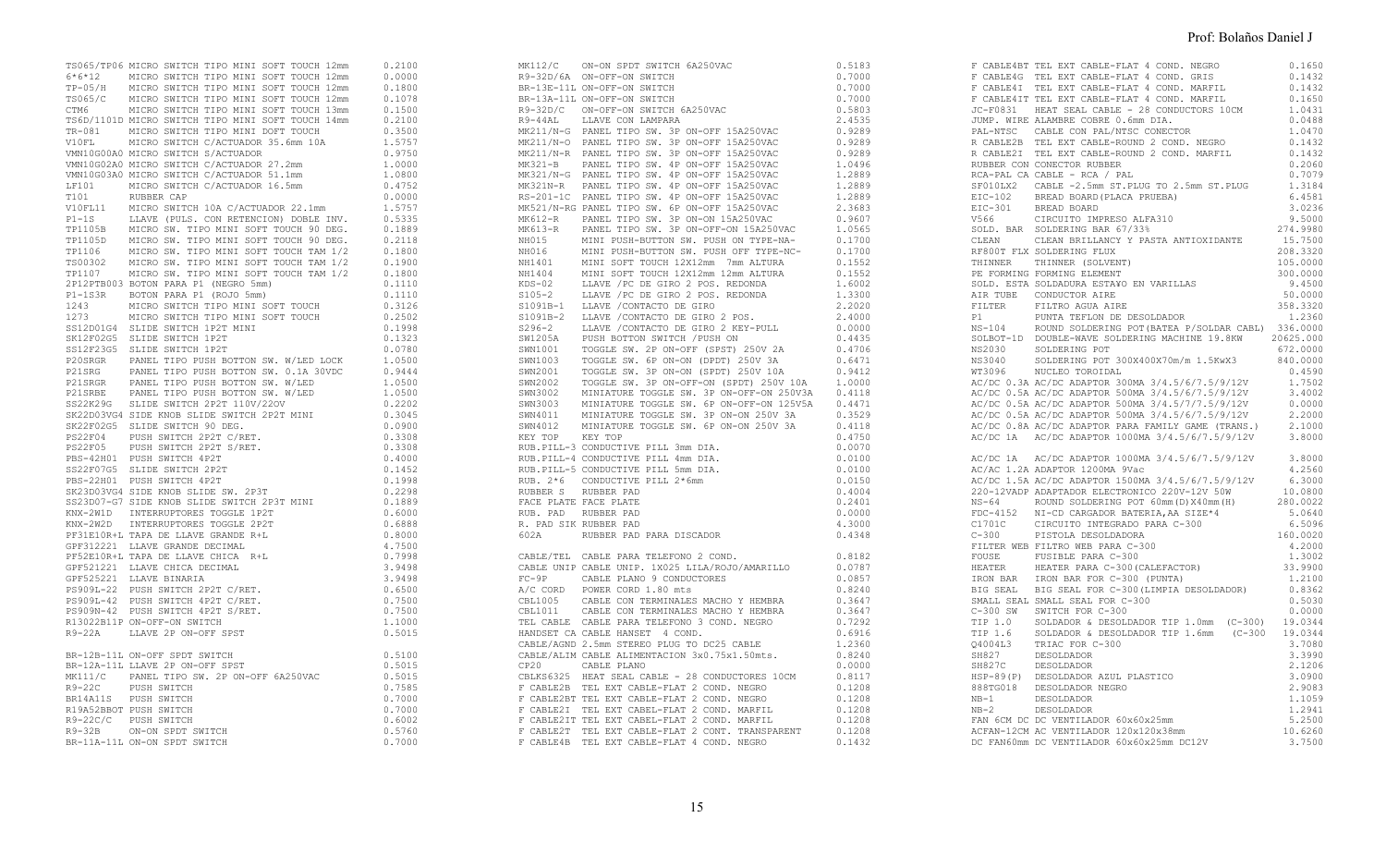|  | TS065/TP06 MICRO SWITCH TIPO MINI SOFT TOUCH 12mm<br>6-2100<br>6-7612 MICRO SWITCH TIPO MINI SOFT TOUCH 12mm<br>0.0.0000<br>TP-05/H MICRO SWITCH TIPO MINI SOFT TOUCH 12mm<br>0.1000<br>TS065/C MICRO SWITCH TIPO MINI SOFT TOUCH 13mm<br>0 |        |
|--|---------------------------------------------------------------------------------------------------------------------------------------------------------------------------------------------------------------------------------------------|--------|
|  |                                                                                                                                                                                                                                             |        |
|  |                                                                                                                                                                                                                                             |        |
|  |                                                                                                                                                                                                                                             |        |
|  |                                                                                                                                                                                                                                             |        |
|  |                                                                                                                                                                                                                                             |        |
|  |                                                                                                                                                                                                                                             |        |
|  |                                                                                                                                                                                                                                             |        |
|  |                                                                                                                                                                                                                                             |        |
|  |                                                                                                                                                                                                                                             |        |
|  |                                                                                                                                                                                                                                             |        |
|  |                                                                                                                                                                                                                                             |        |
|  |                                                                                                                                                                                                                                             |        |
|  |                                                                                                                                                                                                                                             |        |
|  |                                                                                                                                                                                                                                             |        |
|  |                                                                                                                                                                                                                                             |        |
|  |                                                                                                                                                                                                                                             |        |
|  |                                                                                                                                                                                                                                             |        |
|  |                                                                                                                                                                                                                                             |        |
|  |                                                                                                                                                                                                                                             |        |
|  |                                                                                                                                                                                                                                             |        |
|  | SK12F02G5 SLIDE SWITCH 1P2T                                                                                                                                                                                                                 | 0.1323 |
|  |                                                                                                                                                                                                                                             |        |
|  |                                                                                                                                                                                                                                             |        |
|  |                                                                                                                                                                                                                                             |        |
|  |                                                                                                                                                                                                                                             |        |
|  |                                                                                                                                                                                                                                             |        |
|  |                                                                                                                                                                                                                                             |        |
|  |                                                                                                                                                                                                                                             |        |
|  |                                                                                                                                                                                                                                             |        |
|  |                                                                                                                                                                                                                                             | 0.3308 |
|  | PS22F04 PUSH SWITCH 2P2T C/RET.<br>PS22F05 PUSH SWITCH 2P2T S/RET.                                                                                                                                                                          | 0.3308 |
|  | PBS-42H01 PUSH SWITCH 4P2T                                                                                                                                                                                                                  | 0.4000 |
|  |                                                                                                                                                                                                                                             | 0.1452 |
|  | SS22F07G5 SLIDE SWITCH 2P2T                                                                                                                                                                                                                 |        |
|  | PBS-22H01 PUSH SWITCH 4P2T                                                                                                                                                                                                                  | 0.1998 |
|  | SK23D03VG4 SIDE KNOB SLIDE SW. 2P3T                                                                                                                                                                                                         | 0.2298 |
|  | SA23B007-G7 SIDE KNOB SLIDE SWITCH 2P3T MINI                                                                                                                                                                                                | 0.1889 |
|  | KNX-2W1D INTERRUPTORES TOGGLE 1P2T                                                                                                                                                                                                          | 0.6000 |
|  | KNX-2W2D INTERRUPTORES TOGGLE 2P2T                                                                                                                                                                                                          | 0.6888 |
|  | PF31E10R+L TAPA DE LLAVE GRANDE R+L                                                                                                                                                                                                         | 0.8000 |
|  | GPF312221 LLAVE GRANDE DECIMAL                                                                                                                                                                                                              | 4,7500 |
|  | PF52E10R+L TAPA DE LLAVE CHICA R+L                                                                                                                                                                                                          | 0.7998 |
|  | GPF521221 LLAVE CHICA DECIMAL                                                                                                                                                                                                               | 3.9498 |
|  | GPF525221 LLAVE BINARIA                                                                                                                                                                                                                     | 3.9498 |
|  | PS909L-22 PUSH SWITCH 2P2T C/RET.<br>PS909L-42 PUSH SWITCH 4P2T C/RET.                                                                                                                                                                      | 0.6500 |
|  |                                                                                                                                                                                                                                             | 0.7500 |
|  | PS909N-42 PUSH SWITCH 4P2T S/RET.                                                                                                                                                                                                           | 0.7500 |
|  | R13022B11P ON-OFF-ON SWITCH                                                                                                                                                                                                                 | 1,1000 |
|  | R9-22A LLAVE 2P ON-OFF SPST                                                                                                                                                                                                                 | 0.5015 |
|  |                                                                                                                                                                                                                                             |        |
|  | BR-12B-11L ON-OFF SPDT SWITCH                                                                                                                                                                                                               | 0.5100 |
|  | BR-12A-11L LLAVE 2P ON-OFF SPST                                                                                                                                                                                                             | 0.5015 |
|  | MK111/C PANEL TIPO SW. 2P ON-OFF 6A250VAC                                                                                                                                                                                                   |        |
|  |                                                                                                                                                                                                                                             | 0.5015 |
|  | R9-22C PUSH SWITCH<br>BR14A11S PUSH SWITCH                                                                                                                                                                                                  | 0.7585 |
|  |                                                                                                                                                                                                                                             | 0.7000 |
|  | R19A52BBOT PUSH SWITCH                                                                                                                                                                                                                      | 0.7000 |
|  | R9-22C/C PUSH SWITCH<br>R9-32B ON-ON SPDT SWITCH                                                                                                                                                                                            | 0.6002 |
|  |                                                                                                                                                                                                                                             | 0.5760 |
|  | BR-11A-11L ON-ON SPDT SWITCH                                                                                                                                                                                                                | 0.7000 |

| BR-13A-1IL ON-OFF-ON SWITCH 6A250VAC 0.7000<br>R9-32D/C ON-OFF-ON SWITCH 6A250VAC 0.7000<br>R9-32D/C ON-OFF-ON SWITCH 6A250VAC 2.4515<br>MK211/N-G PANEL TIFO SW. 3P ON-OFF 15A250VAC 0.9289<br>MK211/N-G PANEL TIFO SW. 3P ON-OFF 15<br>RUB. PAD RUBBER PAD<br>R. PAD SIK RUBBER PAD<br>602A RUBBER PAD PARA DISCADOR | 0.5183<br>0.7000<br>0.7000<br>0.7000<br>0.5803<br>0.0000<br>4,3000<br>0.4348 |
|------------------------------------------------------------------------------------------------------------------------------------------------------------------------------------------------------------------------------------------------------------------------------------------------------------------------|------------------------------------------------------------------------------|
| CABLE/TEL CABLE PARA TELEFONO 2 COND.<br>CP20 CABLE PLANO                                                                                                                                                                                                                                                              | 0.8182<br>0.0000                                                             |

|  | RUBBER CON CONECTOR RUBBER                                                                                                                                                                                                                                                                                                                                                                                                              | 0.2060   |
|--|-----------------------------------------------------------------------------------------------------------------------------------------------------------------------------------------------------------------------------------------------------------------------------------------------------------------------------------------------------------------------------------------------------------------------------------------|----------|
|  | RCA-PAL CA CABLE - RCA / PAL                                                                                                                                                                                                                                                                                                                                                                                                            | 0.7079   |
|  | SF010LX2 CABLE -2.5mm ST.PLUG TO 2.5mm ST.PLUG<br>EIC-102 BREAD BOARD (PLACA PRUEBA)<br>EIC-301 BREAD BOARD<br>V566 CIRCUITO IMPRESO ALFA310                                                                                                                                                                                                                                                                                            | 1.3184   |
|  |                                                                                                                                                                                                                                                                                                                                                                                                                                         | 6.4581   |
|  |                                                                                                                                                                                                                                                                                                                                                                                                                                         | 3.0236   |
|  |                                                                                                                                                                                                                                                                                                                                                                                                                                         |          |
|  |                                                                                                                                                                                                                                                                                                                                                                                                                                         |          |
|  |                                                                                                                                                                                                                                                                                                                                                                                                                                         |          |
|  | RF800T FLX SOLDERING FLUX                                                                                                                                                                                                                                                                                                                                                                                                               | 208.3320 |
|  | THINNER THINNER (SOLVENT)                                                                                                                                                                                                                                                                                                                                                                                                               | 105.0000 |
|  | SOLD. ESTA SOLDADURA ESTAYO EN VARILLAS<br>AIR TUBE – CONDUCTOR AIRE<br>FILTER – CONDUCTOR AIRE                                                                                                                                                                                                                                                                                                                                         | 300,0000 |
|  |                                                                                                                                                                                                                                                                                                                                                                                                                                         | 9.4500   |
|  |                                                                                                                                                                                                                                                                                                                                                                                                                                         | 50.0000  |
|  |                                                                                                                                                                                                                                                                                                                                                                                                                                         |          |
|  |                                                                                                                                                                                                                                                                                                                                                                                                                                         |          |
|  |                                                                                                                                                                                                                                                                                                                                                                                                                                         |          |
|  |                                                                                                                                                                                                                                                                                                                                                                                                                                         |          |
|  |                                                                                                                                                                                                                                                                                                                                                                                                                                         |          |
|  |                                                                                                                                                                                                                                                                                                                                                                                                                                         |          |
|  |                                                                                                                                                                                                                                                                                                                                                                                                                                         |          |
|  |                                                                                                                                                                                                                                                                                                                                                                                                                                         |          |
|  |                                                                                                                                                                                                                                                                                                                                                                                                                                         |          |
|  |                                                                                                                                                                                                                                                                                                                                                                                                                                         |          |
|  |                                                                                                                                                                                                                                                                                                                                                                                                                                         |          |
|  |                                                                                                                                                                                                                                                                                                                                                                                                                                         |          |
|  |                                                                                                                                                                                                                                                                                                                                                                                                                                         |          |
|  |                                                                                                                                                                                                                                                                                                                                                                                                                                         |          |
|  | AC/DC 1A AC/DC ADAPTOR 1000MA 3/4.5/6/7.5/9/12V 3.8000                                                                                                                                                                                                                                                                                                                                                                                  |          |
|  | AC/AC 1.2A ADAPTOR 1200MA 9Vac                                                                                                                                                                                                                                                                                                                                                                                                          | 4.2560   |
|  |                                                                                                                                                                                                                                                                                                                                                                                                                                         |          |
|  |                                                                                                                                                                                                                                                                                                                                                                                                                                         |          |
|  |                                                                                                                                                                                                                                                                                                                                                                                                                                         |          |
|  |                                                                                                                                                                                                                                                                                                                                                                                                                                         |          |
|  |                                                                                                                                                                                                                                                                                                                                                                                                                                         |          |
|  |                                                                                                                                                                                                                                                                                                                                                                                                                                         |          |
|  |                                                                                                                                                                                                                                                                                                                                                                                                                                         |          |
|  | FOUSE FUSIBLE PARA C-300 (CALEFACTOR) 1.3002<br>HEATER HEATER PARA C-300 (CALEFACTOR) 33.9900<br>IRON BAR IRON BAR FOR C-300 (PUNTA) 1.2100<br>BIG SEAL BIG SEAL FOR C-300 (LIMPIA DESOLDADOR) 0.8362                                                                                                                                                                                                                                   |          |
|  |                                                                                                                                                                                                                                                                                                                                                                                                                                         |          |
|  |                                                                                                                                                                                                                                                                                                                                                                                                                                         |          |
|  |                                                                                                                                                                                                                                                                                                                                                                                                                                         |          |
|  | SMALL SEAL SMALL SEAL FOR C-300                                                                                                                                                                                                                                                                                                                                                                                                         | 0.5030   |
|  |                                                                                                                                                                                                                                                                                                                                                                                                                                         |          |
|  |                                                                                                                                                                                                                                                                                                                                                                                                                                         |          |
|  |                                                                                                                                                                                                                                                                                                                                                                                                                                         |          |
|  |                                                                                                                                                                                                                                                                                                                                                                                                                                         |          |
|  | $\begin{tabular}{lllllllllll} \multicolumn{2}{c}{\textbf{C-300 SM}} & $\textbf{SWL} & $\textbf{C-300}$ & 0.0000 \\ \multicolumn{2}{c}{\textbf{C-300 SM}} & $\textbf{SWL} & $\textbf{TCH} & $\textbf{DC} & $\textbf{C-300}$ & 0.0000 \\ \multicolumn{2}{c}{\textbf{TIP 1.0}} & $\textbf{SOL} & \textbf{D} & $\textbf{E} & \textbf{SOL} & $\textbf{D} & $\textbf{E} & $\textbf{SOL} & $\textbf{D} & $\textbf{D} & $\textbf{E} & $\textbf$ |          |
|  | NESOLDADOR<br>HSP-89(P) DESOLDADOR AZUL PLASTICO<br>888TG018 DESOLDADOR NEGRO<br>NB-1 DESOLDADOR<br>NB-2 DESOLDADOR<br>FAN 6CM DC DC UENETICOR                                                                                                                                                                                                                                                                                          |          |
|  |                                                                                                                                                                                                                                                                                                                                                                                                                                         | 3.0900   |
|  |                                                                                                                                                                                                                                                                                                                                                                                                                                         | 2.9083   |
|  |                                                                                                                                                                                                                                                                                                                                                                                                                                         | 1,1059   |
|  | $\begin{tabular}{lllllllll} $\textsc{``b$--$c$} & $\textsc{``b$--$c$} & $\textsc{``b$--$c$} \\ \textsc{``b$--$c$} & $\textsc{``b$--$c$} & $\textsc{``b$--$c$} & $\textsc{``b$--$c$} \\ \textsc{``b$--$c$} & $\textsc{``b$--$c$--$c$} & $\textsc{``b$--$c$--$c$} & $\textsc{``b$--$c$--$c$} \\ \textsc{ACFAN-12CM} & $\textsc{AC}~\textsc{``b$--$c$--$c$--$c$--$c$} & $\textsc{``b$--$                                                   |          |
|  |                                                                                                                                                                                                                                                                                                                                                                                                                                         |          |
|  |                                                                                                                                                                                                                                                                                                                                                                                                                                         |          |
|  |                                                                                                                                                                                                                                                                                                                                                                                                                                         |          |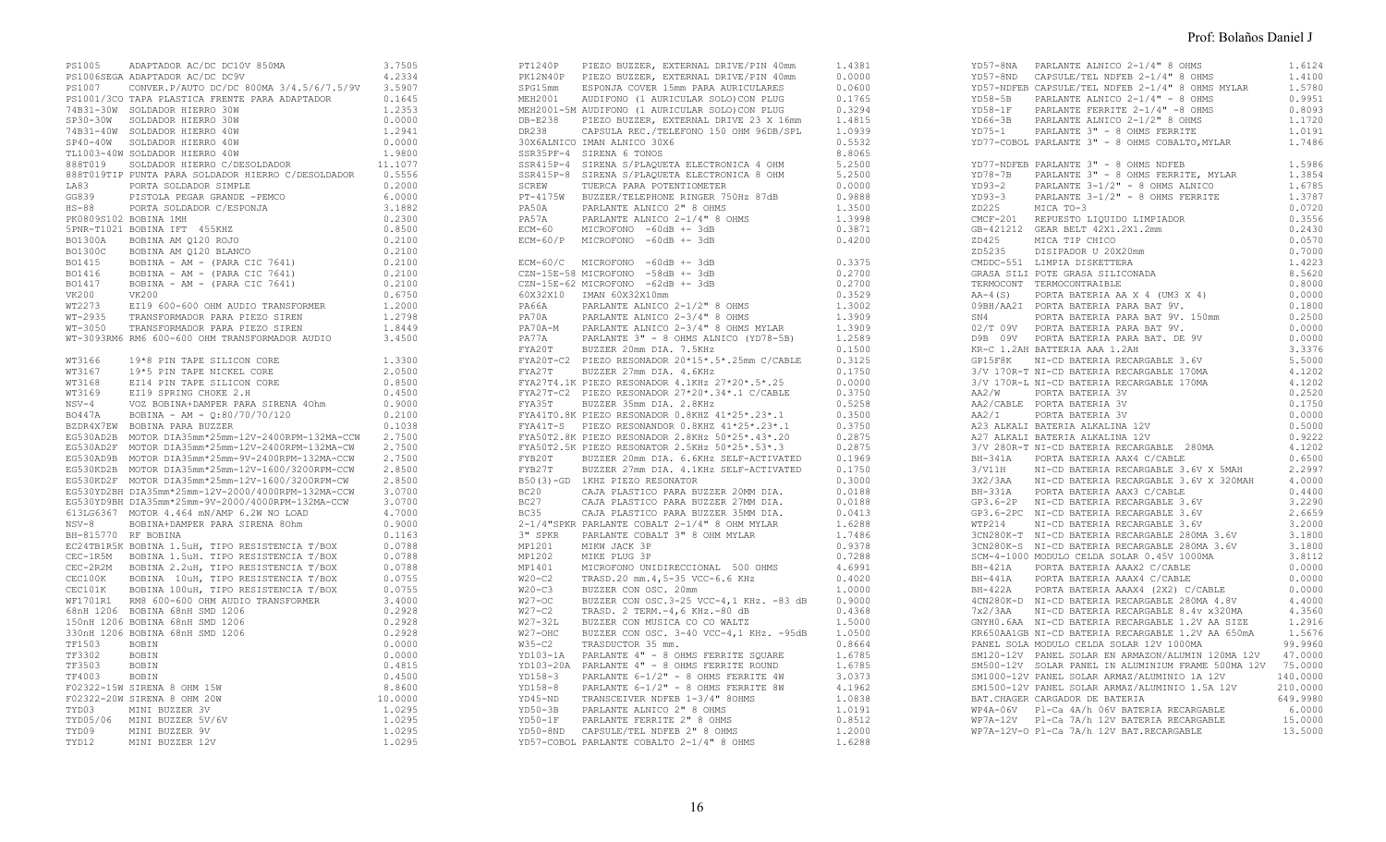|                     | PS1005 ADAPTADOR AC/DC DC10V 850MA                                                                                                                                                                                                     | 3.7505           |
|---------------------|----------------------------------------------------------------------------------------------------------------------------------------------------------------------------------------------------------------------------------------|------------------|
|                     | PS1006SEGA ADAPTADOR AC/DC DC9V                                                                                                                                                                                                        | 4.2334           |
|                     | PS1007 CONVER. P/AUTO DC/DC 800MA 3/4.5/6/7.5/9V                                                                                                                                                                                       | 3.5907           |
|                     | PS1001/3CO TAPA PLASTICA FRENTE PARA ADAPTADOR                                                                                                                                                                                         | 0.1645           |
|                     | 74B31-30W SOLDADOR HIERRO 30W                                                                                                                                                                                                          | 1.2353           |
|                     | SP30-30W SOLDADOR HIERRO 30W                                                                                                                                                                                                           | 0.0000           |
|                     | 74B31-40W SOLDADOR HIERRO 40W<br>SP40-40W SOLDADOR HIERRO 40W                                                                                                                                                                          | 1.2941           |
|                     | TL1003-40W SOLDADOR HIERRO 40W                                                                                                                                                                                                         | 0.0000<br>1,9800 |
|                     | 888T019 SOLDADOR HIERRO C/DESOLDADOR                                                                                                                                                                                                   | 11.1077          |
|                     | 888T019TIP PUNTA PARA SOLDADOR HIERRO C/DESOLDADOR                                                                                                                                                                                     | 0.5556           |
| LA83                | PORTA SOLDADOR SIMPLE                                                                                                                                                                                                                  | 0.2000           |
| GG839               | PISTOLA PEGAR GRANDE -PEMCO                                                                                                                                                                                                            | 6.0000           |
|                     | HS-88 PORTA SOLDADOR C/ESPONJA                                                                                                                                                                                                         | 3.1882           |
|                     | PK0809S102 BOBINA 1MH                                                                                                                                                                                                                  | 0.2300           |
|                     | 5PNR-T1021 BOBINA IFT 455KHZ                                                                                                                                                                                                           | 0.8500           |
|                     | BO1300A BOBINA AM Q120 ROJO                                                                                                                                                                                                            | 0.2100           |
|                     | BO1300C BOBINA AM Q120 BLANCO<br>BO1415 BOBINA - AM - (PARA CIC 7641)<br>BO1416 BOBINA - AM - (PARA CIC 7641)<br>BO1417 BOBINA - AM - (PARA CIC 7641)<br>VK200 VK200                                                                   | 0.2100           |
|                     |                                                                                                                                                                                                                                        | 0.2100           |
|                     |                                                                                                                                                                                                                                        | 0.2100           |
|                     |                                                                                                                                                                                                                                        | 0.2100           |
|                     |                                                                                                                                                                                                                                        | 0.6750           |
| WT2273              | VK200<br>EI19 600-600 OHM AUDIO TRANSFORMER<br>™PANSFORMADOR PARA PIEZO SIREN                                                                                                                                                          | 1.2000           |
|                     | WT-2935 TRANSFORMADOR PARA PIEZO SIREN<br>WT-3050 TRANSFORMADOR PARA PIEZO SIREN                                                                                                                                                       | 1.2798           |
|                     |                                                                                                                                                                                                                                        | 1.8449           |
|                     | WT-3093RM6 RM6 600-600 OHM TRANSFORMADOR AUDIO                                                                                                                                                                                         | 3.4500           |
| WT3166              | 19*8 PIN TAPE SILICON CORE                                                                                                                                                                                                             | 1.3300           |
|                     |                                                                                                                                                                                                                                        | 2.0500           |
|                     |                                                                                                                                                                                                                                        | 0.8500           |
|                     |                                                                                                                                                                                                                                        | 0.4500           |
|                     |                                                                                                                                                                                                                                        | 0.9000           |
|                     | BZDR4X7EW BOBINA PARA BUZZER                                                                                                                                                                                                           | 0.2100<br>0.1038 |
|                     | EG530AD2B MOTOR DIA35mm*25mm-12V-2400RPM-132MA-CCW                                                                                                                                                                                     | 2.7500           |
|                     |                                                                                                                                                                                                                                        | 2.7500           |
|                     | EG530AD2F MOTOR DIA35mm*25mm-12V-2400RPM-132MA-CW<br>EG530AD9B MOTOR DIA35mm*25mm-9V-2400RPM-132MA-CCW                                                                                                                                 | 2.7500           |
|                     | EG530KD2B MOTOR DIA35mm*25mm-12V-1600/3200RPM-CCW                                                                                                                                                                                      | 2.8500           |
|                     |                                                                                                                                                                                                                                        | 2.8500           |
|                     | EG530KD2F MOTOR DIA35mm*25mm-12V-1600/3200RPM-CW<br>EG530YD2BH DIA35mm*25mm-12V-2000/4000RPM-132MA-CCW<br>EG530YD2BH DIA35mm*25mm-12V-2000/4000RPM-132MA-CCW<br>EG530YD2BH DIA35mm*25m-9V-2000/4000RPM-132MA-CCW                       |                  |
|                     |                                                                                                                                                                                                                                        | 3.0700<br>3.0700 |
|                     | 613LG6367 MOTOR 4.464 mN/AMP 6.2W NO LOAD                                                                                                                                                                                              | 4.7000           |
|                     | NSV-8 BOBINA+DAMPER PARA SIRENA 80hm                                                                                                                                                                                                   | 0.9000           |
| BH-815770 RF BOBINA |                                                                                                                                                                                                                                        | 0.1163           |
|                     |                                                                                                                                                                                                                                        | 0.0788           |
|                     |                                                                                                                                                                                                                                        | 0.0788           |
|                     |                                                                                                                                                                                                                                        | 0.0788           |
|                     | BH-815770 RF BOBINA 1.5uH, TIPO RESISTENCIA T/BOX<br>CEC-1R5M BOBINA 1.5uH, TIPO RESISTENCIA T/BOX<br>CEC-2R2M BOBINA 1.5uH. TIPO RESISTENCIA T/BOX<br>CEC-2R2M BOBINA 10uH, TIPO RESISTENCIA T/BOX<br>CEC100K BOBINA 10uH, TIPO RESIS | 0.0755           |
|                     |                                                                                                                                                                                                                                        | 0.0755           |
|                     |                                                                                                                                                                                                                                        | 3.4000           |
|                     | 150nH 1206 BOBINA 68nH SMD 1206                                                                                                                                                                                                        | 0.2928           |
|                     | 330nH 1206 BOBINA 68nH SMD 1206                                                                                                                                                                                                        | 0.2928<br>0.2928 |
| TF1503              | BOBIN                                                                                                                                                                                                                                  | 0.0000           |
| TF3302              | BOBIN                                                                                                                                                                                                                                  | 0.0000           |
| TF3503              | BOBIN                                                                                                                                                                                                                                  | 0.4815           |
| TF4003              | <b>BOBIN</b>                                                                                                                                                                                                                           | 0.4500           |
|                     | F02322-15W SIRENA 8 OHM 15W                                                                                                                                                                                                            | 8.8600           |
|                     | F02322-20W SIRENA 8 OHM 20W                                                                                                                                                                                                            | 10.0000          |
|                     | TYD03 MINI BUZZER 3V                                                                                                                                                                                                                   | 1,0295           |
|                     |                                                                                                                                                                                                                                        | 1.0295           |
|                     | TYD05/06 MINI BUZZER 5V/6V<br>TYD09 MINI BUZZER 9V                                                                                                                                                                                     | 1.0295           |
| TYD12               | MINI BUZZER 12V                                                                                                                                                                                                                        | 1.0295           |

| $ECM-60/C$ MICROFONO $-60dB$ +- 3dB<br>$0.3375$<br>$0.2700$<br>$0.2700$<br>CZN-15E-58 MICROFONO -58dB +- 3dB<br>CZN-15E-58 MICROFONO -58dB +- 3dB<br>CZN-15E-62 MICROFONO -62dB +- 3dB                                                                                                                                                                                                                  |  |
|---------------------------------------------------------------------------------------------------------------------------------------------------------------------------------------------------------------------------------------------------------------------------------------------------------------------------------------------------------------------------------------------------------|--|
|                                                                                                                                                                                                                                                                                                                                                                                                         |  |
|                                                                                                                                                                                                                                                                                                                                                                                                         |  |
|                                                                                                                                                                                                                                                                                                                                                                                                         |  |
| $\begin{tabular}{ c  c  c c c c} \hline \texttt{FYB27T} & \texttt{BUZ2ER} & \texttt{27mm} & \texttt{D1A} & \texttt{4.1KHz} & \texttt{SELF-ACTIVATED} & 0.1750 \\ \hline \texttt{BCQ1} & \texttt{LKRZ} & \texttt{PEZOR} & \texttt{RSOMFOR} & \texttt{0.3000} \\ \texttt{BCQ1} & \texttt{CAJA} & \texttt{PLASTICO} & \texttt{PARA} & \texttt{BUZZER} & \texttt{20MM} & \texttt{D1A} & 0.0188 \\ \texttt{$ |  |

| YD77-COBOL PARLANTE 3" - 8 OHMS COBALTO, MYLAR 1.7486                                   |                            |
|-----------------------------------------------------------------------------------------|----------------------------|
| YD77-NDFEB PARLANTE 3" - 8 OHMS NDFEB                                                   | 1.5986                     |
|                                                                                         |                            |
|                                                                                         |                            |
|                                                                                         |                            |
|                                                                                         |                            |
| AA2/CABLE PORTA BATERIA 3V<br>AA2/I PORTA BATERIA 3V<br>A23 ALKALI BATERIA ALKALINA 12V | 0.1750<br>0.0000<br>0.5000 |
| A27 ALKALI BATERIA ALKALINA 12V                                                         |                            |
|                                                                                         |                            |
|                                                                                         |                            |
|                                                                                         |                            |
|                                                                                         |                            |
|                                                                                         |                            |
| SM120-12V PANEL SOLAR EN ARMAZON/ALUMIN 120MA 12V 47.0000                               |                            |
|                                                                                         |                            |
|                                                                                         |                            |